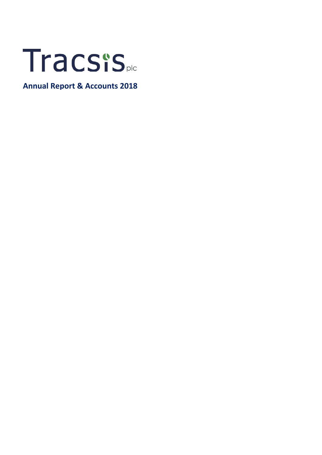

**Annual Report & Accounts 2018**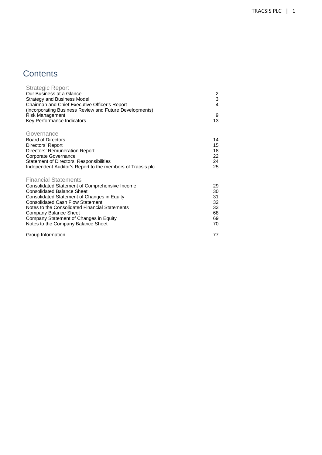### **Contents**

| <b>Strategic Report</b><br>Our Business at a Glance<br><b>Strategy and Business Model</b><br>Chairman and Chief Executive Officer's Report<br>(incorporating Business Review and Future Developments)<br>Risk Management<br>Key Performance Indicators                                                                                                                  | 2<br>3<br>$\overline{4}$<br>9<br>13          |
|-------------------------------------------------------------------------------------------------------------------------------------------------------------------------------------------------------------------------------------------------------------------------------------------------------------------------------------------------------------------------|----------------------------------------------|
| Governance<br><b>Board of Directors</b><br>Directors' Report<br>Directors' Remuneration Report<br>Corporate Governance<br>Statement of Directors' Responsibilities<br>Independent Auditor's Report to the members of Tracsis plc                                                                                                                                        | 14<br>15<br>18<br>22<br>24<br>25             |
| <b>Financial Statements</b><br>Consolidated Statement of Comprehensive Income<br><b>Consolidated Balance Sheet</b><br>Consolidated Statement of Changes in Equity<br><b>Consolidated Cash Flow Statement</b><br>Notes to the Consolidated Financial Statements<br>Company Balance Sheet<br>Company Statement of Changes in Equity<br>Notes to the Company Balance Sheet | 29<br>30<br>31<br>32<br>33<br>68<br>69<br>70 |
| Group Information                                                                                                                                                                                                                                                                                                                                                       | 77                                           |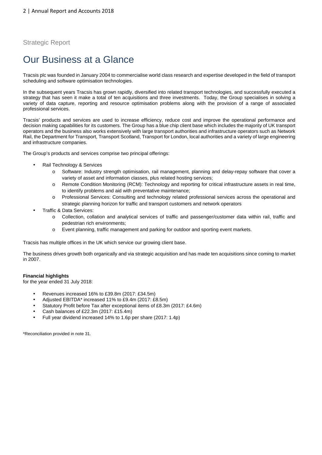# Our Business at a Glance

Tracsis plc was founded in January 2004 to commercialise world class research and expertise developed in the field of transport scheduling and software optimisation technologies.

In the subsequent years Tracsis has grown rapidly, diversified into related transport technologies, and successfully executed a strategy that has seen it make a total of ten acquisitions and three investments. Today, the Group specialises in solving a variety of data capture, reporting and resource optimisation problems along with the provision of a range of associated professional services.

Tracsis' products and services are used to increase efficiency, reduce cost and improve the operational performance and decision making capabilities for its customers. The Group has a blue chip client base which includes the majority of UK transport operators and the business also works extensively with large transport authorities and infrastructure operators such as Network Rail, the Department for Transport, Transport Scotland, Transport for London, local authorities and a variety of large engineering and infrastructure companies.

The Group's products and services comprise two principal offerings:

- Rail Technology & Services
	- o Software: Industry strength optimisation, rail management, planning and delay-repay software that cover a variety of asset and information classes, plus related hosting services;
	- o Remote Condition Monitoring (RCM): Technology and reporting for critical infrastructure assets in real time, to identify problems and aid with preventative maintenance;
	- o Professional Services: Consulting and technology related professional services across the operational and strategic planning horizon for traffic and transport customers and network operators
- Traffic & Data Services:
	- o Collection, collation and analytical services of traffic and passenger/customer data within rail, traffic and pedestrian rich environments;
	- o Event planning, traffic management and parking for outdoor and sporting event markets.

Tracsis has multiple offices in the UK which service our growing client base.

The business drives growth both organically and via strategic acquisition and has made ten acquisitions since coming to market in 2007.

#### **Financial highlights**

for the year ended 31 July 2018:

- Revenues increased 16% to £39.8m (2017: £34.5m)
- Adjusted EBITDA\* increased 11% to £9.4m (2017: £8.5m)
- Statutory Profit before Tax after exceptional items of £8.3m (2017: £4.6m)
- Cash balances of £22.3m (2017: £15.4m)
- Full year dividend increased 14% to 1.6p per share (2017: 1.4p)

\*Reconciliation provided in note 31.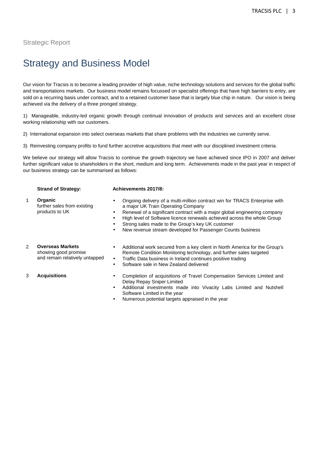# Strategy and Business Model

Our vision for Tracsis is to become a leading provider of high value, niche technology solutions and services for the global traffic and transportations markets. Our business model remains focussed on specialist offerings that have high barriers to entry, are sold on a recurring basis under contract, and to a retained customer base that is largely blue chip in nature. Our vision is being achieved via the delivery of a three pronged strategy.

1) Manageable, industry-led organic growth through continual innovation of products and services and an excellent close working relationship with our customers.

- 2) International expansion into select overseas markets that share problems with the industries we currently serve.
- 3) Reinvesting company profits to fund further accretive acquisitions that meet with our disciplined investment criteria.

We believe our strategy will allow Tracsis to continue the growth trajectory we have achieved since IPO in 2007 and deliver further significant value to shareholders in the short, medium and long term. Achievements made in the past year in respect of our business strategy can be summarised as follows:

#### **Strand of Strategy: Achievements 2017/8:**

- 1 **Organic** further sales from existing products to UK • Ongoing delivery of a multi-million contract win for TRACS Enterprise with a major UK Train Operating Company • Renewal of a significant contract with a major global engineering company
	- High level of Software licence renewals achieved across the whole Group
	- Strong sales made to the Group's key UK customer
	- New revenue stream developed for Passenger Counts business

#### 2 **Overseas Markets**

showing good promise and remain relatively untapped

- Additional work secured from a key client in North America for the Group's Remote Condition Monitoring technology, and further sales targeted
- Traffic Data business in Ireland continues positive trading
- Software sale in New Zealand delivered

- 
- 3 **Acquisitions** Completion of acquisitions of Travel Compensation Services Limited and Delay Repay Sniper Limited
	- Additional investments made into Vivacity Labs Limited and Nutshell Software Limited in the year
	- Numerous potential targets appraised in the year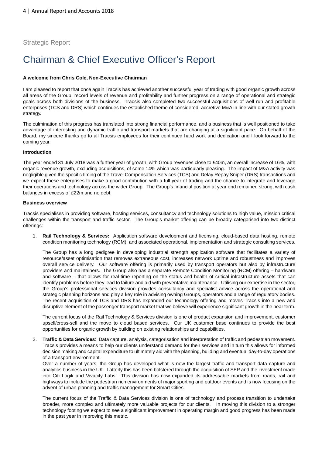# Chairman & Chief Executive Officer's Report

#### **A welcome from Chris Cole, Non-Executive Chairman**

I am pleased to report that once again Tracsis has achieved another successful year of trading with good organic growth across all areas of the Group, record levels of revenue and profitability and further progress on a range of operational and strategic goals across both divisions of the business. Tracsis also completed two successful acquisitions of well run and profitable enterprises (TCS and DRS) which continues the established theme of considered, accretive M&A in line with our stated growth strategy.

The culmination of this progress has translated into strong financial performance, and a business that is well positioned to take advantage of interesting and dynamic traffic and transport markets that are changing at a significant pace. On behalf of the Board, my sincere thanks go to all Tracsis employees for their continued hard work and dedication and I look forward to the coming year.

#### **Introduction**

The year ended 31 July 2018 was a further year of growth, with Group revenues close to £40m, an overall increase of 16%, with organic revenue growth, excluding acquisitions, of some 14% which was particularly pleasing. The impact of M&A activity was negligible given the specific timing of the Travel Compensation Services (TCS) and Delay Repay Sniper (DRS) transactions and we expect these enterprises to make a good contribution with a full year of trading and the chance to integrate and leverage their operations and technology across the wider Group. The Group's financial position at year end remained strong, with cash balances in excess of £22m and no debt.

#### **Business overview**

Tracsis specialises in providing software, hosting services, consultancy and technology solutions to high value, mission critical challenges within the transport and traffic sector. The Group's market offering can be broadly categorised into two distinct offerings:

1. **Rail Technology & Services:** Application software development and licensing, cloud-based data hosting, remote condition monitoring technology (RCM), and associated operational, implementation and strategic consulting services.

The Group has a long pedigree in developing industrial strength application software that facilitates a variety of resource/asset optimisation that removes extraneous cost, increases network uptime and robustness and improves overall service delivery. Our software offering is primarily used by transport operators but also by infrastructure providers and maintainers. The Group also has a separate Remote Condition Monitoring (RCM) offering – hardware and software – that allows for real-time reporting on the status and health of critical infrastructure assets that can identify problems before they lead to failure and aid with preventative maintenance. Utilising our expertise in the sector, the Group's professional services division provides consultancy and specialist advice across the operational and strategic planning horizons and play a key role in advising owning Groups, operators and a range of regulatory bodies. The recent acquisition of TCS and DRS has expanded our technology offering and moves Tracsis into a new and disruptive element of the passenger transport market that we believe will experience significant growth in the near term.

The current focus of the Rail Technology & Services division is one of product expansion and improvement, customer upsell/cross-sell and the move to cloud based services. Our UK customer base continues to provide the best opportunities for organic growth by building on existing relationships and capabilities.

2. **Traffic & Data Services**: Data capture, analysis, categorisation and interpretation of traffic and pedestrian movement. Tracsis provides a means to help our clients understand demand for their services and in turn this allows for informed decision making and capital expenditure to ultimately aid with the planning, building and eventual day-to-day operations of a transport environment.

Over a number of years, the Group has developed what is now the largest traffic and transport data capture and analytics business in the UK. Latterly this has been bolstered through the acquisition of SEP and the investment made into Citi Logik and Vivacity Labs. This division has now expanded its addressable markets from roads, rail and highways to include the pedestrian rich environments of major sporting and outdoor events and is now focusing on the advent of urban planning and traffic management for Smart Cities.

The current focus of the Traffic & Data Services division is one of technology and process transition to undertake broader, more complex and ultimately more valuable projects for our clients. In moving this division to a stronger technology footing we expect to see a significant improvement in operating margin and good progress has been made in the past year in improving this metric.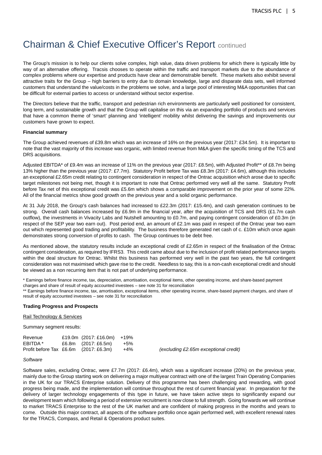The Group's mission is to help our clients solve complex, high value, data driven problems for which there is typically little by way of an alternative offering. Tracsis chooses to operate within the traffic and transport markets due to the abundance of complex problems where our expertise and products have clear and demonstrable benefit. These markets also exhibit several attractive traits for the Group – high barriers to entry due to domain knowledge, large and disparate data sets, well informed customers that understand the value/costs in the problems we solve, and a large pool of interesting M&A opportunities that can be difficult for external parties to access or understand without sector expertise.

The Directors believe that the traffic, transport and pedestrian rich environments are particularly well positioned for consistent, long term, and sustainable growth and that the Group will capitalise on this via an expanding portfolio of products and services that have a common theme of 'smart' planning and 'intelligent' mobility whilst delivering the savings and improvements our customers have grown to expect.

#### **Financial summary**

The Group achieved revenues of £39.8m which was an increase of 16% on the previous year (2017: £34.5m). It is important to note that the vast majority of this increase was organic, with limited revenue from M&A given the specific timing of the TCS and DRS acquisitions.

Adjusted EBITDA\* of £9.4m was an increase of 11% on the previous year (2017: £8.5m), with Adjusted Profit\*\* of £8.7m being 13% higher than the previous year (2017: £7.7m). Statutory Profit before Tax was £8.3m (2017: £4.6m), although this includes an exceptional £2.65m credit relating to contingent consideration in respect of the Ontrac acquisition which arose due to specific target milestones not being met, though it is important to note that Ontrac performed very well all the same. Statutory Profit before Tax net of this exceptional credit was £5.6m which shows a comparable improvement on the prior year of some 22%. All of the financial metrics show good growth on the previous year and a solid organic performance.

At 31 July 2018, the Group's cash balances had increased to £22.3m (2017: £15.4m), and cash generation continues to be strong. Overall cash balances increased by £6.9m in the financial year, after the acquisition of TCS and DRS (£1.7m cash outflow), the investments in Vivacity Labs and Nutshell amounting to £0.7m, and paying contingent consideration of £0.3m (in respect of the SEP year two earn out). Post period end, an amount of £2.1m was paid in respect of the Ontrac year two earn out which represented good trading and profitability. The business therefore generated net cash of c. £10m which once again demonstrates strong conversion of profits to cash. The Group continues to be debt free.

As mentioned above, the statutory results include an exceptional credit of £2.65m in respect of the finalisation of the Ontrac contingent consideration, as required by IFRS3. This credit came about due to the inclusion of profit related performance targets within the deal structure for Ontrac. Whilst this business has performed very well in the past two years, the full contingent consideration was not maximised which gave rise to the credit. Needless to say, this is a non-cash exceptional credit and should be viewed as a non recurring item that is not part of underlying performance.

\* Earnings before finance income, tax, depreciation, amortisation, exceptional items, other operating income, and share-based payment charges and share of result of equity accounted investees – see note 31 for reconciliation

\*\* Earnings before finance income, tax, amortisation, exceptional items, other operating income, share-based payment charges, and share of result of equity accounted investees – see note 31 for reconciliation

#### **Trading Progress and Prospects**

#### Rail Technology & Services

Summary segment results:

| Revenue                                  | £19.0m (2017: £16.0m)              | +19%   |
|------------------------------------------|------------------------------------|--------|
| EBITDA *                                 | £6.8m $(2017: \text{\pounds}6.5m)$ | $+5\%$ |
| Profit before Tax $£6.6m$ $(2017:£6.3m)$ |                                    | $+4\%$ |

(excluding £2.65m exceptional credit)

#### **Software**

Software sales, excluding Ontrac, were £7.7m (2017: £6.4m), which was a significant increase (20%) on the previous year, mainly due to the Group starting work on delivering a major multiyear contract with one of the largest Train Operating Companies in the UK for our TRACS Enterprise solution. Delivery of this programme has been challenging and rewarding, with good progress being made, and the implementation will continue throughout the rest of current financial year. In preparation for the delivery of larger technology engagements of this type in future, we have taken active steps to significantly expand our development team which following a period of extensive recruitment is now close to full strength. Going forwards we will continue to market TRACS Enterprise to the rest of the UK market and are confident of making progress in the months and years to come. Outside this major contract, all aspects of the software portfolio once again performed well, with excellent renewal rates for the TRACS, Compass, and Retail & Operations product suites.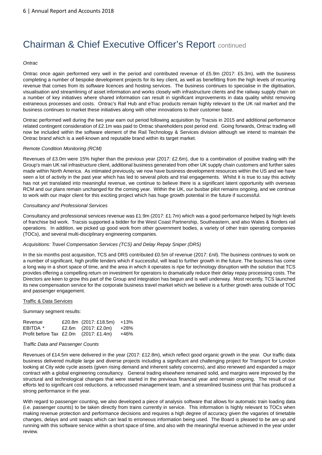#### **Ontrac**

Ontrac once again performed very well in the period and contributed revenue of £5.9m (2017: £5.3m), with the business completing a number of bespoke development projects for its key client, as well as benefitting from the high levels of recurring revenue that comes from its software licences and hosting services. The business continues to specialise in the digitisation, visualisation and streamlining of asset information and works closely with infrastructure clients and the railway supply chain on a number of key initiatives where shared information can result in significant improvements in data quality whilst removing extraneous processes and costs. Ontrac's Rail Hub and eTrac products remain highly relevant to the UK rail market and the business continues to market these initiatives along with other innovations to their customer base.

Ontrac performed well during the two year earn out period following acquisition by Tracsis in 2015 and additional performance related contingent consideration of £2.1m was paid to Ontrac shareholders post period end. Going forwards, Ontrac trading will now be included within the software element of the Rail Technology & Services division although we intend to maintain the Ontrac brand which is a well-known and reputable brand within its target market.

#### Remote Condition Monitoring (RCM)

Revenues of £3.0m were 15% higher than the previous year (2017: £2.6m), due to a combination of positive trading with the Group's main UK rail infrastructure client, additional business generated from other UK supply chain customers and further sales made within North America. As intimated previously, we now have business development resources within the US and we have seen a lot of activity in the past year which has led to several pilots and trial engagements. Whilst it is true to say this activity has not yet translated into meaningful revenue, we continue to believe there is a significant latent opportunity with overseas RCM and our plans remain unchanged for the coming year. Within the UK, our busbar pilot remains ongoing, and we continue to work with our major client for this exciting project which has huge growth potential in the future if successful.

#### Consultancy and Professional Services

Consultancy and professional services revenue was £1.9m (2017: £1.7m) which was a good performance helped by high levels of franchise bid work. Tracsis supported a bidder for the West Coast Partnership, Southeastern, and also Wales & Borders rail operations. In addition, we picked up good work from other government bodies, a variety of other train operating companies (TOCs), and several multi-disciplinary engineering companies.

#### Acquisitions: Travel Compensation Services (TCS) and Delay Repay Sniper (DRS)

In the six months post acquisition, TCS and DRS contributed £0.5m of revenue (2017: £nil). The business continues to work on a number of significant, high profile tenders which if successful, will lead to further growth in the future. The business has come a long way in a short space of time, and the area in which it operates is ripe for technology disruption with the solution that TCS provides offering a compelling return on investment for operators to dramatically reduce their delay repay processing costs. The Directors are keen to grow this part of the Group and integration has begun and is well underway. Most recently, TCS launched its new compensation service for the corporate business travel market which we believe is a further growth area outside of TOC and passenger engagement.

#### Traffic & Data Services

Summary segment results:

| Revenue                                 | £20.8m (2017: £18.5m)              | +13% |
|-----------------------------------------|------------------------------------|------|
| EBITDA *                                | £2.6m $(2017: \text{\pounds}2.0m)$ | +28% |
| Profit before Tax $£2.0m$ (2017: £1.4m) |                                    | +46% |

#### Traffic Data and Passenger Counts

Revenues of £14.5m were delivered in the year (2017: £12.8m), which reflect good organic growth in the year. Our traffic data business delivered multiple large and diverse projects including a significant and challenging project for Transport for London looking at City wide cycle assets (given rising demand and inherent safety concerns), and also renewed and expanded a major contract with a global engineering consultancy. General trading elsewhere remained solid, and margins were improved by the structural and technological changes that were started in the previous financial year and remain ongoing. The result of our efforts led to significant cost reductions, a refocussed management team, and a streamlined business unit that has produced a strong performance in the year.

With regard to passenger counting, we also developed a piece of analysis software that allows for automatic train loading data (i.e. passenger counts) to be taken directly from trains currently in service. This information is highly relevant to TOCs when making revenue protection and performance decisions and requires a high degree of accuracy given the vagaries of timetable changes, delays and unit swaps which can lead to erroneous information being used. The Board is pleased to be are up and running with this software service within a short space of time, and also with the meaningful revenue achieved in the year under review.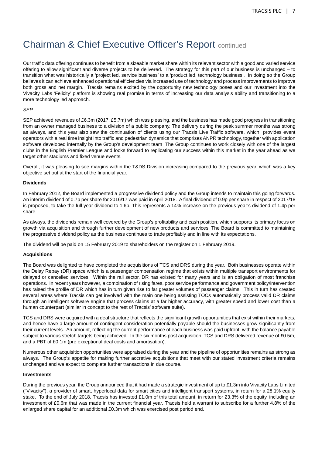Our traffic data offering continues to benefit from a sizeable market share within its relevant sector with a good and varied service offering to allow significant and diverse projects to be delivered. The strategy for this part of our business is unchanged – to transition what was historically a 'project led, service business' to a 'product led, technology business'. In doing so the Group believes it can achieve enhanced operational efficiencies via increased use of technology and process improvements to improve both gross and net margin. Tracsis remains excited by the opportunity new technology poses and our investment into the Vivacity Labs 'Felicity' platform is showing real promise in terms of increasing our data analysis ability and transitioning to a more technology led approach.

#### SEP

SEP achieved revenues of £6.3m (2017: £5.7m) which was pleasing, and the business has made good progress in transitioning from an owner managed business to a division of a public company. The delivery during the peak summer months was strong as always, and this year also saw the continuation of clients using our Tracsis Live Traffic software, which provides event operators with a real time insight into traffic and pedestrian dynamics that comprises ANPR technology, together with application software developed internally by the Group's development team The Group continues to work closely with one of the largest clubs in the English Premier League and looks forward to replicating our success within this market in the year ahead as we target other stadiums and fixed venue events.

Overall, it was pleasing to see margins within the T&DS Division increasing compared to the previous year, which was a key objective set out at the start of the financial year.

#### **Dividends**

In February 2012, the Board implemented a progressive dividend policy and the Group intends to maintain this going forwards. An interim dividend of 0.7p per share for 2016/17 was paid in April 2018. A final dividend of 0.9p per share in respect of 2017/18 is proposed, to take the full year dividend to 1.6p. This represents a 14% increase on the previous year's dividend of 1.4p per share.

As always, the dividends remain well covered by the Group's profitability and cash position, which supports its primary focus on growth via acquisition and through further development of new products and services. The Board is committed to maintaining the progressive dividend policy as the business continues to trade profitably and in line with its expectations.

The dividend will be paid on 15 February 2019 to shareholders on the register on 1 February 2019.

#### **Acquisitions**

The Board was delighted to have completed the acquisitions of TCS and DRS during the year. Both businesses operate within the Delay Repay (DR) space which is a passenger compensation regime that exists within multiple transport environments for delayed or cancelled services. Within the rail sector, DR has existed for many years and is an obligation of most franchise operations. In recent years however, a combination of rising fares, poor service performance and government policy/intervention has raised the profile of DR which has in turn given rise to far greater volumes of passenger claims. This in turn has created several areas where Tracsis can get involved with the main one being assisting TOCs automatically process valid DR claims through an intelligent software engine that process claims at a far higher accuracy, with greater speed and lower cost than a human counterpart (similar in concept to the rest of Tracsis' software suite).

TCS and DRS were acquired with a deal structure that reflects the significant growth opportunities that exist within their markets, and hence have a large amount of contingent consideration potentially payable should the businesses grow significantly from their current levels. An amount, reflecting the current performance of each business was paid upfront, with the balance payable subject to various stretch targets being achieved. In the six months post acquisition, TCS and DRS delivered revenue of £0.5m, and a PBT of £0.1m (pre exceptional deal costs and amortisation).

Numerous other acquisition opportunities were appraised during the year and the pipeline of opportunities remains as strong as always. The Group's appetite for making further accretive acquisitions that meet with our stated investment criteria remains unchanged and we expect to complete further transactions in due course.

#### **Investments**

During the previous year, the Group announced that it had made a strategic investment of up to £1.3m into Vivacity Labs Limited ("Vivacity"), a provider of smart, hyperlocal data for smart cities and intelligent transport systems, in return for a 28.1% equity stake. To the end of July 2018, Tracsis has invested £1.0m of this total amount, in return for 23.3% of the equity, including an investment of £0.6m that was made in the current financial year. Tracsis held a warrant to subscribe for a further 4.8% of the enlarged share capital for an additional £0.3m which was exercised post period end.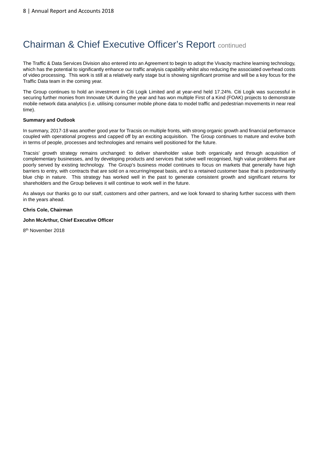The Traffic & Data Services Division also entered into an Agreement to begin to adopt the Vivacity machine learning technology, which has the potential to significantly enhance our traffic analysis capability whilst also reducing the associated overhead costs of video processing. This work is still at a relatively early stage but is showing significant promise and will be a key focus for the Traffic Data team in the coming year.

The Group continues to hold an investment in Citi Logik Limited and at year-end held 17.24%. Citi Logik was successful in securing further monies from Innovate UK during the year and has won multiple First of a Kind (FOAK) projects to demonstrate mobile network data analytics (i.e. utilising consumer mobile phone data to model traffic and pedestrian movements in near real time).

#### **Summary and Outlook**

In summary, 2017-18 was another good year for Tracsis on multiple fronts, with strong organic growth and financial performance coupled with operational progress and capped off by an exciting acquisition. The Group continues to mature and evolve both in terms of people, processes and technologies and remains well positioned for the future.

Tracsis' growth strategy remains unchanged: to deliver shareholder value both organically and through acquisition of complementary businesses, and by developing products and services that solve well recognised, high value problems that are poorly served by existing technology. The Group's business model continues to focus on markets that generally have high barriers to entry, with contracts that are sold on a recurring/repeat basis, and to a retained customer base that is predominantly blue chip in nature. This strategy has worked well in the past to generate consistent growth and significant returns for shareholders and the Group believes it will continue to work well in the future.

As always our thanks go to our staff, customers and other partners, and we look forward to sharing further success with them in the years ahead.

#### **Chris Cole, Chairman**

#### **John McArthur, Chief Executive Officer**

8<sup>th</sup> November 2018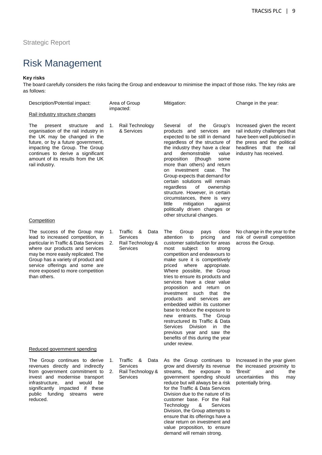# Risk Management

#### **Key risks**

The board carefully considers the risks facing the Group and endeavour to minimise the impact of those risks. The key risks are as follows:

| Description/Potential impact:                                                                                                                                                                                                                                                                                   |          | Area of Group<br>impacted:                                                   | Mitigation:                                                                                                                                                                                                                                                                                                                                                                                                                                                                                                                                                                                                                                                                                             | Change in the year:                                                                                                                                                             |
|-----------------------------------------------------------------------------------------------------------------------------------------------------------------------------------------------------------------------------------------------------------------------------------------------------------------|----------|------------------------------------------------------------------------------|---------------------------------------------------------------------------------------------------------------------------------------------------------------------------------------------------------------------------------------------------------------------------------------------------------------------------------------------------------------------------------------------------------------------------------------------------------------------------------------------------------------------------------------------------------------------------------------------------------------------------------------------------------------------------------------------------------|---------------------------------------------------------------------------------------------------------------------------------------------------------------------------------|
| Rail industry structure changes                                                                                                                                                                                                                                                                                 |          |                                                                              |                                                                                                                                                                                                                                                                                                                                                                                                                                                                                                                                                                                                                                                                                                         |                                                                                                                                                                                 |
| The<br>present<br>structure<br>and<br>organisation of the rail industry in<br>the UK may be changed in the<br>future, or by a future government,<br>impacting the Group. The Group<br>continues to derive a significant<br>amount of its results from the UK<br>rail industry.                                  | 1.       | Rail Technology<br>& Services                                                | Several<br>οf<br>the<br>Group's<br>products and services are<br>expected to be still in demand<br>regardless of the structure of<br>the industry they have a clear<br>and<br>demonstrable<br>value<br>proposition<br>(though<br>some<br>more than others) and return<br>on investment case. The<br>Group expects that demand for<br>certain solutions will remain<br>of<br>regardless<br>ownership<br>structure. However, in certain<br>circumstances, there is very<br>little<br>mitigation<br>against<br>politically driven changes or<br>other structural changes.                                                                                                                                   | Increased given the recent<br>rail industry challenges that<br>have been well publicised in<br>the press and the political<br>headlines that the rail<br>industry has received. |
| Competition                                                                                                                                                                                                                                                                                                     |          |                                                                              |                                                                                                                                                                                                                                                                                                                                                                                                                                                                                                                                                                                                                                                                                                         |                                                                                                                                                                                 |
| The success of the Group may<br>lead to increased competition, in<br>particular in Traffic & Data Services<br>where our products and services<br>may be more easily replicated. The<br>Group has a variety of product and<br>service offerings and some are<br>more exposed to more competition<br>than others. | 1.<br>2. | Traffic &<br>Data<br>Services<br>Rail Technology &<br>Services               | The<br>Group<br>pays<br>close<br>pricing<br>attention<br>to<br>and<br>customer satisfaction for areas<br>subject<br>to<br>most<br>strong<br>competition and endeavours to<br>make sure it is competitively<br>where<br>appropriate.<br>priced<br>Where possible, the Group<br>tries to ensure its products and<br>services have a clear value<br>proposition and return<br>on<br>investment such<br>that<br>the<br>products and services<br>are<br>embedded within its customer<br>base to reduce the exposure to<br>new entrants. The Group<br>restructured its Traffic & Data<br>Division<br>Services<br>in.<br>the<br>previous year and saw the<br>benefits of this during the year<br>under review. | No change in the year to the<br>risk of overall competition<br>across the Group.                                                                                                |
| Reduced government spending                                                                                                                                                                                                                                                                                     |          |                                                                              |                                                                                                                                                                                                                                                                                                                                                                                                                                                                                                                                                                                                                                                                                                         |                                                                                                                                                                                 |
| The Group continues to derive<br>revenues directly and indirectly<br>from government commitment to<br>invest and modernise transport<br>infrastructure,<br>and<br>would<br>be<br>significantly impacted if these<br>public funding streams<br>were<br>reduced.                                                  | 1.<br>2. | Traffic &<br>Data<br><b>Services</b><br>Rail Technology &<br><b>Services</b> | As the Group continues to<br>grow and diversify its revenue<br>streams, the exposure to<br>government spending should<br>reduce but will always be a risk<br>for the Traffic & Data Services<br>Division due to the nature of its<br>customer base. For the Rail<br>Technology<br><b>Services</b><br>&<br>Division, the Group attempts to<br>ensure that its offerings have a<br>clear return on investment and<br>value proposition, to ensure<br>demand will remain strong.                                                                                                                                                                                                                           | Increased in the year given<br>the increased proximity to<br>'Brexit'<br>the<br>and<br>uncertainties<br>this<br>may<br>potentially bring.                                       |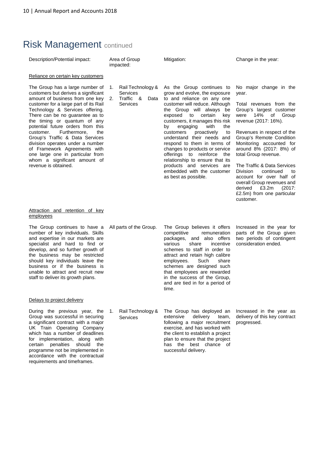# Risk Management continued

| Description/Potential impact:                                                                                                                                                                                                                                                                                                                                                                                                                                                                                                        | Area of Group<br>impacted:                                                        | Mitigation:                                                                                                                                                                                                                                                                                                                                                                                                                                                                                                                                        | Change in the year:                                                                                                                                                                                                                                                                                                                                                                                                                                                                        |
|--------------------------------------------------------------------------------------------------------------------------------------------------------------------------------------------------------------------------------------------------------------------------------------------------------------------------------------------------------------------------------------------------------------------------------------------------------------------------------------------------------------------------------------|-----------------------------------------------------------------------------------|----------------------------------------------------------------------------------------------------------------------------------------------------------------------------------------------------------------------------------------------------------------------------------------------------------------------------------------------------------------------------------------------------------------------------------------------------------------------------------------------------------------------------------------------------|--------------------------------------------------------------------------------------------------------------------------------------------------------------------------------------------------------------------------------------------------------------------------------------------------------------------------------------------------------------------------------------------------------------------------------------------------------------------------------------------|
| Reliance on certain key customers                                                                                                                                                                                                                                                                                                                                                                                                                                                                                                    |                                                                                   |                                                                                                                                                                                                                                                                                                                                                                                                                                                                                                                                                    |                                                                                                                                                                                                                                                                                                                                                                                                                                                                                            |
| The Group has a large number of<br>customers but derives a significant<br>amount of business from one key<br>customer for a large part of its Rail<br>Technology & Services offering.<br>There can be no guarantee as to<br>the timing or quantum of any<br>potential future orders from this<br>customer.<br>Furthermore,<br>the<br>Group's Traffic & Data Services<br>division operates under a number<br>of Framework Agreements with<br>one large one in particular from<br>whom a significant amount of<br>revenue is obtained. | Rail Technology &<br>1.<br><b>Services</b><br>Traffic &<br>2.<br>Data<br>Services | As the Group continues to<br>grow and evolve, the exposure<br>to and reliance on any one<br>customer will reduce. Although<br>the Group will always be<br>certain<br>exposed<br>to<br>key<br>customers, it manages this risk<br>with<br>the<br>engaging<br>by<br>proactively<br>customers<br>to<br>understand their needs and<br>respond to them in terms of<br>changes to products or service<br>offerings to reinforce the<br>relationship to ensure that its<br>products and services are<br>embedded with the customer<br>as best as possible. | No major change in the<br>year.<br>Total revenues from the<br>Group's largest customer<br>14%<br>of Group<br>were<br>revenue (2017: 16%).<br>Revenues in respect of the<br>Group's Remote Condition<br>Monitoring accounted for<br>around 8% (2017: 8%) of<br>total Group revenue.<br>The Traffic & Data Services<br><b>Division</b><br>continued<br>to<br>account for over half of<br>overall Group revenues and<br>derived<br>£3.2m<br>(2017)<br>£2.5m) from one particular<br>customer. |
| Attraction and retention of key<br>employees                                                                                                                                                                                                                                                                                                                                                                                                                                                                                         |                                                                                   |                                                                                                                                                                                                                                                                                                                                                                                                                                                                                                                                                    |                                                                                                                                                                                                                                                                                                                                                                                                                                                                                            |
| The Group continues to have a<br>number of key individuals. Skills<br>and expertise in our markets are<br>specialist and hard to find or<br>develop, and so further growth of<br>the business may be restricted<br>should key individuals leave the<br>business or if the business is<br>unable to attract and recruit new<br>staff to deliver its growth plans.                                                                                                                                                                     | All parts of the Group.                                                           | The Group believes it offers<br>competitive<br>remuneration<br>and also offers<br>packages,<br>various<br>share<br>incentive<br>schemes to staff in order to<br>attract and retain high calibre<br>employees.<br>Such<br>share<br>schemes are designed such<br>that employees are rewarded<br>in the success of the Group,<br>and are tied in for a period of<br>time.                                                                                                                                                                             | Increased in the year for<br>parts of the Group given<br>two periods of contingent<br>consideration ended.                                                                                                                                                                                                                                                                                                                                                                                 |
| Delays to project delivery                                                                                                                                                                                                                                                                                                                                                                                                                                                                                                           |                                                                                   |                                                                                                                                                                                                                                                                                                                                                                                                                                                                                                                                                    |                                                                                                                                                                                                                                                                                                                                                                                                                                                                                            |
| During the previous year, the<br>Group was successful in securing<br>a significant contract with a major<br>UK Train Operating Company<br>which has a number of deadlines<br>for implementation, along with<br>should<br>penalties<br>certain<br>the<br>programme not be implemented in<br>accordance with the contractual<br>requirements and timeframes.                                                                                                                                                                           | Rail Technology &<br>1.<br><b>Services</b>                                        | The Group has deployed an<br>extensive<br>delivery<br>team,<br>following a major recruitment<br>exercise, and has worked with<br>the client to establish a project<br>plan to ensure that the project<br>has the best chance of<br>successful delivery.                                                                                                                                                                                                                                                                                            | Increased in the year as<br>delivery of this key contract<br>progressed.                                                                                                                                                                                                                                                                                                                                                                                                                   |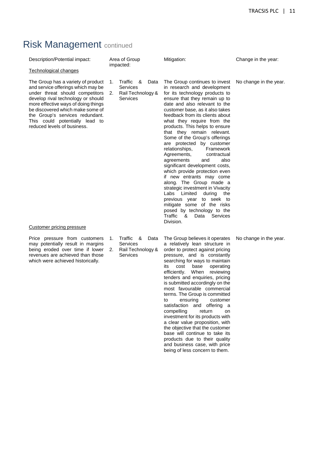# Risk Management continued

| Description/Potential impact:                                                                                                                                                                                                                                                                                                                                        |          | Area of Group<br>impacted:                                            | Mitigation:                                                                                                                                                                                                                                                                                                                                                                                                                                                                                                                                                                                                                                                                                                                                                                                                                                    | Change in the year:    |
|----------------------------------------------------------------------------------------------------------------------------------------------------------------------------------------------------------------------------------------------------------------------------------------------------------------------------------------------------------------------|----------|-----------------------------------------------------------------------|------------------------------------------------------------------------------------------------------------------------------------------------------------------------------------------------------------------------------------------------------------------------------------------------------------------------------------------------------------------------------------------------------------------------------------------------------------------------------------------------------------------------------------------------------------------------------------------------------------------------------------------------------------------------------------------------------------------------------------------------------------------------------------------------------------------------------------------------|------------------------|
| Technological changes                                                                                                                                                                                                                                                                                                                                                |          |                                                                       |                                                                                                                                                                                                                                                                                                                                                                                                                                                                                                                                                                                                                                                                                                                                                                                                                                                |                        |
| The Group has a variety of product<br>and service offerings which may be<br>under threat should competitors<br>develop rival technology or should<br>more effective ways of doing things<br>be discovered which make some of<br>the Group's services redundant.<br>This could potentially lead to<br>reduced levels of business.<br><b>Customer pricing pressure</b> | 1.<br>2. | Traffic &<br>Data<br>Services<br>Rail Technology &<br><b>Services</b> | The Group continues to invest<br>in research and development<br>for its technology products to<br>ensure that they remain up to<br>date and also relevant to the<br>customer base, as it also takes<br>feedback from its clients about<br>what they require from the<br>products. This helps to ensure<br>that they remain relevant.<br>Some of the Group's offerings<br>are protected by customer<br>relationships,<br>Framework<br>Agreements,<br>contractual<br>agreements<br>also<br>and<br>significant development costs,<br>which provide protection even<br>if new entrants may come<br>along. The Group made a<br>strategic investment in Vivacity<br>Limited<br>Labs<br>during<br>the<br>previous year to seek to<br>mitigate some of the risks<br>posed by technology to the<br><b>Traffic</b><br>&<br>Services<br>Data<br>Division. | No change in the year. |
| Price pressure from customers<br>may potentially result in margins<br>being eroded over time if lower<br>revenues are achieved than those<br>which were achieved historically.                                                                                                                                                                                       | 1.<br>2. | Traffic &<br>Data<br>Services<br>Rail Technology &<br>Services        | The Group believes it operates<br>a relatively lean structure in<br>order to protect against pricing<br>pressure, and is constantly<br>searching for ways to maintain<br>cost<br>base<br>operating<br>its<br>efficiently. When<br>reviewing<br>tenders and enquiries, pricing<br>is submitted accordingly on the<br>most favourable commercial<br>terms. The Group is committed<br>ensuring<br>customer<br>to<br>satisfaction and offering a<br>compelling<br>return<br>on<br>investment for its products with<br>a clear value proposition, with<br>the objective that the customer<br>base will continue to take its<br>products due to their quality<br>and business case, with price<br>being of less concern to them.                                                                                                                     | No change in the year. |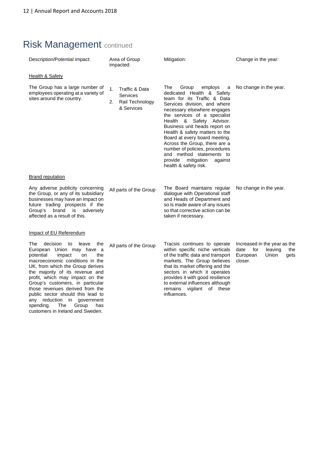spending. The Group has customers in Ireland and Sweden.

# Risk Management continued

| Description/Potential impact:                                                                                                                                                                                                                                                                                                                                                                                 | Area of Group<br>impacted:                                              | Mitigation:                                                                                                                                                                                                                                                                                                                                                                                                                                                                         | Change in the year:                                                                                   |  |
|---------------------------------------------------------------------------------------------------------------------------------------------------------------------------------------------------------------------------------------------------------------------------------------------------------------------------------------------------------------------------------------------------------------|-------------------------------------------------------------------------|-------------------------------------------------------------------------------------------------------------------------------------------------------------------------------------------------------------------------------------------------------------------------------------------------------------------------------------------------------------------------------------------------------------------------------------------------------------------------------------|-------------------------------------------------------------------------------------------------------|--|
| <b>Health &amp; Safety</b>                                                                                                                                                                                                                                                                                                                                                                                    |                                                                         |                                                                                                                                                                                                                                                                                                                                                                                                                                                                                     |                                                                                                       |  |
| The Group has a large number of<br>employees operating at a variety of<br>sites around the country.                                                                                                                                                                                                                                                                                                           | 1.<br>Traffic & Data<br>Services<br>Rail Technology<br>2.<br>& Services | The<br>Group<br>employs<br>a<br>dedicated Health & Safety<br>team for its Traffic & Data<br>Services division, and where<br>necessary elsewhere engages<br>the services of a specialist<br>Health & Safety Advisor.<br>Business unit heads report on<br>Health & safety matters to the<br>Board at every board meeting.<br>Across the Group, there are a<br>number of policies, procedures<br>and method statements to<br>provide<br>mitigation<br>against<br>health & safety risk. | No change in the year.                                                                                |  |
| <b>Brand reputation</b>                                                                                                                                                                                                                                                                                                                                                                                       |                                                                         |                                                                                                                                                                                                                                                                                                                                                                                                                                                                                     |                                                                                                       |  |
| Any adverse publicity concerning<br>the Group, or any of its subsidiary<br>businesses may have an impact on<br>future trading prospects if the<br>brand is adversely<br>Group's<br>affected as a result of this.                                                                                                                                                                                              | All parts of the Group                                                  | The Board maintains regular<br>dialogue with Operational staff<br>and Heads of Department and<br>so is made aware of any issues<br>so that corrective action can be<br>taken if necessary.                                                                                                                                                                                                                                                                                          | No change in the year.                                                                                |  |
| Impact of EU Referendum                                                                                                                                                                                                                                                                                                                                                                                       |                                                                         |                                                                                                                                                                                                                                                                                                                                                                                                                                                                                     |                                                                                                       |  |
| decision<br>The<br>to<br>leave<br>the<br>European Union may have<br>- a<br>potential<br>the<br>impact<br>on<br>macroeconomic conditions in the<br>UK, from which the Group derives<br>the majority of its revenue and<br>profit, which may impact on the<br>Group's customers, in particular<br>those revenues derived from the<br>public sector should this lead to<br>reduction<br>in.<br>government<br>any | All parts of the Group                                                  | Tracsis continues to operate<br>within specific niche verticals<br>of the traffic data and transport<br>markets. The Group believes<br>that its market offering and the<br>sectors in which it operates<br>provides it with good resilience<br>to external influences although<br>vigilant of these<br>remains<br>influences.                                                                                                                                                       | Increased in the year as the<br>date<br>for<br>leaving<br>the<br>European<br>Union<br>gets<br>closer. |  |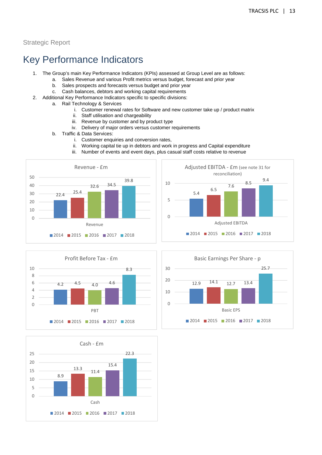# Key Performance Indicators

- 1. The Group's main Key Performance Indicators (KPIs) assessed at Group Level are as follows:
	- a. Sales Revenue and various Profit metrics versus budget, forecast and prior year
	- b. Sales prospects and forecasts versus budget and prior year
	- c. Cash balances, debtors and working capital requirements
- 2. Additional Key Performance Indicators specific to specific divisions:
	- a. Rail Technology & Services
		- i. Customer renewal rates for Software and new customer take up / product matrix
		- ii. Staff utilisation and chargeability
		- iii. Revenue by customer and by product type
		- iv. Delivery of major orders versus customer requirements
	- b. Traffic & Data Services:
		- i. Customer enquiries and conversion rates,
		- ii. Working capital tie up in debtors and work in progress and Capital expenditure
		- iii. Number of events and event days, plus casual staff costs relative to revenue









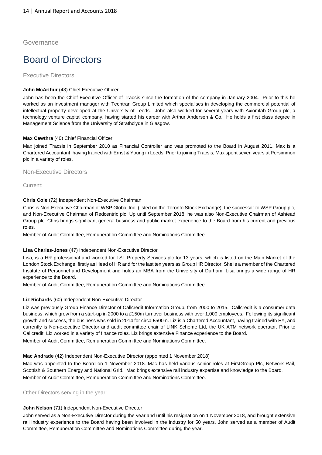Governance

# Board of Directors

#### Executive Directors

#### **John McArthur (43) Chief Executive Officer**

John has been the Chief Executive Officer of Tracsis since the formation of the company in January 2004. Prior to this he worked as an investment manager with Techtran Group Limited which specialises in developing the commercial potential of intellectual property developed at the University of Leeds. John also worked for several years with Axiomlab Group plc, a technology venture capital company, having started his career with Arthur Andersen & Co. He holds a first class degree in Management Science from the University of Strathclyde in Glasgow.

#### **Max Cawthra** (40) Chief Financial Officer

Max joined Tracsis in September 2010 as Financial Controller and was promoted to the Board in August 2011. Max is a Chartered Accountant, having trained with Ernst & Young in Leeds. Prior to joining Tracsis, Max spent seven years at Persimmon plc in a variety of roles.

#### Non-Executive Directors

Current:

#### **Chris Cole** (72) Independent Non-Executive Chairman

Chris is Non-Executive Chairman of WSP Global Inc. (listed on the Toronto Stock Exchange), the successor to WSP Group plc, and Non-Executive Chairman of Redcentric plc. Up until September 2018, he was also Non-Executive Chairman of Ashtead Group plc. Chris brings significant general business and public market experience to the Board from his current and previous roles.

Member of Audit Committee, Remuneration Committee and Nominations Committee.

#### **Lisa Charles-Jones** (47) Independent Non-Executive Director

Lisa, is a HR professional and worked for LSL Property Services plc for 13 years, which is listed on the Main Market of the London Stock Exchange, firstly as Head of HR and for the last ten years as Group HR Director. She is a member of the Chartered Institute of Personnel and Development and holds an MBA from the University of Durham. Lisa brings a wide range of HR experience to the Board.

Member of Audit Committee, Remuneration Committee and Nominations Committee.

#### **Liz Richards** (60) Independent Non-Executive Director

Liz was previously Group Finance Director of Callcredit Information Group, from 2000 to 2015. Callcredit is a consumer data business, which grew from a start-up in 2000 to a £150m turnover business with over 1,000 employees. Following its significant growth and success, the business was sold in 2014 for circa £500m. Liz is a Chartered Accountant, having trained with EY, and currently is Non-executive Director and audit committee chair of LINK Scheme Ltd, the UK ATM network operator. Prior to Callcredit, Liz worked in a variety of finance roles. Liz brings extensive Finance experience to the Board.

Member of Audit Committee, Remuneration Committee and Nominations Committee.

#### **Mac Andrade** (42) Independent Non-Executive Director (appointed 1 November 2018)

Mac was appointed to the Board on 1 November 2018. Mac has held various senior roles at FirstGroup Plc, Network Rail, Scottish & Southern Energy and National Grid. Mac brings extensive rail industry expertise and knowledge to the Board. Member of Audit Committee, Remuneration Committee and Nominations Committee.

Other Directors serving in the year:

#### **John Nelson** (71) Independent Non-Executive Director

John served as a Non-Executive Director during the year and until his resignation on 1 November 2018, and brought extensive rail industry experience to the Board having been involved in the industry for 50 years. John served as a member of Audit Committee, Remuneration Committee and Nominations Committee during the year.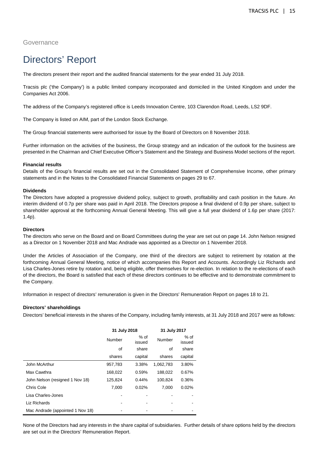#### Governance

# Directors' Report

The directors present their report and the audited financial statements for the year ended 31 July 2018.

Tracsis plc ('the Company') is a public limited company incorporated and domiciled in the United Kingdom and under the Companies Act 2006.

The address of the Company's registered office is Leeds Innovation Centre, 103 Clarendon Road, Leeds, LS2 9DF.

The Company is listed on AIM, part of the London Stock Exchange.

The Group financial statements were authorised for issue by the Board of Directors on 8 November 2018.

Further information on the activities of the business, the Group strategy and an indication of the outlook for the business are presented in the Chairman and Chief Executive Officer's Statement and the Strategy and Business Model sections of the report.

#### **Financial results**

Details of the Group's financial results are set out in the Consolidated Statement of Comprehensive Income, other primary statements and in the Notes to the Consolidated Financial Statements on pages 29 to 67.

#### **Dividends**

The Directors have adopted a progressive dividend policy, subject to growth, profitability and cash position in the future. An interim dividend of 0.7p per share was paid in April 2018. The Directors propose a final dividend of 0.9p per share, subject to shareholder approval at the forthcoming Annual General Meeting. This will give a full year dividend of 1.6p per share (2017: 1.4p).

#### **Directors**

The directors who serve on the Board and on Board Committees during the year are set out on page 14. John Nelson resigned as a Director on 1 November 2018 and Mac Andrade was appointed as a Director on 1 November 2018.

Under the Articles of Association of the Company, one third of the directors are subject to retirement by rotation at the forthcoming Annual General Meeting, notice of which accompanies this Report and Accounts. Accordingly Liz Richards and Lisa Charles-Jones retire by rotation and, being eligible, offer themselves for re-election. In relation to the re-elections of each of the directors, the Board is satisfied that each of these directors continues to be effective and to demonstrate commitment to the Company.

Information in respect of directors' remuneration is given in the Directors' Remuneration Report on pages 18 to 21.

#### **Directors' shareholdings**

Directors' beneficial interests in the shares of the Company, including family interests, at 31 July 2018 and 2017 were as follows:

|                                  | 31 July 2018 |                            | 31 July 2017 |                |  |
|----------------------------------|--------------|----------------------------|--------------|----------------|--|
|                                  | Number       | $%$ of<br>Number<br>issued |              | % of<br>issued |  |
|                                  | οf           | share                      | οf           | share          |  |
|                                  | shares       | capital                    | shares       | capital        |  |
| John McArthur                    | 957,783      | 3.38%                      | 1.062.783    | 3.80%          |  |
| Max Cawthra                      | 168,022      | 0.59%                      | 188,022      | 0.67%          |  |
| John Nelson (resigned 1 Nov 18)  | 125,824      | 0.44%                      | 100,824      | 0.36%          |  |
| Chris Cole                       | 7,000        | 0.02%                      | 7.000        | 0.02%          |  |
| Lisa Charles-Jones               |              |                            |              |                |  |
| Liz Richards                     |              |                            |              |                |  |
| Mac Andrade (appointed 1 Nov 18) |              |                            |              |                |  |

None of the Directors had any interests in the share capital of subsidiaries. Further details of share options held by the directors are set out in the Directors' Remuneration Report.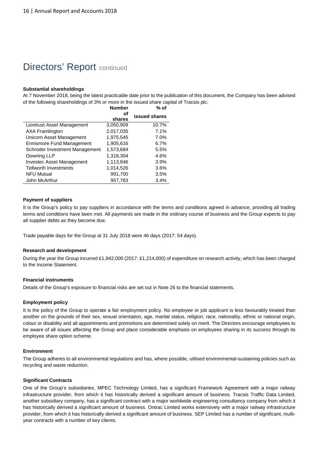# **Directors' Report continued**

#### **Substantial shareholdings**

At 7 November 2018, being the latest practicable date prior to the publication of this document, the Company has been advised of the following shareholdings of 3% or more in the issued share capital of Tracsis plc:

|                                  | <b>Number</b> | % of          |
|----------------------------------|---------------|---------------|
|                                  | оf<br>shares  | issued shares |
| Liontrust Asset Management       | 3,050,909     | 10.7%         |
| <b>AXA Framlington</b>           | 2,017,035     | 7.1%          |
| Unicorn Asset Management         | 1,975,545     | 7.0%          |
| <b>Ennismore Fund Management</b> | 1,905,616     | 6.7%          |
| Schroder Investment Management   | 1,573,684     | 5.5%          |
| Downing LLP                      | 1,318,304     | 4.6%          |
| Investec Asset Management        | 1,113,846     | 3.9%          |
| <b>Tellworth Investments</b>     | 1,014,526     | 3.6%          |
| <b>NFU Mutual</b>                | 991,700       | 3.5%          |
| John McArthur                    | 957,783       | 3.4%          |

#### **Payment of suppliers**

It is the Group's policy to pay suppliers in accordance with the terms and conditions agreed in advance, providing all trading terms and conditions have been met. All payments are made in the ordinary course of business and the Group expects to pay all supplier debts as they become due.

Trade payable days for the Group at 31 July 2018 were 46 days (2017: 54 days).

#### **Research and development**

During the year the Group incurred £1,942,000 (2017: £1,214,000) of expenditure on research activity, which has been charged to the Income Statement.

#### **Financial instruments**

Details of the Group's exposure to financial risks are set out in Note 26 to the financial statements.

#### **Employment policy**

It is the policy of the Group to operate a fair employment policy. No employee or job applicant is less favourably treated than another on the grounds of their sex, sexual orientation, age, marital status, religion, race, nationality, ethnic or national origin, colour or disability and all appointments and promotions are determined solely on merit. The Directors encourage employees to be aware of all issues affecting the Group and place considerable emphasis on employees sharing in its success through its employee share option scheme.

#### **Environment**

The Group adheres to all environmental regulations and has, where possible, utilised environmental-sustaining policies such as recycling and waste reduction.

#### **Significant Contracts**

One of the Group's subsidiaries, MPEC Technology Limited, has a significant Framework Agreement with a major railway infrastructure provider, from which it has historically derived a significant amount of business. Tracsis Traffic Data Limited, another subsidiary company, has a significant contract with a major worldwide engineering consultancy company from which it has historically derived a significant amount of business. Ontrac Limited works extensively with a major railway infrastructure provider, from which it has historically derived a significant amount of business. SEP Limited has a number of significant, multiyear contracts with a number of key clients.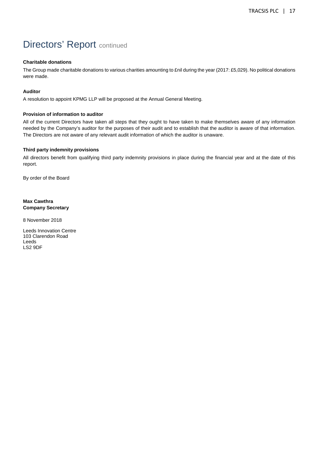# Directors' Report continued

#### **Charitable donations**

The Group made charitable donations to various charities amounting to £nil during the year (2017: £5,029). No political donations were made.

#### **Auditor**

A resolution to appoint KPMG LLP will be proposed at the Annual General Meeting.

#### **Provision of information to auditor**

All of the current Directors have taken all steps that they ought to have taken to make themselves aware of any information needed by the Company's auditor for the purposes of their audit and to establish that the auditor is aware of that information. The Directors are not aware of any relevant audit information of which the auditor is unaware.

#### **Third party indemnity provisions**

All directors benefit from qualifying third party indemnity provisions in place during the financial year and at the date of this report.

By order of the Board

**Max Cawthra Company Secretary** 

8 November 2018

Leeds Innovation Centre 103 Clarendon Road Leeds LS2 9DF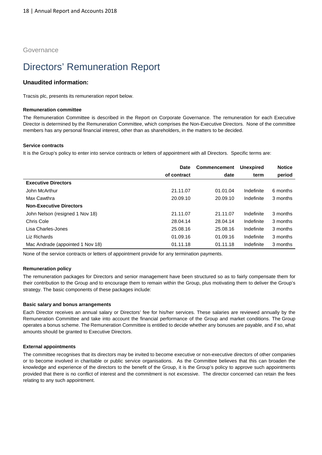Governance

# Directors' Remuneration Report

#### **Unaudited information:**

Tracsis plc, presents its remuneration report below.

#### **Remuneration committee**

The Remuneration Committee is described in the Report on Corporate Governance. The remuneration for each Executive Director is determined by the Remuneration Committee, which comprises the Non-Executive Directors. None of the committee members has any personal financial interest, other than as shareholders, in the matters to be decided.

#### **Service contracts**

It is the Group's policy to enter into service contracts or letters of appointment with all Directors. Specific terms are:

|                                  | <b>Commencement</b><br><b>Date</b> |          | <b>Unexpired</b> | <b>Notice</b> |
|----------------------------------|------------------------------------|----------|------------------|---------------|
|                                  | of contract                        | date     | term             | period        |
| <b>Executive Directors</b>       |                                    |          |                  |               |
| John McArthur                    | 21.11.07                           | 01.01.04 | Indefinite       | 6 months      |
| Max Cawthra                      | 20.09.10                           | 20.09.10 | Indefinite       | 3 months      |
| <b>Non-Executive Directors</b>   |                                    |          |                  |               |
| John Nelson (resigned 1 Nov 18)  | 21.11.07                           | 21.11.07 | Indefinite       | 3 months      |
| Chris Cole                       | 28.04.14                           | 28.04.14 | Indefinite       | 3 months      |
| Lisa Charles-Jones               | 25.08.16                           | 25.08.16 | Indefinite       | 3 months      |
| Liz Richards                     | 01.09.16                           | 01.09.16 | Indefinite       | 3 months      |
| Mac Andrade (appointed 1 Nov 18) | 01.11.18                           | 01.11.18 | Indefinite       | 3 months      |

None of the service contracts or letters of appointment provide for any termination payments.

#### **Remuneration policy**

The remuneration packages for Directors and senior management have been structured so as to fairly compensate them for their contribution to the Group and to encourage them to remain within the Group, plus motivating them to deliver the Group's strategy. The basic components of these packages include:

#### **Basic salary and bonus arrangements**

Each Director receives an annual salary or Directors' fee for his/her services. These salaries are reviewed annually by the Remuneration Committee and take into account the financial performance of the Group and market conditions. The Group operates a bonus scheme. The Remuneration Committee is entitled to decide whether any bonuses are payable, and if so, what amounts should be granted to Executive Directors.

#### **External appointments**

The committee recognises that its directors may be invited to become executive or non-executive directors of other companies or to become involved in charitable or public service organisations. As the Committee believes that this can broaden the knowledge and experience of the directors to the benefit of the Group, it is the Group's policy to approve such appointments provided that there is no conflict of interest and the commitment is not excessive. The director concerned can retain the fees relating to any such appointment.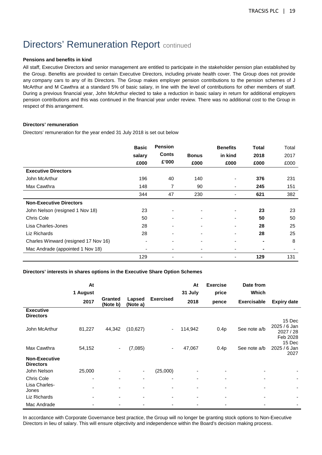# **Directors' Remuneration Report continued**

#### **Pensions and benefits in kind**

All staff, Executive Directors and senior management are entitled to participate in the stakeholder pension plan established by the Group. Benefits are provided to certain Executive Directors, including private health cover. The Group does not provide any company cars to any of its Directors. The Group makes employer pension contributions to the pension schemes of J McArthur and M Cawthra at a standard 5% of basic salary, in line with the level of contributions for other members of staff. During a previous financial year, John McArthur elected to take a reduction in basic salary in return for additional employers pension contributions and this was continued in the financial year under review. There was no additional cost to the Group in respect of this arrangement.

#### **Directors' remuneration**

Directors' remuneration for the year ended 31 July 2018 is set out below

|                                      | <b>Basic</b><br>salary | <b>Pension</b><br>Conts  | <b>Bonus</b>             | <b>Benefits</b><br>in kind | Total<br>2018  | Total<br>2017 |
|--------------------------------------|------------------------|--------------------------|--------------------------|----------------------------|----------------|---------------|
|                                      | £000                   | £'000                    | £000                     | £000                       | £000           | £000          |
| <b>Executive Directors</b>           |                        |                          |                          |                            |                |               |
| John McArthur                        | 196                    | 40                       | 140                      |                            | 376            | 231           |
| Max Cawthra                          | 148                    | 7                        | 90                       |                            | 245            | 151           |
|                                      | 344                    | 47                       | 230                      |                            | 621            | 382           |
| <b>Non-Executive Directors</b>       |                        |                          |                          |                            |                |               |
| John Nelson (resigned 1 Nov 18)      | 23                     | $\overline{\phantom{0}}$ | $\blacksquare$           |                            | 23             | 23            |
| Chris Cole                           | 50                     | ٠                        | $\blacksquare$           |                            | 50             | 50            |
| Lisa Charles-Jones                   | 28                     | -                        | $\overline{\phantom{0}}$ | $\overline{\phantom{0}}$   | 28             | 25            |
| Liz Richards                         | 28                     |                          | $\blacksquare$           |                            | 28             | 25            |
| Charles Winward (resigned 17 Nov 16) | ٠                      | ٠                        | $\overline{\phantom{0}}$ |                            | $\blacksquare$ | 8             |
| Mac Andrade (appointed 1 Nov 18)     | $\blacksquare$         |                          |                          |                            |                |               |
|                                      | 129                    |                          |                          |                            | 129            | 131           |

#### **Directors' interests in shares options in the Executive Share Option Schemes**

|                                             | At             |                     |                          |                          | At                       | <b>Exercise</b> | Date from          |                                                           |
|---------------------------------------------|----------------|---------------------|--------------------------|--------------------------|--------------------------|-----------------|--------------------|-----------------------------------------------------------|
|                                             | 1 August       |                     |                          |                          | 31 July                  | price           | <b>Which</b>       |                                                           |
|                                             | 2017           | Granted<br>(Note b) | Lapsed<br>(Note a)       | <b>Exercised</b>         | 2018                     | pence           | <b>Exercisable</b> | <b>Expiry date</b>                                        |
| <b>Executive</b><br><b>Directors</b>        |                |                     |                          |                          |                          |                 |                    |                                                           |
| John McArthur                               | 81,227         | 44,342              | (10,627)                 |                          | 114,942                  | 0.4p            | See note a/b       | 15 Dec<br>2025 / 6 Jan<br>2027 / 28<br>Feb 2028<br>15 Dec |
| Max Cawthra                                 | 54,152         | ۰.                  | (7,085)                  | ۰.                       | 47,067                   | 0.4p            | See note a/b       | 2025 / 6 Jan                                              |
| <b>Non-Executive</b><br><b>Directors</b>    |                |                     |                          |                          |                          |                 |                    | 2027                                                      |
| John Nelson                                 | 25,000         |                     | $\overline{\phantom{a}}$ | (25,000)                 |                          |                 |                    |                                                           |
| <b>Chris Cole</b><br>Lisa Charles-<br>Jones | ٠              |                     | $\overline{\phantom{a}}$ | ٠                        |                          |                 |                    | ۰                                                         |
| Liz Richards                                | $\blacksquare$ | ٠                   | $\overline{\phantom{a}}$ | $\overline{\phantom{a}}$ | $\overline{\phantom{0}}$ | ٠               |                    |                                                           |
| Mac Andrade                                 |                |                     |                          |                          |                          |                 |                    |                                                           |

In accordance with Corporate Governance best practice, the Group will no longer be granting stock options to Non-Executive Directors in lieu of salary. This will ensure objectivity and independence within the Board's decision making process.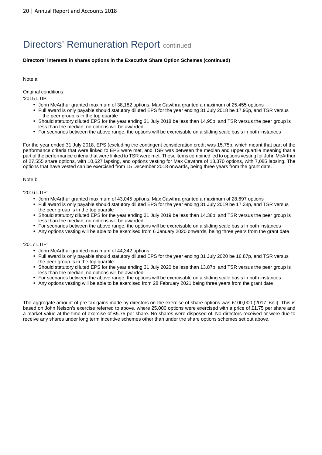# **Directors' Remuneration Report continued**

#### **Directors' interests in shares options in the Executive Share Option Schemes (continued)**

#### Note a

Original conditions:

'2015 LTIP'

- John McArthur granted maximum of 38,182 options, Max Cawthra granted a maximum of 25,455 options
- Full award is only payable should statutory diluted EPS for the year ending 31 July 2018 be 17.95p, and TSR versus the peer group is in the top quartile
- Should statutory diluted EPS for the year ending 31 July 2018 be less than 14.95p, and TSR versus the peer group is less than the median, no options will be awarded
- For scenarios between the above range, the options will be exercisable on a sliding scale basis in both instances

For the year ended 31 July 2018, EPS (excluding the contingent consideration credit was 15.75p, which meant that part of the performance criteria that were linked to EPS were met, and TSR was between the median and upper quartile meaning that a part of the performance criteria that were linked to TSR were met. These items combined led to options vesting for John McArthur of 27,555 share options, with 10,627 lapsing, and options vesting for Max Cawthra of 18,370 options, with 7,085 lapsing. The options that have vested can be exercised from 15 December 2018 onwards, being three years from the grant date.

#### Note b

#### '2016 LTIP'

- John McArthur granted maximum of 43,045 options, Max Cawthra granted a maximum of 28,697 options
- Full award is only payable should statutory diluted EPS for the year ending 31 July 2019 be 17.38p, and TSR versus the peer group is in the top quartile
- Should statutory diluted EPS for the year ending 31 July 2019 be less than 14.38p, and TSR versus the peer group is less than the median, no options will be awarded
- For scenarios between the above range, the options will be exercisable on a sliding scale basis in both instances
- Any options vesting will be able to be exercised from 6 January 2020 onwards, being three years from the grant date

#### '2017 LTIP'

- John McArthur granted maximum of 44,342 options
- Full award is only payable should statutory diluted EPS for the year ending 31 July 2020 be 16.87p, and TSR versus the peer group is in the top quartile
- Should statutory diluted EPS for the year ending 31 July 2020 be less than 13.87p, and TSR versus the peer group is less than the median, no options will be awarded
- For scenarios between the above range, the options will be exercisable on a sliding scale basis in both instances
- Any options vesting will be able to be exercised from 28 February 2021 being three years from the grant date

The aggregate amount of pre-tax gains made by directors on the exercise of share options was £100,000 (2017: £nil). This is based on John Nelson's exercise referred to above, where 25,000 options were exercised with a price of £1.75 per share and a market value at the time of exercise of £5.75 per share. No shares were disposed of. No directors received or were due to receive any shares under long term incentive schemes other than under the share options schemes set out above.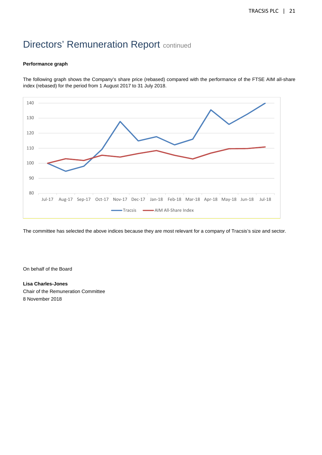# **Directors' Remuneration Report continued**

#### **Performance graph**

The following graph shows the Company's share price (rebased) compared with the performance of the FTSE AIM all-share index (rebased) for the period from 1 August 2017 to 31 July 2018.



The committee has selected the above indices because they are most relevant for a company of Tracsis's size and sector.

On behalf of the Board

#### **Lisa Charles-Jones**

Chair of the Remuneration Committee 8 November 2018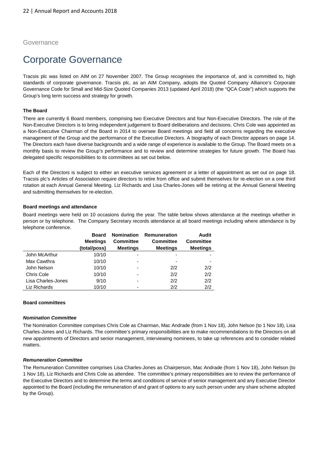#### Governance

# Corporate Governance

Tracsis plc was listed on AIM on 27 November 2007. The Group recognises the importance of, and is committed to, high standards of corporate governance. Tracsis plc, as an AIM Company, adopts the Quoted Company Alliance's Corporate Governance Code for Small and Mid-Size Quoted Companies 2013 (updated April 2018) (the "QCA Code") which supports the Group's long term success and strategy for growth.

#### **The Board**

There are currently 6 Board members, comprising two Executive Directors and four Non-Executive Directors. The role of the Non-Executive Directors is to bring independent judgement to Board deliberations and decisions. Chris Cole was appointed as a Non-Executive Chairman of the Board in 2014 to oversee Board meetings and field all concerns regarding the executive management of the Group and the performance of the Executive Directors. A biography of each Director appears on page 14. The Directors each have diverse backgrounds and a wide range of experience is available to the Group. The Board meets on a monthly basis to review the Group's performance and to review and determine strategies for future growth. The Board has delegated specific responsibilities to its committees as set out below.

Each of the Directors is subject to either an executive services agreement or a letter of appointment as set out on page 18. Tracsis plc's Articles of Association require directors to retire from office and submit themselves for re-election on a one third rotation at each Annual General Meeting. Liz Richards and Lisa Charles-Jones will be retiring at the Annual General Meeting and submitting themselves for re-election.

#### **Board meetings and attendance**

Board meetings were held on 10 occasions during the year. The table below shows attendance at the meetings whether in person or by telephone. The Company Secretary records attendance at all board meetings including where attendance is by telephone conference.

|                    | <b>Board</b>    |                  | Nomination Remuneration | Audit            |
|--------------------|-----------------|------------------|-------------------------|------------------|
|                    | <b>Meetings</b> | <b>Committee</b> | <b>Committee</b>        | <b>Committee</b> |
|                    | (total/poss)    | <b>Meetings</b>  | <b>Meetings</b>         | <b>Meetings</b>  |
| John McArthur      | 10/10           | -                |                         |                  |
| Max Cawthra        | 10/10           | $\blacksquare$   |                         |                  |
| John Nelson        | 10/10           | ۰                | 2/2                     | 2/2              |
| Chris Cole         | 10/10           | -                | 2/2                     | 2/2              |
| Lisa Charles-Jones | 9/10            | ٠                | 2/2                     | 2/2              |
| Liz Richards       | 10/10           | ۰                | 2/2                     | 2/2              |

#### **Board committees**

#### **Nomination Committee**

The Nomination Committee comprises Chris Cole as Chairman, Mac Andrade (from 1 Nov 18), John Nelson (to 1 Nov 18), Lisa Charles-Jones and Liz Richards. The committee's primary responsibilities are to make recommendations to the Directors on all new appointments of Directors and senior management, interviewing nominees, to take up references and to consider related matters.

#### **Remuneration Committee**

The Remuneration Committee comprises Lisa Charles-Jones as Chairperson, Mac Andrade (from 1 Nov 18), John Nelson (to 1 Nov 18), Liz Richards and Chris Cole as attendee. The committee's primary responsibilities are to review the performance of the Executive Directors and to determine the terms and conditions of service of senior management and any Executive Director appointed to the Board (including the remuneration of and grant of options to any such person under any share scheme adopted by the Group).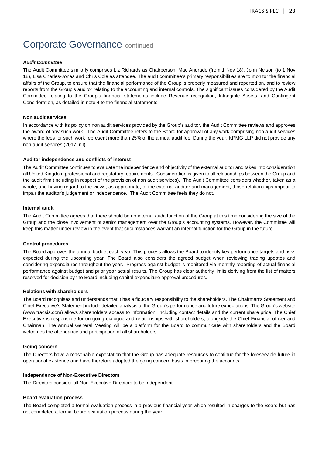# **Corporate Governance continued**

#### **Audit Committee**

The Audit Committee similarly comprises Liz Richards as Chairperson, Mac Andrade (from 1 Nov 18), John Nelson (to 1 Nov 18), Lisa Charles-Jones and Chris Cole as attendee. The audit committee's primary responsibilities are to monitor the financial affairs of the Group, to ensure that the financial performance of the Group is properly measured and reported on, and to review reports from the Group's auditor relating to the accounting and internal controls. The significant issues considered by the Audit Committee relating to the Group's financial statements include Revenue recognition, Intangible Assets, and Contingent Consideration, as detailed in note 4 to the financial statements.

#### **Non audit services**

In accordance with its policy on non audit services provided by the Group's auditor, the Audit Committee reviews and approves the award of any such work. The Audit Committee refers to the Board for approval of any work comprising non audit services where the fees for such work represent more than 25% of the annual audit fee. During the year, KPMG LLP did not provide any non audit services (2017: nil).

#### **Auditor independence and conflicts of interest**

The Audit Committee continues to evaluate the independence and objectivity of the external auditor and takes into consideration all United Kingdom professional and regulatory requirements. Consideration is given to all relationships between the Group and the audit firm (including in respect of the provision of non audit services). The Audit Committee considers whether, taken as a whole, and having regard to the views, as appropriate, of the external auditor and management, those relationships appear to impair the auditor's judgement or independence. The Audit Committee feels they do not.

#### **Internal audit**

The Audit Committee agrees that there should be no internal audit function of the Group at this time considering the size of the Group and the close involvement of senior management over the Group's accounting systems. However, the Committee will keep this matter under review in the event that circumstances warrant an internal function for the Group in the future.

#### **Control procedures**

The Board approves the annual budget each year. This process allows the Board to identify key performance targets and risks expected during the upcoming year. The Board also considers the agreed budget when reviewing trading updates and considering expenditures throughout the year. Progress against budget is monitored via monthly reporting of actual financial performance against budget and prior year actual results. The Group has clear authority limits deriving from the list of matters reserved for decision by the Board including capital expenditure approval procedures.

#### **Relations with shareholders**

The Board recognises and understands that it has a fiduciary responsibility to the shareholders. The Chairman's Statement and Chief Executive's Statement include detailed analysis of the Group's performance and future expectations. The Group's website (www.tracsis.com) allows shareholders access to information, including contact details and the current share price. The Chief Executive is responsible for on-going dialogue and relationships with shareholders, alongside the Chief Financial officer and Chairman. The Annual General Meeting will be a platform for the Board to communicate with shareholders and the Board welcomes the attendance and participation of all shareholders.

#### **Going concern**

The Directors have a reasonable expectation that the Group has adequate resources to continue for the foreseeable future in operational existence and have therefore adopted the going concern basis in preparing the accounts.

#### **Independence of Non-Executive Directors**

The Directors consider all Non-Executive Directors to be independent.

#### **Board evaluation process**

The Board completed a formal evaluation process in a previous financial year which resulted in charges to the Board but has not completed a formal board evaluation process during the year.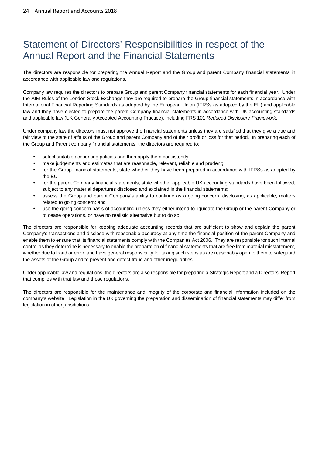# Statement of Directors' Responsibilities in respect of the Annual Report and the Financial Statements

The directors are responsible for preparing the Annual Report and the Group and parent Company financial statements in accordance with applicable law and regulations.

Company law requires the directors to prepare Group and parent Company financial statements for each financial year. Under the AIM Rules of the London Stock Exchange they are required to prepare the Group financial statements in accordance with International Financial Reporting Standards as adopted by the European Union (IFRSs as adopted by the EU) and applicable law and they have elected to prepare the parent Company financial statements in accordance with UK accounting standards and applicable law (UK Generally Accepted Accounting Practice), including FRS 101 Reduced Disclosure Framework.

Under company law the directors must not approve the financial statements unless they are satisfied that they give a true and fair view of the state of affairs of the Group and parent Company and of their profit or loss for that period. In preparing each of the Group and Parent company financial statements, the directors are required to:

- select suitable accounting policies and then apply them consistently;
- make judgements and estimates that are reasonable, relevant, reliable and prudent;
- for the Group financial statements, state whether they have been prepared in accordance with IFRSs as adopted by the EU;
- for the parent Company financial statements, state whether applicable UK accounting standards have been followed, subject to any material departures disclosed and explained in the financial statements;
- assess the Group and parent Company's ability to continue as a going concern, disclosing, as applicable, matters related to going concern; and
- use the going concern basis of accounting unless they either intend to liquidate the Group or the parent Company or to cease operations, or have no realistic alternative but to do so.

The directors are responsible for keeping adequate accounting records that are sufficient to show and explain the parent Company's transactions and disclose with reasonable accuracy at any time the financial position of the parent Company and enable them to ensure that its financial statements comply with the Companies Act 2006. They are responsible for such internal control as they determine is necessary to enable the preparation of financial statements that are free from material misstatement, whether due to fraud or error, and have general responsibility for taking such steps as are reasonably open to them to safeguard the assets of the Group and to prevent and detect fraud and other irregularities.

Under applicable law and regulations, the directors are also responsible for preparing a Strategic Report and a Directors' Report that complies with that law and those regulations.

The directors are responsible for the maintenance and integrity of the corporate and financial information included on the company's website. Legislation in the UK governing the preparation and dissemination of financial statements may differ from legislation in other jurisdictions.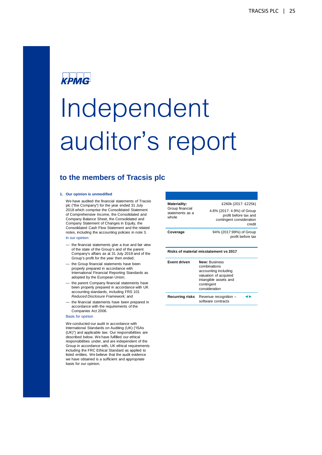# **KPMG**

# Independent auditor's report

#### **to the members of Tracsis plc**

#### **1. Our opinion is unmodified**

We have audited the financial statements of Tracsis plc ("the Company") for the year ended 31 July 2018 which comprise the Consolidated Statement of Comprehensive Income, the Consolidated and Company Balance Sheet, the Consolidated and Company Statement of Changes in Equity, the Consolidated Cash Flow Statement and the related notes, including the accounting policies in note 3.

In our opinion:

- the financial statements give a true and fair view of the state of the Group's and of the parent Company's affairs as at 31 July 2018 and of the Group's profit for the year then ended;
- the Group financial statements have been properly prepared in accordance with International Financial Reporting Standards as adopted by the European Union;
- the parent Company financial statements have been properly prepared in accordance with UK accounting standards, including FRS 101 Reduced Disclosure Framework; and
- the financial statements have been prepared in accordance with the requirements of the Companies Act 2006.

#### Basis for opinion

We conducted our audit in accordance with International Standards on Auditing (UK) ("ISAs (UK)") and applicable law. Our responsibilities are described below. We have fulfilled our ethical responsibilities under, and are independent of the Group in accordance with, UK ethical requirements including the FRC Ethical Standard as applied to listed entities. We believe that the audit evidence we have obtained is a sufficient and appropriate basis for our opinion.

| <b>Materiality:</b>                         | £260k (2017: £225k)                                                                                                                           |  |  |  |  |  |
|---------------------------------------------|-----------------------------------------------------------------------------------------------------------------------------------------------|--|--|--|--|--|
| Group financial<br>statements as a<br>whole | 4.8% (2017: 4.9%) of Group<br>profit before tax and<br>contingent consideration<br>credit                                                     |  |  |  |  |  |
| Coverage                                    | 94% (2017:99%) of Group<br>profit before tax                                                                                                  |  |  |  |  |  |
|                                             |                                                                                                                                               |  |  |  |  |  |
|                                             | Risks of material misstatement vs 2017                                                                                                        |  |  |  |  |  |
| <b>Event driven</b>                         | <b>New: Business</b><br>combinations<br>accounting including<br>valuation of acquired<br>intangible assets and<br>contingent<br>consideration |  |  |  |  |  |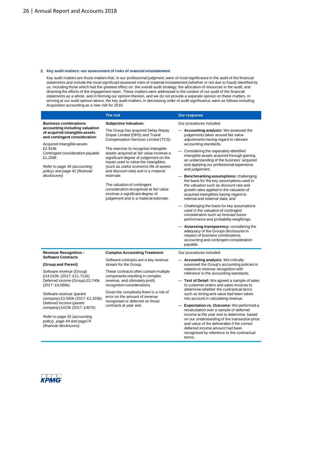#### **2. Key audit matters: our assessment of risks of material misstatement**

Key audit matters are those matters that, in our professional judgment, were of most significance in the audit of the financial statements and include the most significant assessed risks of material misstatement (whether or not due to fraud) identified by us, including those which had the greatest effect on: the overall audit strategy; the allocation of resources in the audit; and directing the efforts of the engagement team. These matters were addressed in the context of our audit of the financial statements as a whole, and in forming our opinion thereon, and we do not provide a separate opinion on these matters. In arriving at our audit opinion above, the key audit matters, in decreasing order of audit significance, were as follows including Acquisition accounting as a new risk for 2018.

|                                                                                                                                                                                         | <b>The risk</b>                                                                                                                                                                                                                                                                                                                 | <b>Our response</b>                                                                                                                                                                                                                                                                                                           |  |  |  |
|-----------------------------------------------------------------------------------------------------------------------------------------------------------------------------------------|---------------------------------------------------------------------------------------------------------------------------------------------------------------------------------------------------------------------------------------------------------------------------------------------------------------------------------|-------------------------------------------------------------------------------------------------------------------------------------------------------------------------------------------------------------------------------------------------------------------------------------------------------------------------------|--|--|--|
| <b>Business combinations</b>                                                                                                                                                            | <b>Subjective Valuation:</b>                                                                                                                                                                                                                                                                                                    | Our procedures included:                                                                                                                                                                                                                                                                                                      |  |  |  |
| accounting including valuation<br>of acquired intangible assets<br>and contingent consideration<br>Acquired Intangible assets<br>£2,916k<br>Contingent consideration payable<br>£1,200k | The Group has acquired Delay Repay<br>Sniper Limited (DRS) and Travel<br>Compensation Services Limited (TCS).<br>The exercise to recognise intangible<br>assets acquired at fair value involves a<br>significant degree of judgement on the<br>inputs used to value the intangibles,<br>(such as useful economic life of assets | Accounting analysis: We assessed the<br>judgements taken around fair value<br>adjustments having regard to relevant<br>accounting standards.<br>Considering the separately identified<br>intangible assets acquired through gaining<br>an understanding of the business' acquired<br>and applying our professional experience |  |  |  |
| Refer to page 36 (accounting<br>policy) and page 42 (financial<br>disclosures)                                                                                                          | and discount rate) and is a material<br>estimate.<br>The valuation of contingent<br>consideration recognised at fair value<br>involves a significant degree of<br>judgement and is a material estimate.                                                                                                                         | and judgement;<br>Benchmarking assumptions: challenging<br>the basis for the key assumptions used in<br>the valuation such as discount rate and<br>growth rates applied in the valuation of<br>acquired intangibles having regard to<br>internal and external data; and                                                       |  |  |  |
|                                                                                                                                                                                         |                                                                                                                                                                                                                                                                                                                                 | Challenging the basis for key assumptions<br>used in the valuation of contingent<br>consideration such as forecast future<br>performance and probability weightings.                                                                                                                                                          |  |  |  |
|                                                                                                                                                                                         |                                                                                                                                                                                                                                                                                                                                 | — Assessing transparency: considering the<br>adequacy of the Groups disclosures in<br>respect of business combinations<br>accounting and contingent consideration<br>payable.                                                                                                                                                 |  |  |  |
| <b>Revenue Recognition-</b>                                                                                                                                                             | <b>Complex Accounting Treatment</b>                                                                                                                                                                                                                                                                                             | Our procedures included:                                                                                                                                                                                                                                                                                                      |  |  |  |
| <b>Software Contracts</b><br>(Group and Parent)                                                                                                                                         | Software contracts are a key revenue<br>stream for the Group.                                                                                                                                                                                                                                                                   | - Accounting analysis: We critically<br>assessed the Group's accounting policies in                                                                                                                                                                                                                                           |  |  |  |
| Software revenue (Group)<br>£14,010k, (2017: £11,711k)                                                                                                                                  | These contracts often contain multiple<br>components resulting in complex                                                                                                                                                                                                                                                       | relation to revenue recognition with<br>reference to the accounting standards;                                                                                                                                                                                                                                                |  |  |  |
| Deferred income (Group) £3,740k<br>(2017: £4,086k)                                                                                                                                      | revenue, and ultimately profit,<br>recognition considerations.                                                                                                                                                                                                                                                                  | Test of Detail: We agreed a sample of sales<br>to customer orders and sales invoices to                                                                                                                                                                                                                                       |  |  |  |
| Software revenue (parent<br>company) £3,500k (2017: £2,333k)<br>Deferred Income (parent                                                                                                 | Given the complexity there is a risk of<br>error on the amount of revenue<br>recognised or deferred on those                                                                                                                                                                                                                    | determine whether the contractual terms<br>such as timing and value had been taken<br>into account in calculating revenue.                                                                                                                                                                                                    |  |  |  |
| company) £423k (2017: £407k)<br>Refer to page 35 (accounting<br>policy), page 44 and page74<br>(financial disclosures).                                                                 | contracts at year end.                                                                                                                                                                                                                                                                                                          | <b>Expectation vs. Outcome:</b> We performed a<br>recalculation over a sample of deferred<br>income at the year end to determine, based<br>on our understanding of the transaction price<br>and value of the deliverable if the correct<br>deferred income amount had been<br>recognised by reference to the contractual      |  |  |  |

terms.

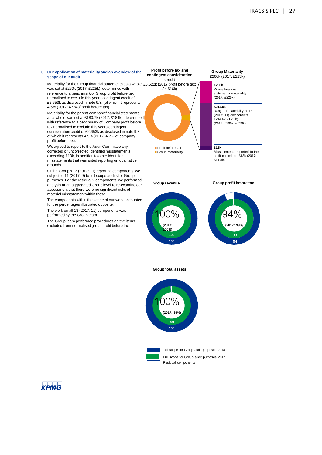#### **3. Our application of materiality and an overview of the scope of our audit**

Materiality for the Group financial statements as a whole £5,622k (2017 profit before tax: was set at £260k (2017: £225k), determined with reference to a benchmark of Group profit before tax normalised to exclude this years contingent credit of £2,653k as disclosed in note 9.3. (of which it represents 4.6% (2017: 4.9%of profit before tax).

Materiality for the parent company financial statements as a whole was set at £180.7k (2017: £184k), determined with reference to a benchmark of Company profit before tax normalised to exclude this years contingent consideration credit of £2,653k as disclosed in note 9.3, of which it represents 4.9% (2017: 4.7% of company profit before tax).

We agreed to report to the Audit Committee any corrected or uncorrected identified misstatements exceeding £13k, in addition to other identified misstatements that warranted reporting on qualitative grounds.

Of the Group's 13 (2017: 11) reporting components, we subjected 11 (2017: 9) to full scope audits for Group purposes. For the residual 2 components, we performed analysis at an aggregated Group level to re-examine our assessment that there were no significant risks of material misstatement within these.

The components within the scope of our work accounted for the percentages illustrated opposite.

The work on all 13 (2017: 11) components was performed by the Group team.

The Group team performed procedures on the items excluded from normalised group profit before tax



Group materiality

**Group revenue**

**Group Materiality** £260k (2017: £225k)

> **£260k** Whole financial statements materiality (2017: £225k)

**£214.6k** Range of materiality at 13 (2017: 11) components £214.6k - £2.3k) (2017: £200k – £20k)

#### **£13k**

Misstatements reported to the audit committee £13k (2017: £11.3k)

#### **Group profit before tax**



#### **Group total assets**

**100 100**

100%

**(2017: 100%)**



Full scope for Group audit purposes 2017 Residual components

**KPMG**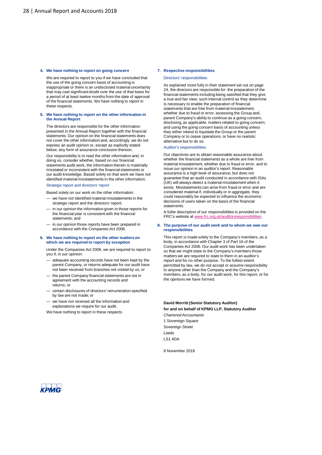#### **4. We have nothing to report on going concern**

We are required to report to you if we have concluded that the use of the going concern basis of accounting is inappropriate or there is an undisclosed material uncertainty that may cast significant doubt over the use of that basis for a period of at least twelve months from the date of approval of the financial statements. We have nothing to report in these respects.

#### **5. We have nothing to report on the other information in the Annual Report**

The directors are responsible for the other information presented in the Annual Report together with the financial statements. Our opinion on the financial statements does not cover the other information and, accordingly, we do not express an audit opinion or, except as explicitly stated below, any form of assurance conclusion thereon.

Our responsibility is to read the other information and, in doing so, consider whether, based on our financial statements audit work, the information therein is materially misstated or inconsistent with the financial statements or our audit knowledge. Based solely on that work we have not identified material misstatements in the other information.

Strategic report and directors' report

Based solely on our work on the other information:

- we have not identified material misstatements in the strategic report and the directors' report;
- in our opinion the information given in those reports for the financial year is consistent with the financial statements; and
- in our opinion those reports have been prepared in accordance with the Companies Act 2006.

#### **6. We have nothing to report on the other matters on which we are required to report by exception**

Under the Companies Act 2006, we are required to report to you if, in our opinion:

- adequate accounting records have not been kept by the parent Company, or returns adequate for our audit have not been received from branches not visited by us; or
- the parent Company financial statements are not in agreement with the accounting records and returns; or
- certain disclosures of directors' remuneration specified by law are not made; or
- we have not received all the information and explanations we require for our audit.
- We have nothing to report in these respects

#### **7. Respective responsibilities**

#### Directors' responsibilities

As explained more fully in their statement set out on page 24, the directors are responsible for: the preparation of the financial statements including being satisfied that they give a true and fair view; such internal control as they determine is necessary to enable the preparation of financial statements that are free from material misstatement, whether due to fraud or error; assessing the Group and, parent Company's ability to continue as a going concern, disclosing, as applicable, matters related to going concern; and using the going concern basis of accounting unless they either intend to liquidate the Group or the parent Company or to cease operations, or have no realistic alternative but to do so.

#### Auditor's responsibilities

Our objectives are to obtain reasonable assurance about whether the financial statements as a whole are free from material misstatement, whether due to fraud or error, and to issue our opinion in an auditor's report. Reasonable assurance is a high level of assurance, but does not guarantee that an audit conducted in accordance with ISAs (UK) will always detect a material misstatement when it exists. Misstatements can arise from fraud or error and are considered material if, individually or in aggregate, they could reasonably be expected to influence the economic decisions of users taken on the basis of the financial statements.

A fuller description of our responsibilities is provided on the FRC's website at www.frc.org.uk/auditorsresponsibilities.

#### **8. The purpose of our audit work and to whom we owe our responsibilities**

This report is made solely to the Company's members, as a body, in accordance with Chapter 3 of Part 16 of the Companies Act 2006. Our audit work has been undertaken so that we might state to the Company's members those matters we are required to state to them in an auditor's report and for no other purpose. To the fullest extent permitted by law, we do not accept or assume responsibility to anyone other than the Company and the Company's members, as a body, for our audit work, for this report, or for the opinions we have formed.

#### **David Morritt (Senior Statutory Auditor) for and on behalf of KPMG LLP, Statutory Auditor**

Chartered Accountants 1 Sovereign Square Sovereign Street Leeds LS1 4DA

8 November 2018

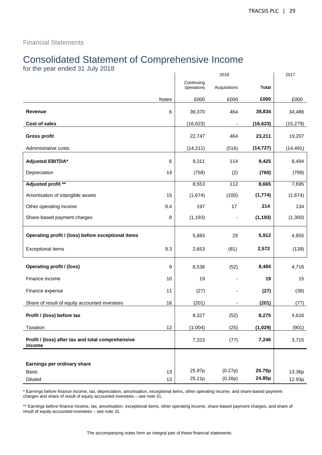Financial Statements

# Consolidated Statement of Comprehensive Income

for the year ended 31 July 2018

|                                                             |          | 2018                     |                              |                  | 2017      |
|-------------------------------------------------------------|----------|--------------------------|------------------------------|------------------|-----------|
|                                                             |          | Continuing<br>operations | Acquisitions                 | <b>Total</b>     |           |
|                                                             | Notes    | £000                     | £000                         | £000             | £000      |
| <b>Revenue</b>                                              | 6        | 39,370                   | 464                          | 39,834           | 34,486    |
| Cost of sales                                               |          | (16, 623)                | $\qquad \qquad \blacksquare$ | (16, 623)        | (15, 279) |
| <b>Gross profit</b>                                         |          | 22,747                   | 464                          | 23,211           | 19,207    |
| Administrative costs                                        |          | (14, 211)                | (516)                        | (14, 727)        | (14, 491) |
| Adjusted EBITDA*                                            | 6        | 9,311                    | 114                          | 9,425            | 8,494     |
| Depreciation                                                | 14       | (758)                    | (2)                          | (760)            | (799)     |
| Adjusted profit **                                          |          | 8,553                    | 112                          | 8,665            | 7,695     |
| Amortisation of intangible assets                           | 15       | (1,674)                  | (100)                        | (1, 774)         | (1,674)   |
| Other operating income                                      | 9.4      | 197                      | 17                           | 214              | 134       |
| Share-based payment charges                                 | 8        | (1, 193)                 |                              | (1, 193)         | (1,300)   |
| Operating profit / (loss) before exceptional items          |          | 5,883                    | 29                           | 5,912            | 4,855     |
| <b>Exceptional items</b>                                    | 9.3      | 2,653                    | (81)                         | 2,572            | (139)     |
| <b>Operating profit / (loss)</b>                            | 9        | 8,536                    | (52)                         | 8,484            | 4,716     |
| Finance income                                              | 10       | 19                       |                              | 19               | 15        |
| Finance expense                                             | 11       | (27)                     |                              | (27)             | (38)      |
| Share of result of equity accounted investees               | 16       | (201)                    |                              | (201)            | (77)      |
| Profit / (loss) before tax                                  |          | 8,327                    | (52)                         | 8,275            | 4,616     |
| Taxation                                                    | 12       | (1,004)                  | (25)                         | (1,029)          | (901)     |
| Profit / (loss) after tax and total comprehensive<br>income |          | 7,323                    | (77)                         | 7,246            | 3,715     |
|                                                             |          |                          |                              |                  |           |
| Earnings per ordinary share                                 |          |                          |                              |                  |           |
| Basic<br>Diluted                                            | 13<br>13 | 25.97p<br>25.11p         | (0.27p)<br>(0.26p)           | 25.70p<br>24.85p | 13.36p    |
|                                                             |          |                          |                              |                  | 12.93p    |

\* Earnings before finance income, tax, depreciation, amortisation, exceptional items, other operating income, and share-based payment charges and share of result of equity accounted investees – see note 31.

\*\* Earnings before finance income, tax, amortisation, exceptional items, other operating income, share-based payment charges, and share of result of equity accounted investees – see note 31.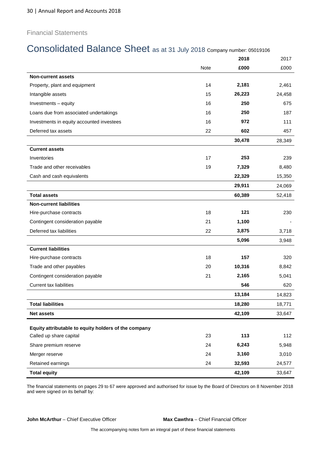#### Financial Statements

# Consolidated Balance Sheet as at 31 July 2018 Company number: 05019106

|                                                      |      | 2018   | 2017   |
|------------------------------------------------------|------|--------|--------|
|                                                      | Note | £000   | £000   |
| <b>Non-current assets</b>                            |      |        |        |
| Property, plant and equipment                        | 14   | 2,181  | 2,461  |
| Intangible assets                                    | 15   | 26,223 | 24,458 |
| Investments - equity                                 | 16   | 250    | 675    |
| Loans due from associated undertakings               | 16   | 250    | 187    |
| Investments in equity accounted investees            | 16   | 972    | 111    |
| Deferred tax assets                                  | 22   | 602    | 457    |
|                                                      |      | 30,478 | 28,349 |
| <b>Current assets</b>                                |      |        |        |
| Inventories                                          | 17   | 253    | 239    |
| Trade and other receivables                          | 19   | 7,329  | 8,480  |
| Cash and cash equivalents                            |      | 22,329 | 15,350 |
|                                                      |      | 29,911 | 24,069 |
| <b>Total assets</b>                                  |      | 60,389 | 52,418 |
| <b>Non-current liabilities</b>                       |      |        |        |
| Hire-purchase contracts                              | 18   | 121    | 230    |
| Contingent consideration payable                     | 21   | 1,100  |        |
| Deferred tax liabilities                             | 22   | 3,875  | 3,718  |
|                                                      |      | 5,096  | 3,948  |
| <b>Current liabilities</b>                           |      |        |        |
| Hire-purchase contracts                              | 18   | 157    | 320    |
| Trade and other payables                             | 20   | 10,316 | 8,842  |
| Contingent consideration payable                     | 21   | 2,165  | 5,041  |
| <b>Current tax liabilities</b>                       |      | 546    | 620    |
|                                                      |      | 13,184 | 14,823 |
| <b>Total liabilities</b>                             |      | 18,280 | 18,771 |
| <b>Net assets</b>                                    |      | 42,109 | 33,647 |
| Equity attributable to equity holders of the company |      |        |        |
| Called up share capital                              | 23   | 113    | 112    |
| Share premium reserve                                | 24   | 6,243  | 5,948  |
| Merger reserve                                       | 24   | 3,160  | 3,010  |
| Retained earnings                                    | 24   | 32,593 | 24,577 |
| <b>Total equity</b>                                  |      | 42,109 | 33,647 |

The financial statements on pages 29 to 67 were approved and authorised for issue by the Board of Directors on 8 November 2018 and were signed on its behalf by:

**John McArthur** – Chief Executive Officer **Max Cawthra** – Chief Financial Officer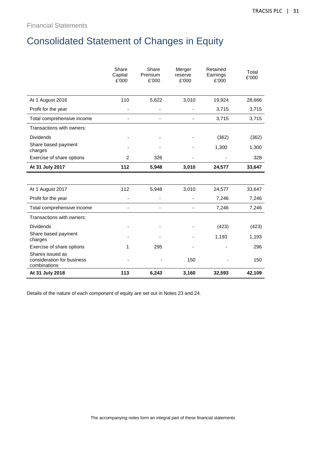# Consolidated Statement of Changes in Equity

|                                                                | Share<br>Capital<br>£'000 | Share<br>Premium<br>£'000 | Merger<br>reserve<br>£'000 | Retained<br>Earnings<br>£'000 | Total<br>£'000 |
|----------------------------------------------------------------|---------------------------|---------------------------|----------------------------|-------------------------------|----------------|
| At 1 August 2016                                               | 110                       | 5,622                     | 3,010                      | 19,924                        | 28,666         |
| Profit for the year                                            |                           |                           |                            | 3,715                         | 3,715          |
| Total comprehensive income                                     |                           |                           |                            | 3,715                         | 3,715          |
| Transactions with owners:                                      |                           |                           |                            |                               |                |
| <b>Dividends</b>                                               |                           |                           |                            | (362)                         | (362)          |
| Share based payment<br>charges                                 |                           |                           |                            | 1,300                         | 1,300          |
| Exercise of share options                                      | $\overline{2}$            | 326                       |                            |                               | 328            |
| At 31 July 2017                                                | 112                       | 5,948                     | 3,010                      | 24,577                        | 33,647         |
|                                                                |                           |                           |                            |                               |                |
| At 1 August 2017                                               | 112                       | 5,948                     | 3,010                      | 24,577                        | 33,647         |
| Profit for the year                                            |                           |                           |                            | 7,246                         | 7,246          |
| Total comprehensive income                                     |                           |                           |                            | 7,246                         | 7,246          |
| Transactions with owners:                                      |                           |                           |                            |                               |                |
| <b>Dividends</b>                                               |                           |                           |                            | (423)                         | (423)          |
| Share based payment<br>charges                                 |                           |                           |                            | 1,193                         | 1,193          |
| Exercise of share options                                      | 1                         | 295                       |                            |                               | 296            |
| Shares issued as<br>consideration for business<br>combinations |                           |                           | 150                        |                               | 150            |
| At 31 July 2018                                                | 113                       | 6,243                     | 3,160                      | 32,593                        | 42,109         |

Details of the nature of each component of equity are set out in Notes 23 and 24.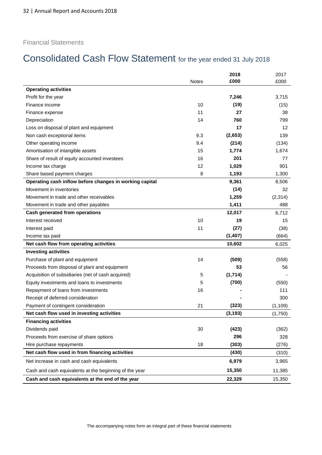#### Financial Statements

# Consolidated Cash Flow Statement for the year ended 31 July 2018

|                                                         |              | 2018     | 2017     |
|---------------------------------------------------------|--------------|----------|----------|
|                                                         | <b>Notes</b> | £000     | £000     |
| <b>Operating activities</b>                             |              |          |          |
| Profit for the year                                     |              | 7,246    | 3,715    |
| Finance income                                          | 10           | (19)     | (15)     |
| Finance expense                                         | 11           | 27       | 38       |
| Depreciation                                            | 14           | 760      | 799      |
| Loss on disposal of plant and equipment                 |              | 17       | 12       |
| Non cash exceptional items                              | 9.3          | (2,653)  | 139      |
| Other operating income                                  | 9.4          | (214)    | (134)    |
| Amortisation of intangible assets                       | 15           | 1,774    | 1,674    |
| Share of result of equity accounted investees           | 16           | 201      | 77       |
| Income tax charge                                       | 12           | 1,029    | 901      |
| Share based payment charges                             | 8            | 1,193    | 1,300    |
| Operating cash inflow before changes in working capital |              | 9,361    | 8,506    |
| Movement in inventories                                 |              | (14)     | 32       |
| Movement in trade and other receivables                 |              | 1,259    | (2,314)  |
| Movement in trade and other payables                    |              | 1,411    | 488      |
| Cash generated from operations                          |              | 12,017   | 6,712    |
| Interest received                                       | 10           | 19       | 15       |
| Interest paid                                           | 11           | (27)     | (38)     |
| Income tax paid                                         |              | (1, 407) | (664)    |
| Net cash flow from operating activities                 |              | 10,602   | 6,025    |
| <b>Investing activities</b>                             |              |          |          |
| Purchase of plant and equipment                         | 14           | (509)    | (558)    |
| Proceeds from disposal of plant and equipment           |              | 53       | 56       |
| Acquisition of subsidiaries (net of cash acquired)      | 5            | (1, 714) |          |
| Equity investments and loans to investments             | 5            | (700)    | (550)    |
| Repayment of loans from investments                     | 16           |          | 111      |
| Receipt of deferred consideration                       |              |          | 300      |
| Payment of contingent consideration                     | 21           | (323)    | (1, 109) |
| Net cash flow used in investing activities              |              | (3, 193) | (1,750)  |
| <b>Financing activities</b>                             |              |          |          |
| Dividends paid                                          | 30           | (423)    | (362)    |
| Proceeds from exercise of share options                 |              | 296      | 328      |
| Hire purchase repayments                                | 18           | (303)    | (276)    |
| Net cash flow used in from financing activities         |              | (430)    | (310)    |
| Net increase in cash and cash equivalents               |              | 6,979    | 3,965    |
| Cash and cash equivalents at the beginning of the year  |              | 15,350   | 11,385   |
| Cash and cash equivalents at the end of the year        |              | 22,329   | 15,350   |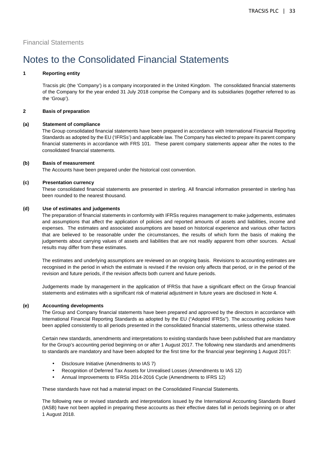Financial Statements

## Notes to the Consolidated Financial Statements

#### **1 Reporting entity**

Tracsis plc (the 'Company') is a company incorporated in the United Kingdom. The consolidated financial statements of the Company for the year ended 31 July 2018 comprise the Company and its subsidiaries (together referred to as the 'Group').

#### **2 Basis of preparation**

#### **(a) Statement of compliance**

The Group consolidated financial statements have been prepared in accordance with International Financial Reporting Standards as adopted by the EU ('IFRSs') and applicable law. The Company has elected to prepare its parent company financial statements in accordance with FRS 101. These parent company statements appear after the notes to the consolidated financial statements.

#### **(b) Basis of measurement**

The Accounts have been prepared under the historical cost convention.

#### **(c) Presentation currency**

These consolidated financial statements are presented in sterling. All financial information presented in sterling has been rounded to the nearest thousand.

#### **(d) Use of estimates and judgements**

The preparation of financial statements in conformity with IFRSs requires management to make judgements, estimates and assumptions that affect the application of policies and reported amounts of assets and liabilities, income and expenses. The estimates and associated assumptions are based on historical experience and various other factors that are believed to be reasonable under the circumstances, the results of which form the basis of making the judgements about carrying values of assets and liabilities that are not readily apparent from other sources. Actual results may differ from these estimates.

The estimates and underlying assumptions are reviewed on an ongoing basis. Revisions to accounting estimates are recognised in the period in which the estimate is revised if the revision only affects that period, or in the period of the revision and future periods, if the revision affects both current and future periods.

Judgements made by management in the application of IFRSs that have a significant effect on the Group financial statements and estimates with a significant risk of material adjustment in future years are disclosed in Note 4.

#### **(e) Accounting developments**

The Group and Company financial statements have been prepared and approved by the directors in accordance with International Financial Reporting Standards as adopted by the EU ("Adopted IFRSs"). The accounting policies have been applied consistently to all periods presented in the consolidated financial statements, unless otherwise stated.

Certain new standards, amendments and interpretations to existing standards have been published that are mandatory for the Group's accounting period beginning on or after 1 August 2017. The following new standards and amendments to standards are mandatory and have been adopted for the first time for the financial year beginning 1 August 2017:

- Disclosure Initiative (Amendments to IAS 7)
- Recognition of Deferred Tax Assets for Unrealised Losses (Amendments to IAS 12)
- Annual Improvements to IFRSs 2014-2016 Cycle (Amendments to IFRS 12)

These standards have not had a material impact on the Consolidated Financial Statements.

The following new or revised standards and interpretations issued by the International Accounting Standards Board (IASB) have not been applied in preparing these accounts as their effective dates fall in periods beginning on or after 1 August 2018.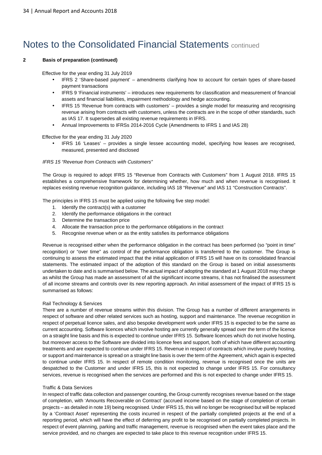# Notes to the Consolidated Financial Statements continued

#### **2 Basis of preparation (continued)**

Effective for the year ending 31 July 2019

- IFRS 2 'Share-based payment' amendments clarifying how to account for certain types of share-based payment transactions
- IFRS 9 'Financial instruments' introduces new requirements for classification and measurement of financial assets and financial liabilities, impairment methodology and hedge accounting.
- IFRS 15 'Revenue from contracts with customers' provides a single model for measuring and recognising revenue arising from contracts with customers, unless the contracts are in the scope of other standards, such as IAS 17. It supersedes all existing revenue requirements in IFRS.
- Annual Improvements to IFRSs 2014-2016 Cycle (Amendments to IFRS 1 and IAS 28)

#### Effective for the year ending 31 July 2020

• IFRS 16 'Leases' – provides a single lessee accounting model, specifying how leases are recognised, measured, presented and disclosed

#### IFRS 15 "Revenue from Contracts with Customers"

The Group is required to adopt IFRS 15 "Revenue from Contracts with Customers" from 1 August 2018. IFRS 15 establishes a comprehensive framework for determining whether, how much and when revenue is recognised. It replaces existing revenue recognition guidance, including IAS 18 "Revenue" and IAS 11 "Construction Contracts".

The principles in IFRS 15 must be applied using the following five step model:

- 1. Identify the contract(s) with a customer
- 2. Identify the performance obligations in the contract
- 3. Determine the transaction price
- 4. Allocate the transaction price to the performance obligations in the contract
- 5. Recognise revenue when or as the entity satisfies its performance obligations

Revenue is recognised either when the performance obligation in the contract has been performed (so "point in time" recognition) or "over time" as control of the performance obligation is transferred to the customer. The Group is continuing to assess the estimated impact that the initial application of IFRS 15 will have on its consolidated financial statements. The estimated impact of the adoption of this standard on the Group is based on initial assessments undertaken to date and is summarised below. The actual impact of adopting the standard at 1 August 2018 may change as whilst the Group has made an assessment of all the significant income streams, it has not finalised the assessment of all income streams and controls over its new reporting approach. An initial assessment of the impact of IFRS 15 is summarised as follows:

#### Rail Technology & Services

There are a number of revenue streams within this division. The Group has a number of different arrangements in respect of software and other related services such as hosting, support and maintenance. The revenue recognition in respect of perpetual licence sales, and also bespoke development work under IFRS 15 is expected to be the same as current accounting. Software licences which involve hosting are currently generally spread over the term of the licence on a straight line basis and this is expected to continue under IFRS 15. Software licences which do not involve hosting, but moreover access to the Software are divided into licence fees and support, both of which have different accounting treatments and are expected to continue under IFRS 15. Revenue in respect of contracts which involve purely hosting, or support and maintenance is spread on a straight line basis is over the term of the Agreement, which again is expected to continue under IFRS 15. In respect of remote condition monitoring, revenue is recognised once the units are despatched to the Customer and under IFRS 15, this is not expected to change under IFRS 15. For consultancy services, revenue is recognised when the services are performed and this is not expected to change under IFRS 15.

#### Traffic & Data Services

In respect of traffic data collection and passenger counting, the Group currently recognises revenue based on the stage of completion, with 'Amounts Recoverable on Contract' (accrued income based on the stage of completion of certain projects – as detailed in note 19) being recognised. Under IFRS 15, this will no longer be recognised but will be replaced by a 'Contract Asset' representing the costs incurred in respect of the partially completed projects at the end of a reporting period, which will have the effect of deferring any profit to be recognised on partially completed projects. In respect of event planning, parking and traffic management, revenue is recognised when the event takes place and the service provided, and no changes are expected to take place to this revenue recognition under IFRS 15.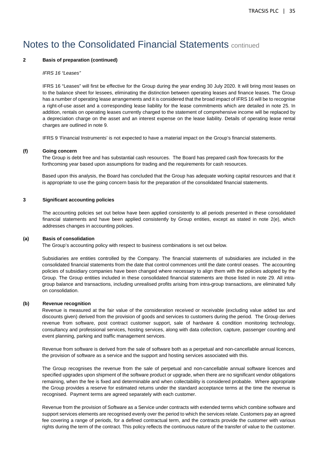### Notes to the Consolidated Financial Statements continued

#### **2 Basis of preparation (continued)**

#### IFRS 16 "Leases"

IFRS 16 "Leases" will first be effective for the Group during the year ending 30 July 2020. It will bring most leases on to the balance sheet for lessees, eliminating the distinction between operating leases and finance leases. The Group has a number of operating lease arrangements and it is considered that the broad impact of IFRS 16 will be to recognise a right-of-use asset and a corresponding lease liability for the lease commitments which are detailed in note 25. In addition, rentals on operating leases currently charged to the statement of comprehensive income will be replaced by a depreciation charge on the asset and an interest expense on the lease liability. Details of operating lease rental charges are outlined in note 9.

IFRS 9 'Financial Instruments' is not expected to have a material impact on the Group's financial statements.

#### **(f) Going concern**

The Group is debt free and has substantial cash resources. The Board has prepared cash flow forecasts for the forthcoming year based upon assumptions for trading and the requirements for cash resources.

Based upon this analysis, the Board has concluded that the Group has adequate working capital resources and that it is appropriate to use the going concern basis for the preparation of the consolidated financial statements.

#### **3 Significant accounting policies**

The accounting policies set out below have been applied consistently to all periods presented in these consolidated financial statements and have been applied consistently by Group entities, except as stated in note 2(e), which addresses changes in accounting policies.

#### **(a) Basis of consolidation**

The Group's accounting policy with respect to business combinations is set out below.

Subsidiaries are entities controlled by the Company. The financial statements of subsidiaries are included in the consolidated financial statements from the date that control commences until the date control ceases. The accounting policies of subsidiary companies have been changed where necessary to align them with the policies adopted by the Group. The Group entities included in these consolidated financial statements are those listed in note 29. All intragroup balance and transactions, including unrealised profits arising from intra-group transactions, are eliminated fully on consolidation.

#### **(b) Revenue recognition**

Revenue is measured at the fair value of the consideration received or receivable (excluding value added tax and discounts given) derived from the provision of goods and services to customers during the period. The Group derives revenue from software, post contract customer support, sale of hardware & condition monitoring technology, consultancy and professional services, hosting services, along with data collection, capture, passenger counting and event planning, parking and traffic management services.

Revenue from software is derived from the sale of software both as a perpetual and non-cancellable annual licences, the provision of software as a service and the support and hosting services associated with this.

The Group recognises the revenue from the sale of perpetual and non-cancellable annual software licences and specified upgrades upon shipment of the software product or upgrade, when there are no significant vendor obligations remaining, when the fee is fixed and determinable and when collectability is considered probable. Where appropriate the Group provides a reserve for estimated returns under the standard acceptance terms at the time the revenue is recognised. Payment terms are agreed separately with each customer.

Revenue from the provision of Software as a Service under contracts with extended terms which combine software and support services elements are recognised evenly over the period to which the services relate. Customers pay an agreed fee covering a range of periods, for a defined contractual term, and the contracts provide the customer with various rights during the term of the contract. This policy reflects the continuous nature of the transfer of value to the customer.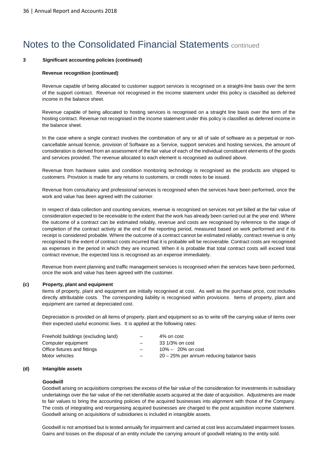#### **3 Significant accounting policies (continued)**

#### **Revenue recognition (continued)**

Revenue capable of being allocated to customer support services is recognised on a straight-line basis over the term of the support contract. Revenue not recognised in the income statement under this policy is classified as deferred income in the balance sheet.

Revenue capable of being allocated to hosting services is recognised on a straight line basis over the term of the hosting contract. Revenue not recognised in the income statement under this policy is classified as deferred income in the balance sheet.

In the case where a single contract involves the combination of any or all of sale of software as a perpetual or noncancellable annual licence, provision of Software as a Service, support services and hosting services, the amount of consideration is derived from an assessment of the fair value of each of the individual constituent elements of the goods and services provided. The revenue allocated to each element is recognised as outlined above.

Revenue from hardware sales and condition monitoring technology is recognised as the products are shipped to customers. Provision is made for any returns to customers, or credit notes to be issued.

Revenue from consultancy and professional services is recognised when the services have been performed, once the work and value has been agreed with the customer.

In respect of data collection and counting services, revenue is recognised on services not yet billed at the fair value of consideration expected to be receivable to the extent that the work has already been carried out at the year end. Where the outcome of a contract can be estimated reliably, revenue and costs are recognised by reference to the stage of completion of the contract activity at the end of the reporting period, measured based on work performed and if its receipt is considered probable. Where the outcome of a contract cannot be estimated reliably, contract revenue is only recognised to the extent of contract costs incurred that it is probable will be recoverable. Contract costs are recognised as expenses in the period in which they are incurred. When it is probable that total contract costs will exceed total contract revenue, the expected loss is recognised as an expense immediately.

Revenue from event planning and traffic management services is recognised when the services have been performed, once the work and value has been agreed with the customer.

#### **(c) Property, plant and equipment**

Items of property, plant and equipment are initially recognised at cost. As well as the purchase price, cost includes directly attributable costs. The corresponding liability is recognised within provisions. Items of property, plant and equipment are carried at depreciated cost.

Depreciation is provided on all items of property, plant and equipment so as to write off the carrying value of items over their expected useful economic lives. It is applied at the following rates:

| Freehold buildings (excluding land) | $\overline{\phantom{0}}$ | 4% on cost                                   |
|-------------------------------------|--------------------------|----------------------------------------------|
| Computer equipment                  | $\overline{\phantom{0}}$ | 33 1/3% on cost                              |
| Office fixtures and fittings        |                          | $10\% - 20\%$ on cost                        |
| Motor vehicles                      |                          | $20 - 25\%$ per annum reducing balance basis |

#### **(d) Intangible assets**

#### **Goodwill**

Goodwill arising on acquisitions comprises the excess of the fair value of the consideration for investments in subsidiary undertakings over the fair value of the net identifiable assets acquired at the date of acquisition. Adjustments are made to fair values to bring the accounting policies of the acquired businesses into alignment with those of the Company. The costs of integrating and reorganising acquired businesses are charged to the post acquisition income statement. Goodwill arising on acquisitions of subsidiaries is included in intangible assets.

Goodwill is not amortised but is tested annually for impairment and carried at cost less accumulated impairment losses. Gains and losses on the disposal of an entity include the carrying amount of goodwill relating to the entity sold.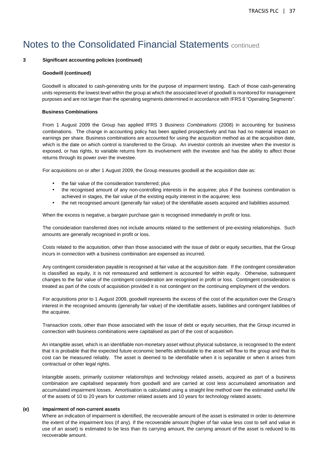#### **3 Significant accounting policies (continued)**

#### **Goodwill (continued)**

Goodwill is allocated to cash-generating units for the purpose of impairment testing. Each of those cash-generating units represents the lowest level within the group at which the associated level of goodwill is monitored for management purposes and are not larger than the operating segments determined in accordance with IFRS 8 "Operating Segments".

#### **Business Combinations**

From 1 August 2009 the Group has applied IFRS 3 Business Combinations (2008) in accounting for business combinations. The change in accounting policy has been applied prospectively and has had no material impact on earnings per share. Business combinations are accounted for using the acquisition method as at the acquisition date, which is the date on which control is transferred to the Group. An investor controls an investee when the investor is exposed, or has rights, to variable returns from its involvement with the investee and has the ability to affect those returns through its power over the investee.

For acquisitions on or after 1 August 2009, the Group measures goodwill at the acquisition date as:

- the fair value of the consideration transferred; plus
- the recognised amount of any non-controlling interests in the acquiree; plus if the business combination is achieved in stages, the fair value of the existing equity interest in the acquiree; less
- the net recognised amount (generally fair value) of the identifiable assets acquired and liabilities assumed.

When the excess is negative, a bargain purchase gain is recognised immediately in profit or loss.

The consideration transferred does not include amounts related to the settlement of pre-existing relationships. Such amounts are generally recognised in profit or loss.

Costs related to the acquisition, other than those associated with the issue of debt or equity securities, that the Group incurs in connection with a business combination are expensed as incurred.

Any contingent consideration payable is recognised at fair value at the acquisition date. If the contingent consideration is classified as equity, it is not remeasured and settlement is accounted for within equity. Otherwise, subsequent changes to the fair value of the contingent consideration are recognised in profit or loss. Contingent consideration is treated as part of the costs of acquisition provided it is not contingent on the continuing employment of the vendors.

For acquisitions prior to 1 August 2009, goodwill represents the excess of the cost of the acquisition over the Group's interest in the recognised amounts (generally fair value) of the identifiable assets, liabilities and contingent liabilities of the acquiree.

Transaction costs, other than those associated with the issue of debt or equity securities, that the Group incurred in connection with business combinations were capitalised as part of the cost of acquisition.

An intangible asset, which is an identifiable non-monetary asset without physical substance, is recognised to the extent that it is probable that the expected future economic benefits attributable to the asset will flow to the group and that its cost can be measured reliably. The asset is deemed to be identifiable when it is separable or when it arises from contractual or other legal rights.

Intangible assets, primarily customer relationships and technology related assets, acquired as part of a business combination are capitalised separately from goodwill and are carried at cost less accumulated amortisation and accumulated impairment losses. Amortisation is calculated using a straight line method over the estimated useful life of the assets of 10 to 20 years for customer related assets and 10 years for technology related assets.

#### **(e) Impairment of non-current assets**

Where an indication of impairment is identified, the recoverable amount of the asset is estimated in order to determine the extent of the impairment loss (if any). If the recoverable amount (higher of fair value less cost to sell and value in use of an asset) is estimated to be less than its carrying amount, the carrying amount of the asset is reduced to its recoverable amount.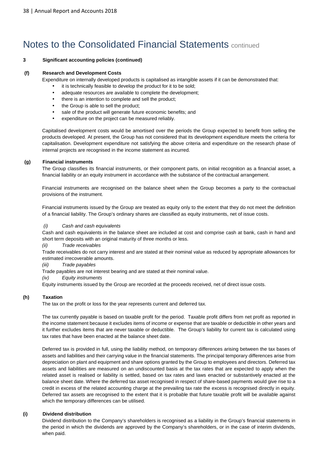### **3 Significant accounting policies (continued)**

### **(f) Research and Development Costs**

Expenditure on internally developed products is capitalised as intangible assets if it can be demonstrated that:

- it is technically feasible to develop the product for it to be sold;
- adequate resources are available to complete the development;
- there is an intention to complete and sell the product;
- the Group is able to sell the product;
- sale of the product will generate future economic benefits; and
- expenditure on the project can be measured reliably.

Capitalised development costs would be amortised over the periods the Group expected to benefit from selling the products developed. At present, the Group has not considered that its development expenditure meets the criteria for capitalisation. Development expenditure not satisfying the above criteria and expenditure on the research phase of internal projects are recognised in the income statement as incurred.

#### **(g) Financial instruments**

The Group classifies its financial instruments, or their component parts, on initial recognition as a financial asset, a financial liability or an equity instrument in accordance with the substance of the contractual arrangement.

Financial instruments are recognised on the balance sheet when the Group becomes a party to the contractual provisions of the instrument.

Financial instruments issued by the Group are treated as equity only to the extent that they do not meet the definition of a financial liability. The Group's ordinary shares are classified as equity instruments, net of issue costs.

### Cash and cash equivalents

Cash and cash equivalents in the balance sheet are included at cost and comprise cash at bank, cash in hand and short term deposits with an original maturity of three months or less.

(ii) Trade receivables

Trade receivables do not carry interest and are stated at their nominal value as reduced by appropriate allowances for estimated irrecoverable amounts.

(iii) Trade payables

Trade payables are not interest bearing and are stated at their nominal value.

(iv) Equity instruments

Equity instruments issued by the Group are recorded at the proceeds received, net of direct issue costs.

### **(h) Taxation**

The tax on the profit or loss for the year represents current and deferred tax.

The tax currently payable is based on taxable profit for the period. Taxable profit differs from net profit as reported in the income statement because it excludes items of income or expense that are taxable or deductible in other years and it further excludes items that are never taxable or deductible. The Group's liability for current tax is calculated using tax rates that have been enacted at the balance sheet date.

Deferred tax is provided in full, using the liability method, on temporary differences arising between the tax bases of assets and liabilities and their carrying value in the financial statements. The principal temporary differences arise from depreciation on plant and equipment and share options granted by the Group to employees and directors. Deferred tax assets and liabilities are measured on an undiscounted basis at the tax rates that are expected to apply when the related asset is realised or liability is settled, based on tax rates and laws enacted or substantively enacted at the balance sheet date. Where the deferred tax asset recognised in respect of share-based payments would give rise to a credit in excess of the related accounting charge at the prevailing tax rate the excess is recognised directly in equity. Deferred tax assets are recognised to the extent that it is probable that future taxable profit will be available against which the temporary differences can be utilised.

#### **(i) Dividend distribution**

Dividend distribution to the Company's shareholders is recognised as a liability in the Group's financial statements in the period in which the dividends are approved by the Company's shareholders, or in the case of interim dividends, when paid.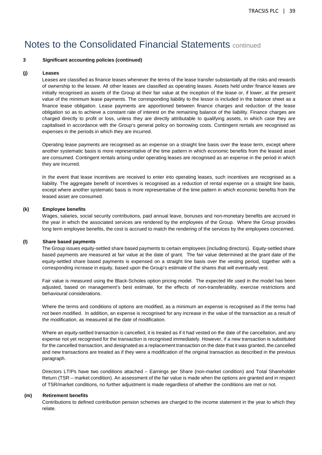#### **3 Significant accounting policies (continued)**

#### **(j) Leases**

Leases are classified as finance leases whenever the terms of the lease transfer substantially all the risks and rewards of ownership to the lessee. All other leases are classified as operating leases. Assets held under finance leases are initially recognised as assets of the Group at their fair value at the inception of the lease or, if lower, at the present value of the minimum lease payments. The corresponding liability to the lessor is included in the balance sheet as a finance lease obligation. Lease payments are apportioned between finance charges and reduction of the lease obligation so as to achieve a constant rate of interest on the remaining balance of the liability. Finance charges are charged directly to profit or loss, unless they are directly attributable to qualifying assets, in which case they are capitalised in accordance with the Group's general policy on borrowing costs. Contingent rentals are recognised as expenses in the periods in which they are incurred.

Operating lease payments are recognised as an expense on a straight line basis over the lease term, except where another systematic basis is more representative of the time pattern in which economic benefits from the leased asset are consumed. Contingent rentals arising under operating leases are recognised as an expense in the period in which they are incurred.

In the event that lease incentives are received to enter into operating leases, such incentives are recognised as a liability. The aggregate benefit of incentives is recognised as a reduction of rental expense on a straight line basis, except where another systematic basis is more representative of the time pattern in which economic benefits from the leased asset are consumed.

#### **(k) Employee benefits**

Wages, salaries, social security contributions, paid annual leave, bonuses and non-monetary benefits are accrued in the year in which the associated services are rendered by the employees of the Group. Where the Group provides long term employee benefits, the cost is accrued to match the rendering of the services by the employees concerned.

#### **(l) Share based payments**

The Group issues equity-settled share based payments to certain employees (including directors). Equity-settled share based payments are measured at fair value at the date of grant. The fair value determined at the grant date of the equity-settled share based payments is expensed on a straight line basis over the vesting period, together with a corresponding increase in equity, based upon the Group's estimate of the shares that will eventually vest.

Fair value is measured using the Black-Scholes option pricing model. The expected life used in the model has been adjusted, based on management's best estimate, for the effects of non-transferability, exercise restrictions and behavioural considerations.

Where the terms and conditions of options are modified, as a minimum an expense is recognised as if the terms had not been modified. In addition, an expense is recognised for any increase in the value of the transaction as a result of the modification, as measured at the date of modification.

Where an equity-settled transaction is cancelled, it is treated as if it had vested on the date of the cancellation, and any expense not yet recognised for the transaction is recognised immediately. However, if a new transaction is substituted for the cancelled transaction, and designated as a replacement transaction on the date that it was granted, the cancelled and new transactions are treated as if they were a modification of the original transaction as described in the previous paragraph.

Directors LTIPs have two conditions attached – Earnings per Share (non-market condition) and Total Shareholder Return (TSR – market condition). An assessment of the fair value is made when the options are granted and in respect of TSR/market conditions, no further adjustment is made regardless of whether the conditions are met or not.

#### **(m) Retirement benefits**

Contributions to defined contribution pension schemes are charged to the income statement in the year to which they relate.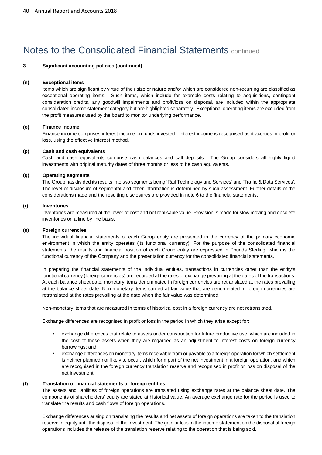### **3 Significant accounting policies (continued)**

#### **(n) Exceptional items**

Items which are significant by virtue of their size or nature and/or which are considered non-recurring are classified as exceptional operating items. Such items, which include for example costs relating to acquisitions, contingent consideration credits, any goodwill impairments and profit/loss on disposal, are included within the appropriate consolidated income statement category but are highlighted separately. Exceptional operating items are excluded from the profit measures used by the board to monitor underlying performance.

#### **(o) Finance income**

Finance income comprises interest income on funds invested. Interest income is recognised as it accrues in profit or loss, using the effective interest method.

#### **(p) Cash and cash equivalents**

Cash and cash equivalents comprise cash balances and call deposits. The Group considers all highly liquid investments with original maturity dates of three months or less to be cash equivalents.

#### **(q) Operating segments**

The Group has divided its results into two segments being 'Rail Technology and Services' and 'Traffic & Data Services'. The level of disclosure of segmental and other information is determined by such assessment. Further details of the considerations made and the resulting disclosures are provided in note 6 to the financial statements.

#### **(r) Inventories**

Inventories are measured at the lower of cost and net realisable value. Provision is made for slow moving and obsolete inventories on a line by line basis.

#### **(s) Foreign currencies**

The individual financial statements of each Group entity are presented in the currency of the primary economic environment in which the entity operates (its functional currency). For the purpose of the consolidated financial statements, the results and financial position of each Group entity are expressed in Pounds Sterling, which is the functional currency of the Company and the presentation currency for the consolidated financial statements.

In preparing the financial statements of the individual entities, transactions in currencies other than the entity's functional currency (foreign currencies) are recorded at the rates of exchange prevailing at the dates of the transactions. At each balance sheet date, monetary items denominated in foreign currencies are retranslated at the rates prevailing at the balance sheet date. Non-monetary items carried at fair value that are denominated in foreign currencies are retranslated at the rates prevailing at the date when the fair value was determined.

Non-monetary items that are measured in terms of historical cost in a foreign currency are not retranslated.

Exchange differences are recognised in profit or loss in the period in which they arise except for:

- exchange differences that relate to assets under construction for future productive use, which are included in the cost of those assets when they are regarded as an adjustment to interest costs on foreign currency borrowings; and
- exchange differences on monetary items receivable from or payable to a foreign operation for which settlement is neither planned nor likely to occur, which form part of the net investment in a foreign operation, and which are recognised in the foreign currency translation reserve and recognised in profit or loss on disposal of the net investment.

### **(t) Translation of financial statements of foreign entities**

The assets and liabilities of foreign operations are translated using exchange rates at the balance sheet date. The components of shareholders' equity are stated at historical value. An average exchange rate for the period is used to translate the results and cash flows of foreign operations.

Exchange differences arising on translating the results and net assets of foreign operations are taken to the translation reserve in equity until the disposal of the investment. The gain or loss in the income statement on the disposal of foreign operations includes the release of the translation reserve relating to the operation that is being sold.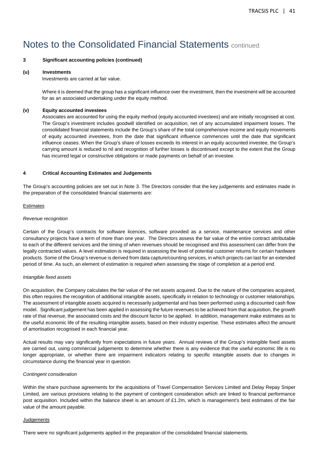### **3 Significant accounting policies (continued)**

#### **(u) Investments**

Investments are carried at fair value.

Where it is deemed that the group has a significant influence over the investment, then the investment will be accounted for as an associated undertaking under the equity method.

#### **(v) Equity accounted investees**

Associates are accounted for using the equity method (equity accounted investees) and are initially recognised at cost. The Group's investment includes goodwill identified on acquisition, net of any accumulated impairment losses. The consolidated financial statements include the Group's share of the total comprehensive income and equity movements of equity accounted investees, from the date that significant influence commences until the date that significant influence ceases. When the Group's share of losses exceeds its interest in an equity accounted investee, the Group's carrying amount is reduced to nil and recognition of further losses is discontinued except to the extent that the Group has incurred legal or constructive obligations or made payments on behalf of an investee.

#### **4 Critical Accounting Estimates and Judgements**

The Group's accounting policies are set out in Note 3. The Directors consider that the key judgements and estimates made in the preparation of the consolidated financial statements are:

#### Estimates

#### Revenue recognition

Certain of the Group's contracts for software licences, software provided as a service, maintenance services and other consultancy projects have a term of more than one year. The Directors assess the fair value of the entire contract attributable to each of the different services and the timing of when revenues should be recognised and this assessment can differ from the legally contracted values. A level estimation is required in assessing the level of potential customer returns for certain hardware products. Some of the Group's revenue is derived from data capture/counting services, in which projects can last for an extended period of time. As such, an element of estimation is required when assessing the stage of completion at a period end.

#### Intangible fixed assets

On acquisition, the Company calculates the fair value of the net assets acquired. Due to the nature of the companies acquired, this often requires the recognition of additional intangible assets, specifically in relation to technology or customer relationships. The assessment of intangible assets acquired is necessarily judgemental and has been performed using a discounted cash flow model. Significant judgement has been applied in assessing the future revenues to be achieved from that acquisition, the growth rate of that revenue, the associated costs and the discount factor to be applied. In addition, management make estimates as to the useful economic life of the resulting intangible assets, based on their industry expertise. These estimates affect the amount of amortisation recognised in each financial year.

Actual results may vary significantly from expectations in future years. Annual reviews of the Group's intangible fixed assets are carried out, using commercial judgements to determine whether there is any evidence that the useful economic life is no longer appropriate, or whether there are impairment indicators relating to specific intangible assets due to changes in circumstance during the financial year in question.

#### Contingent consideration

Within the share purchase agreements for the acquisitions of Travel Compensation Services Limited and Delay Repay Sniper Limited, are various provisions relating to the payment of contingent consideration which are linked to financial performance post acquisition. Included within the balance sheet is an amount of £1.2m, which is management's best estimates of the fair value of the amount payable.

#### **Judgements**

There were no significant judgements applied in the preparation of the consolidated financial statements.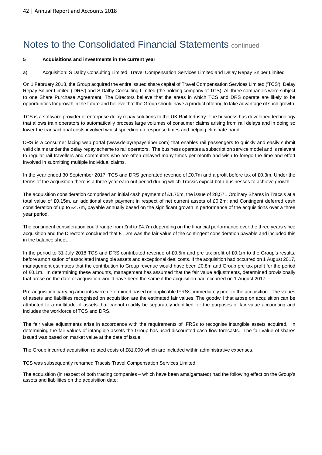#### **5 Acquisitions and investments in the current year**

#### a) Acquisition: S Dalby Consulting Limited, Travel Compensation Services Limited and Delay Repay Sniper Limited

On 1 February 2018, the Group acquired the entire issued share capital of Travel Compensation Services Limited ('TCS'), Delay Repay Sniper Limited ('DRS') and S Dalby Consulting Limited (the holding company of TCS). All three companies were subject to one Share Purchase Agreement. The Directors believe that the areas in which TCS and DRS operate are likely to be opportunities for growth in the future and believe that the Group should have a product offering to take advantage of such growth.

TCS is a software provider of enterprise delay repay solutions to the UK Rail Industry. The business has developed technology that allows train operators to automatically process large volumes of consumer claims arising from rail delays and in doing so lower the transactional costs involved whilst speeding up response times and helping eliminate fraud.

DRS is a consumer facing web portal (www.delayrepaysniper.com) that enables rail passengers to quickly and easily submit valid claims under the delay repay scheme to rail operators. The business operates a subscription service model and is relevant to regular rail travellers and commuters who are often delayed many times per month and wish to forego the time and effort involved in submitting multiple individual claims.

In the year ended 30 September 2017, TCS and DRS generated revenue of £0.7m and a profit before tax of £0.3m. Under the terms of the acquisition there is a three year earn out period during which Tracsis expect both businesses to achieve growth.

The acquisition consideration comprised an initial cash payment of £1.75m, the issue of 28,571 Ordinary Shares in Tracsis at a total value of £0.15m, an additional cash payment in respect of net current assets of £0.2m; and Contingent deferred cash consideration of up to £4.7m, payable annually based on the significant growth in performance of the acquisitions over a three year period.

The contingent consideration could range from £nil to £4.7m depending on the financial performance over the three years since acquisition and the Directors concluded that £1.2m was the fair value of the contingent consideration payable and included this in the balance sheet.

In the period to 31 July 2018 TCS and DRS contributed revenue of £0.5m and pre tax profit of £0.1m to the Group's results, before amortisation of associated intangible assets and exceptional deal costs. If the acquisition had occurred on 1 August 2017, management estimates that the contribution to Group revenue would have been £0.8m and Group pre tax profit for the period of £0.1m. In determining these amounts, management has assumed that the fair value adjustments, determined provisionally that arose on the date of acquisition would have been the same if the acquisition had occurred on 1 August 2017.

Pre-acquisition carrying amounts were determined based on applicable IFRSs, immediately prior to the acquisition. The values of assets and liabilities recognised on acquisition are the estimated fair values. The goodwill that arose on acquisition can be attributed to a multitude of assets that cannot readily be separately identified for the purposes of fair value accounting and includes the workforce of TCS and DRS.

The fair value adjustments arise in accordance with the requirements of IFRSs to recognise intangible assets acquired. In determining the fair values of intangible assets the Group has used discounted cash flow forecasts. The fair value of shares issued was based on market value at the date of issue.

The Group incurred acquisition related costs of £81,000 which are included within administrative expenses.

TCS was subsequently renamed Tracsis Travel Compensation Services Limited.

The acquisition (in respect of both trading companies – which have been amalgamated) had the following effect on the Group's assets and liabilities on the acquisition date: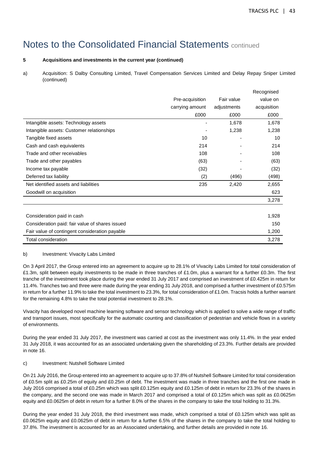## **5 Acquisitions and investments in the current year (continued)**

a) Acquisition: S Dalby Consulting Limited, Travel Compensation Services Limited and Delay Repay Sniper Limited (continued)

|                                                 |                 |             | Recognised  |
|-------------------------------------------------|-----------------|-------------|-------------|
|                                                 | Pre-acquisition | Fair value  | value on    |
|                                                 | carrying amount | adjustments | acquisition |
|                                                 | £000            | £000        | £000        |
| Intangible assets: Technology assets            | $\overline{a}$  | 1,678       | 1,678       |
| Intangible assets: Customer relationships       |                 | 1,238       | 1,238       |
| Tangible fixed assets                           | 10              |             | 10          |
| Cash and cash equivalents                       | 214             |             | 214         |
| Trade and other receivables                     | 108             |             | 108         |
| Trade and other payables                        | (63)            |             | (63)        |
| Income tax payable                              | (32)            |             | (32)        |
| Deferred tax liability                          | (2)             | (496)       | (498)       |
| Net identified assets and liabilities           | 235             | 2,420       | 2,655       |
| Goodwill on acquisition                         |                 |             | 623         |
|                                                 |                 |             | 3,278       |
|                                                 |                 |             |             |
| Consideration paid in cash                      |                 |             | 1,928       |
| Consideration paid: fair value of shares issued |                 |             | 150         |
| Fair value of contingent consideration payable  |                 |             | 1,200       |
| Total consideration                             |                 |             | 3,278       |

### b) Investment: Vivacity Labs Limited

On 3 April 2017, the Group entered into an agreement to acquire up to 28.1% of Vivacity Labs Limited for total consideration of £1.3m, split between equity investments to be made in three tranches of £1.0m, plus a warrant for a further £0.3m. The first tranche of the investment took place during the year ended 31 July 2017 and comprised an investment of £0.425m in return for 11.4%. Tranches two and three were made during the year ending 31 July 2018, and comprised a further investment of £0.575m in return for a further 11.9% to take the total investment to 23.3%, for total consideration of £1.0m. Tracsis holds a further warrant for the remaining 4.8% to take the total potential investment to 28.1%.

Vivacity has developed novel machine learning software and sensor technology which is applied to solve a wide range of traffic and transport issues, most specifically for the automatic counting and classification of pedestrian and vehicle flows in a variety of environments.

During the year ended 31 July 2017, the investment was carried at cost as the investment was only 11.4%. In the year ended 31 July 2018, it was accounted for as an associated undertaking given the shareholding of 23.3%. Further details are provided in note 16.

## c) Investment: Nutshell Software Limited

On 21 July 2016, the Group entered into an agreement to acquire up to 37.8% of Nutshell Software Limited for total consideration of £0.5m split as £0.25m of equity and £0.25m of debt. The investment was made in three tranches and the first one made in July 2016 comprised a total of £0.25m which was split £0.125m equity and £0.125m of debt in return for 23.3% of the shares in the company, and the second one was made in March 2017 and comprised a total of £0.125m which was split as £0.0625m equity and £0.0625m of debt in return for a further 8.0% of the shares in the company to take the total holding to 31.3%.

During the year ended 31 July 2018, the third investment was made, which comprised a total of £0.125m which was split as £0.0625m equity and £0.0625m of debt in return for a further 6.5% of the shares in the company to take the total holding to 37.8%. The investment is accounted for as an Associated undertaking, and further details are provided in note 16.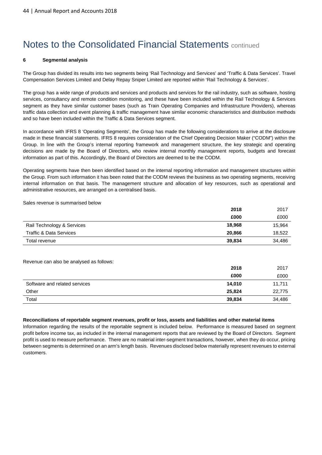#### **6 Segmental analysis**

The Group has divided its results into two segments being 'Rail Technology and Services' and 'Traffic & Data Services'. Travel Compensation Services Limited and Delay Repay Sniper Limited are reported within 'Rail Technology & Services'.

The group has a wide range of products and services and products and services for the rail industry, such as software, hosting services, consultancy and remote condition monitoring, and these have been included within the Rail Technology & Services segment as they have similar customer bases (such as Train Operating Companies and Infrastructure Providers), whereas traffic data collection and event planning & traffic management have similar economic characteristics and distribution methods and so have been included within the Traffic & Data Services segment.

In accordance with IFRS 8 'Operating Segments', the Group has made the following considerations to arrive at the disclosure made in these financial statements. IFRS 8 requires consideration of the Chief Operating Decision Maker ("CODM") within the Group. In line with the Group's internal reporting framework and management structure, the key strategic and operating decisions are made by the Board of Directors, who review internal monthly management reports, budgets and forecast information as part of this. Accordingly, the Board of Directors are deemed to be the CODM.

Operating segments have then been identified based on the internal reporting information and management structures within the Group. From such information it has been noted that the CODM reviews the business as two operating segments, receiving internal information on that basis. The management structure and allocation of key resources, such as operational and administrative resources, are arranged on a centralised basis.

Sales revenue is summarised below

|                            | 2018   | 2017   |
|----------------------------|--------|--------|
|                            | £000   | £000   |
| Rail Technology & Services | 18,968 | 15,964 |
| Traffic & Data Services    | 20,866 | 18,522 |
| Total revenue              | 39,834 | 34,486 |

Revenue can also be analysed as follows:

|                               | 2018   | 2017   |
|-------------------------------|--------|--------|
|                               | £000   | £000   |
| Software and related services | 14,010 | 11,711 |
| Other                         | 25,824 | 22,775 |
| Total                         | 39,834 | 34,486 |

#### **Reconciliations of reportable segment revenues, profit or loss, assets and liabilities and other material items**

Information regarding the results of the reportable segment is included below. Performance is measured based on segment profit before income tax, as included in the internal management reports that are reviewed by the Board of Directors. Segment profit is used to measure performance. There are no material inter-segment transactions, however, when they do occur, pricing between segments is determined on an arm's length basis. Revenues disclosed below materially represent revenues to external customers.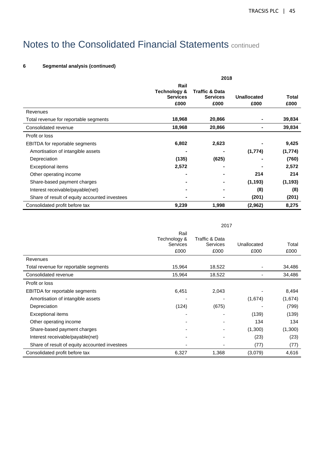## **6 Segmental analysis (continued)**

|                                               | 2018                    |                           |             |          |  |  |
|-----------------------------------------------|-------------------------|---------------------------|-------------|----------|--|--|
|                                               | Rail                    |                           |             |          |  |  |
|                                               | <b>Technology &amp;</b> | <b>Traffic &amp; Data</b> |             |          |  |  |
|                                               | <b>Services</b>         | <b>Services</b>           | Unallocated | Total    |  |  |
|                                               | £000                    | £000                      | £000        | £000     |  |  |
| Revenues                                      |                         |                           |             |          |  |  |
| Total revenue for reportable segments         | 18,968                  | 20,866                    |             | 39,834   |  |  |
| Consolidated revenue                          | 18,968                  | 20,866                    |             | 39,834   |  |  |
| Profit or loss                                |                         |                           |             |          |  |  |
| <b>EBITDA</b> for reportable segments         | 6,802                   | 2,623                     |             | 9,425    |  |  |
| Amortisation of intangible assets             |                         |                           | (1,774)     | (1,774)  |  |  |
| Depreciation                                  | (135)                   | (625)                     |             | (760)    |  |  |
| <b>Exceptional items</b>                      | 2,572                   |                           |             | 2,572    |  |  |
| Other operating income                        |                         |                           | 214         | 214      |  |  |
| Share-based payment charges                   |                         |                           | (1, 193)    | (1, 193) |  |  |
| Interest receivable/payable(net)              |                         |                           | (8)         | (8)      |  |  |
| Share of result of equity accounted investees |                         |                           | (201)       | (201)    |  |  |
| Consolidated profit before tax                | 9,239                   | 1,998                     | (2,962)     | 8,275    |  |  |

|                                               | 2017                                     |                                           |                     |               |  |
|-----------------------------------------------|------------------------------------------|-------------------------------------------|---------------------|---------------|--|
|                                               | Rail<br>Technology &<br>Services<br>£000 | Traffic & Data<br><b>Services</b><br>£000 | Unallocated<br>£000 | Total<br>£000 |  |
| Revenues                                      |                                          |                                           |                     |               |  |
| Total revenue for reportable segments         | 15,964                                   | 18,522                                    |                     | 34,486        |  |
| Consolidated revenue                          | 15,964                                   | 18,522                                    |                     | 34,486        |  |
| Profit or loss                                |                                          |                                           |                     |               |  |
| EBITDA for reportable segments                | 6,451                                    | 2,043                                     |                     | 8,494         |  |
| Amortisation of intangible assets             |                                          |                                           | (1,674)             | (1,674)       |  |
| Depreciation                                  | (124)                                    | (675)                                     |                     | (799)         |  |
| Exceptional items                             |                                          |                                           | (139)               | (139)         |  |
| Other operating income                        |                                          |                                           | 134                 | 134           |  |
| Share-based payment charges                   |                                          |                                           | (1,300)             | (1,300)       |  |
| Interest receivable/payable(net)              |                                          |                                           | (23)                | (23)          |  |
| Share of result of equity accounted investees |                                          |                                           | (77)                | (77)          |  |
| Consolidated profit before tax                | 6,327                                    | 1,368                                     | (3,079)             | 4,616         |  |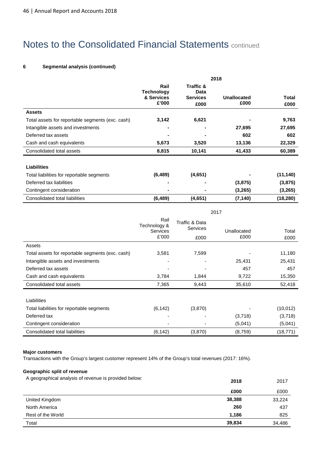## **6 Segmental analysis (continued)**

|                                                  | 2018                                             |                                              |                     |                      |  |
|--------------------------------------------------|--------------------------------------------------|----------------------------------------------|---------------------|----------------------|--|
|                                                  | Rail<br><b>Technology</b><br>& Services<br>£'000 | Traffic &<br>Data<br><b>Services</b><br>£000 | Unallocated<br>£000 | <b>Total</b><br>£000 |  |
| <b>Assets</b>                                    |                                                  |                                              |                     |                      |  |
| Total assets for reportable segments (exc. cash) | 3,142                                            | 6,621                                        |                     | 9,763                |  |
| Intangible assets and investments                |                                                  | -                                            | 27,695              | 27,695               |  |
| Deferred tax assets                              |                                                  |                                              | 602                 | 602                  |  |
| Cash and cash equivalents                        | 5,673                                            | 3,520                                        | 13,136              | 22,329               |  |
| Consolidated total assets                        | 8,815                                            | 10,141                                       | 41,433              | 60,389               |  |
| <b>Liabilities</b>                               |                                                  |                                              |                     |                      |  |
| Total liabilities for reportable segments        | (6, 489)                                         | (4,651)                                      |                     | (11, 140)            |  |
| Deferred tax liabilities                         | $\blacksquare$                                   |                                              | (3,875)             | (3,875)              |  |
| Contingent consideration                         |                                                  |                                              | (3, 265)            | (3, 265)             |  |
| Consolidated total liabilities                   | (6, 489)                                         | (4,651)                                      | (7, 140)            | (18, 280)            |  |

|                                                  | 2017                                             |                                                      |                     |               |
|--------------------------------------------------|--------------------------------------------------|------------------------------------------------------|---------------------|---------------|
|                                                  | Rail<br>Technology &<br><b>Services</b><br>£'000 | <b>Traffic &amp; Data</b><br><b>Services</b><br>£000 | Unallocated<br>£000 | Total<br>£000 |
| Assets                                           |                                                  |                                                      |                     |               |
| Total assets for reportable segments (exc. cash) | 3,581                                            | 7,599                                                |                     | 11,180        |
| Intangible assets and investments                |                                                  |                                                      | 25,431              | 25,431        |
| Deferred tax assets                              |                                                  |                                                      | 457                 | 457           |
| Cash and cash equivalents                        | 3,784                                            | 1,844                                                | 9,722               | 15,350        |
| Consolidated total assets                        | 7,365                                            | 9,443                                                | 35,610              | 52,418        |
| Liabilities                                      |                                                  |                                                      |                     |               |
| Total liabilities for reportable segments        | (6, 142)                                         | (3,870)                                              |                     | (10, 012)     |
| Deferred tax                                     |                                                  |                                                      | (3,718)             | (3,718)       |
| Contingent consideration                         |                                                  |                                                      | (5,041)             | (5,041)       |
| Consolidated total liabilities                   | (6, 142)                                         | (3,870)                                              | (8,759)             | (18, 771)     |

#### **Major customers**

Transactions with the Group's largest customer represent 14% of the Group's total revenues (2017: 16%).

### **Geographic split of revenue**

A geographical analysis of revenue is provided below: **2018** <sup>2017</sup>

|                   | ZV I V | 20 I I |
|-------------------|--------|--------|
|                   | £000   | £000   |
| United Kingdom    | 38,388 | 33,224 |
| North America     | 260    | 437    |
| Rest of the World | 1,186  | 825    |
| Total             | 39,834 | 34,486 |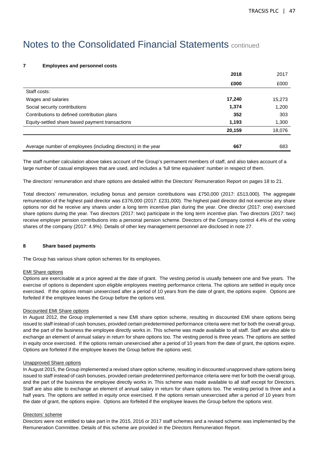## **7 Employees and personnel costs**

|                                                               | 2018   | 2017   |
|---------------------------------------------------------------|--------|--------|
|                                                               | £000   | £000   |
| Staff costs:                                                  |        |        |
| Wages and salaries                                            | 17,240 | 15,273 |
| Social security contributions                                 | 1,374  | 1,200  |
| Contributions to defined contribution plans                   | 352    | 303    |
| Equity-settled share based payment transactions               | 1,193  | 1,300  |
|                                                               | 20,159 | 18,076 |
|                                                               |        |        |
| Average number of employees (including directors) in the year | 667    | 683    |

The staff number calculation above takes account of the Group's permanent members of staff, and also takes account of a large number of casual employees that are used, and includes a 'full time equivalent' number in respect of them.

The directors' remuneration and share options are detailed within the Directors' Remuneration Report on pages 18 to 21.

Total directors' remuneration, including bonus and pension contributions was £750,000 (2017: £513,000). The aggregate remuneration of the highest paid director was £376,000 (2017: £231,000). The highest paid director did not exercise any share options nor did he receive any shares under a long term incentive plan during the year. One director (2017: one) exercised share options during the year. Two directors (2017: two) participate in the long term incentive plan. Two directors (2017: two) receive employer pension contributions into a personal pension scheme. Directors of the Company control 4.4% of the voting shares of the company (2017: 4.9%). Details of other key management personnel are disclosed in note 27.

### **8 Share based payments**

The Group has various share option schemes for its employees.

### **EMI Share options**

Options are exercisable at a price agreed at the date of grant. The vesting period is usually between one and five years. The exercise of options is dependent upon eligible employees meeting performance criteria. The options are settled in equity once exercised. If the options remain unexercised after a period of 10 years from the date of grant, the options expire. Options are forfeited if the employee leaves the Group before the options vest.

### Discounted EMI Share options

In August 2012, the Group implemented a new EMI share option scheme, resulting in discounted EMI share options being issued to staff instead of cash bonuses, provided certain predetermined performance criteria were met for both the overall group, and the part of the business the employee directly works in. This scheme was made available to all staff. Staff are also able to exchange an element of annual salary in return for share options too. The vesting period is three years. The options are settled in equity once exercised. If the options remain unexercised after a period of 10 years from the date of grant, the options expire. Options are forfeited if the employee leaves the Group before the options vest.

#### Unapproved Share options

In August 2015, the Group implemented a revised share option scheme, resulting in discounted unapproved share options being issued to staff instead of cash bonuses, provided certain predetermined performance criteria were met for both the overall group, and the part of the business the employee directly works in. This scheme was made available to all staff except for Directors. Staff are also able to exchange an element of annual salary in return for share options too. The vesting period is three and a half years. The options are settled in equity once exercised. If the options remain unexercised after a period of 10 years from the date of grant, the options expire. Options are forfeited if the employee leaves the Group before the options vest.

#### Directors' scheme

Directors were not entitled to take part in the 2015, 2016 or 2017 staff schemes and a revised scheme was implemented by the Remuneration Committee. Details of this scheme are provided in the Directors Remuneration Report.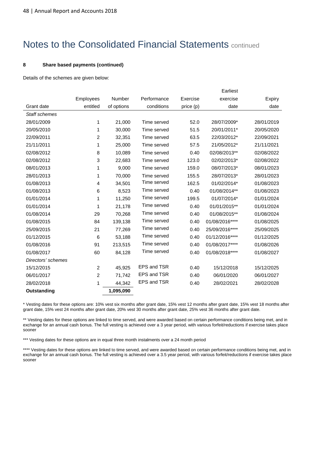#### **8 Share based payments (continued)**

Details of the schemes are given below:

|                    |                |            |             |           | Earliest        |            |
|--------------------|----------------|------------|-------------|-----------|-----------------|------------|
|                    | Employees      | Number     | Performance | Exercise  | exercise        | Expiry     |
| Grant date         | entitled       | of options | conditions  | price (p) | date            | date       |
| Staff schemes      |                |            |             |           |                 |            |
| 28/01/2009         | 1              | 21,000     | Time served | 52.0      | 28/07/2009*     | 28/01/2019 |
| 20/05/2010         | 1              | 30,000     | Time served | 51.5      | 20/01/2011*     | 20/05/2020 |
| 22/09/2011         | 2              | 32,351     | Time served | 63.5      | 22/03/2012*     | 22/09/2021 |
| 21/11/2011         | 1              | 25,000     | Time served | 57.5      | 21/05/2012*     | 21/11/2021 |
| 02/08/2012         | 8              | 10,089     | Time served | 0.40      | 02/08/2013**    | 02/08/2022 |
| 02/08/2012         | 3              | 22,683     | Time served | 123.0     | 02/02/2013*     | 02/08/2022 |
| 08/01/2013         | 1              | 9,000      | Time served | 159.0     | 08/07/2013*     | 08/01/2023 |
| 28/01/2013         | 1              | 70,000     | Time served | 155.5     | 28/07/2013*     | 28/01/2023 |
| 01/08/2013         | 4              | 34,501     | Time served | 162.5     | 01/02/2014*     | 01/08/2023 |
| 01/08/2013         | 6              | 8,523      | Time served | 0.40      | 01/08/2014**    | 01/08/2023 |
| 01/01/2014         | 1              | 11,250     | Time served | 199.5     | 01/07/2014*     | 01/01/2024 |
| 01/01/2014         | 1              | 21,178     | Time served | 0.40      | 01/01/2015**    | 01/01/2024 |
| 01/08/2014         | 29             | 70,268     | Time served | 0.40      | 01/08/2015**    | 01/08/2024 |
| 01/08/2015         | 84             | 139,138    | Time served | 0.40      | 01/08/2016****  | 01/08/2025 |
| 25/09/2015         | 21             | 77,269     | Time served | 0.40      | 25/09/2016****  | 25/09/2025 |
| 01/12/2015         | 6              | 53,188     | Time served | 0.40      | 01/12/2016****  | 01/12/2025 |
| 01/08/2016         | 91             | 213,515    | Time served | 0.40      | 01/08/2017****  | 01/08/2026 |
| 01/08/2017         | 60             | 84,128     | Time served | 0.40      | 01/08/2018 **** | 01/08/2027 |
| Directors' schemes |                |            |             |           |                 |            |
| 15/12/2015         | $\overline{c}$ | 45,925     | EPS and TSR | 0.40      | 15/12/2018      | 15/12/2025 |
| 06/01/2017         | $\overline{2}$ | 71,742     | EPS and TSR | 0.40      | 06/01/2020      | 06/01/2027 |
| 28/02/2018         | 1              | 44,342     | EPS and TSR | 0.40      | 28/02/2021      | 28/02/2028 |
| Outstanding        |                | 1,095,090  |             |           |                 |            |

\* Vesting dates for these options are: 10% vest six months after grant date, 15% vest 12 months after grant date, 15% vest 18 months after grant date, 15% vest 24 months after grant date, 20% vest 30 months after grant date, 25% vest 36 months after grant date.

\*\* Vesting dates for these options are linked to time served, and were awarded based on certain performance conditions being met, and in exchange for an annual cash bonus. The full vesting is achieved over a 3 year period, with various forfeit/reductions if exercise takes place sooner

\*\*\* Vesting dates for these options are in equal three month instalments over a 24 month period

\*\*\*\* Vesting dates for these options are linked to time served, and were awarded based on certain performance conditions being met, and in exchange for an annual cash bonus. The full vesting is achieved over a 3.5 year period, with various forfeit/reductions if exercise takes place sooner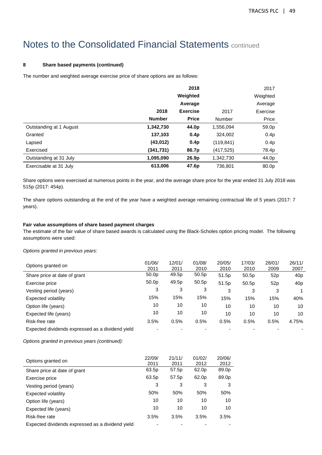### **8 Share based payments (continued)**

The number and weighted average exercise price of share options are as follows:

|                         |               | 2018             |               | 2017             |
|-------------------------|---------------|------------------|---------------|------------------|
|                         |               | Weighted         |               | Weighted         |
|                         |               | Average          |               | Average          |
|                         | 2018          | <b>Exercise</b>  | 2017          | Exercise         |
|                         | <b>Number</b> | <b>Price</b>     | <b>Number</b> | Price            |
| Outstanding at 1 August | 1,342,730     | 44.0p            | 1,556,094     | 59.0p            |
| Granted                 | 137,103       | 0.4p             | 324,002       | 0.4 <sub>p</sub> |
| Lapsed                  | (43, 012)     | 0.4 <sub>p</sub> | (119, 841)    | 0.4p             |
| Exercised               | (341, 731)    | 86.7p            | (417, 525)    | 78.4p            |
| Outstanding at 31 July  | 1,095,090     | 26.9p            | 1,342,730     | 44.0p            |
| Exercisable at 31 July  | 613,006       | 47.6p            | 736,801       | 80.0p            |

Share options were exercised at numerous points in the year, and the average share price for the year ended 31 July 2018 was 515p (2017: 454p).

The share options outstanding at the end of the year have a weighted average remaining contractual life of 5 years (2017: 7 years).

### **Fair value assumptions of share based payment charges**

The estimate of the fair value of share based awards is calculated using the Black-Scholes option pricing model. The following assumptions were used:

Options granted in previous years:

| Options granted on                               | 01/06/<br>2011    | 12/01/<br>2011 | 01/08/<br>2010 | 20/05/<br>2010 | 17/03/<br>2010 | 28/01/<br>2009 | 26/11/<br>2007  |
|--------------------------------------------------|-------------------|----------------|----------------|----------------|----------------|----------------|-----------------|
| Share price at date of grant                     | 50.0 <sub>p</sub> | 49.5p          | 50.5p          | 51.5p          | 50.5p          | 52p            | 40 <sub>p</sub> |
| Exercise price                                   | 50.0 <sub>p</sub> | 49.5p          | 50.5p          | 51.5p          | 50.5p          | 52p            | 40 <sub>p</sub> |
| Vesting period (years)                           | 3                 | 3              | 3              | 3              | 3              | 3              |                 |
| Expected volatility                              | 15%               | 15%            | 15%            | 15%            | 15%            | 15%            | 40%             |
| Option life (years)                              | 10                | 10             | 10             | 10             | 10             | 10             | 10              |
| Expected life (years)                            | 10                | 10             | 10             | 10             | 10             | 10             | 10              |
| Risk-free rate                                   | 3.5%              | 0.5%           | 0.5%           | 0.5%           | 0.5%           | 0.5%           | 4.75%           |
| Expected dividends expressed as a dividend yield |                   |                |                |                |                |                |                 |

Options granted in previous years (continued):

| Options granted on                               | 22/09/<br>2011 | 21/11/<br>2011 | 01/02/<br>2012 | 20/06/<br>2012 |
|--------------------------------------------------|----------------|----------------|----------------|----------------|
| Share price at date of grant                     | 63.5p          | 57.5p          | 62.0p          | 89.0p          |
| Exercise price                                   | 63.5p          | 57.5p          | 62.0p          | 89.0p          |
| Vesting period (years)                           | 3              | 3              | 3              | 3              |
| Expected volatility                              | 50%            | 50%            | 50%            | 50%            |
| Option life (years)                              | 10             | 10             | 10             | 10             |
| Expected life (years)                            | 10             | 10             | 10             | 10             |
| Risk-free rate                                   | 3.5%           | 3.5%           | 3.5%           | 3.5%           |
| Expected dividends expressed as a dividend yield |                |                |                |                |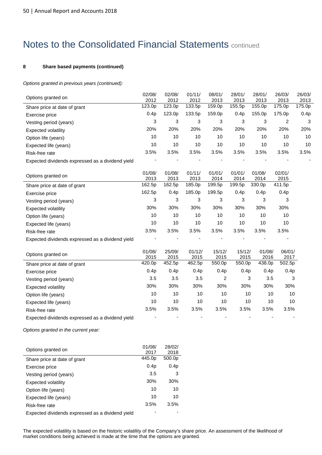## **8 Share based payments (continued)**

Options granted in previous years (continued):

| Options granted on                               | 02/08/<br>2012 | 02/08/<br>2012 | 01/11/<br>2012 | 08/01/<br>2013 | 28/01/<br>2013 | 28/01/<br>2013 | 26/03/<br>2013 | 26/03/<br>2013 |
|--------------------------------------------------|----------------|----------------|----------------|----------------|----------------|----------------|----------------|----------------|
| Share price at date of grant                     | 123.0p         | 123.0p         | 133.5p         | 159.0p         | 155.5p         | 155.0p         | 175.0p         | 175.0p         |
| Exercise price                                   | 0.4p           | 123.0p         | 133.5p         | 159.0p         | 0.4p           | 155.0p         | 175.0p         | 0.4p           |
| Vesting period (years)                           | 3              | 3              | 3              | 3              | 3              | 3              | 2              | 3              |
| Expected volatility                              | 20%            | 20%            | 20%            | 20%            | 20%            | 20%            | 20%            | 20%            |
| Option life (years)                              | 10             | 10             | 10             | 10             | 10             | 10             | 10             | 10             |
| Expected life (years)                            | 10             | 10             | 10             | 10             | 10             | 10             | 10             | 10             |
| Risk-free rate                                   | 3.5%           | 3.5%           | 3.5%           | 3.5%           | 3.5%           | 3.5%           | 3.5%           | 3.5%           |
| Expected dividends expressed as a dividend yield |                |                |                |                |                |                |                |                |
| Options granted on                               | 01/08/<br>2013 | 01/08/<br>2013 | 01/11/<br>2013 | 01/01/<br>2014 | 01/01/<br>2014 | 01/08/<br>2014 | 02/01/<br>2015 |                |
| Share price at date of grant                     | 162.5p         | 162.5p         | 185.0p         | 199.5p         | 199.5p         | 330.0p         | 411.5p         |                |
| Exercise price                                   | 162.5p         | 0.4p           | 185.0p         | 199.5p         | 0.4p           | 0.4p           | 0.4p           |                |
| Vesting period (years)                           | 3              | 3              | 3              | 3              | 3              | 3              | 3              |                |
| <b>Expected volatility</b>                       | 30%            | 30%            | 30%            | 30%            | 30%            | 30%            | 30%            |                |
| Option life (years)                              | 10             | 10             | 10             | 10             | 10             | 10             | 10             |                |
| Expected life (years)                            | 10             | 10             | 10             | 10             | 10             | 10             | 10             |                |
| Risk-free rate                                   | 3.5%           | 3.5%           | 3.5%           | 3.5%           | 3.5%           | 3.5%           | 3.5%           |                |
| Expected dividends expressed as a dividend yield |                |                |                |                |                |                |                |                |
| Options granted on                               | 01/08/<br>2015 | 25/09/<br>2015 | 01/12/<br>2015 | 15/12/<br>2015 | 15/12/<br>2015 | 01/08/<br>2016 | 06/01/<br>2017 |                |
| Share price at date of grant                     | 420.0p         | 452.5p         | 462.5p         | 550.0p         | 550.0p         | 438.0p         | 502.5p         |                |
| Exercise price                                   | 0.4p           | 0.4p           | 0.4p           | 0.4p           | 0.4p           | 0.4p           | 0.4p           |                |
| Vesting period (years)                           | 3.5            | 3.5            | 3.5            | $\overline{c}$ | 3              | 3.5            | 3              |                |
| <b>Expected volatility</b>                       | 30%            | 30%            | 30%            | 30%            | 30%            | 30%            | 30%            |                |
| Option life (years)                              | 10             | 10             | 10             | 10             | 10             | 10             | 10             |                |
| Expected life (years)                            | 10             | 10             | 10             | 10             | 10             | 10             | 10             |                |
| Risk-free rate                                   | 3.5%           | 3.5%           | 3.5%           | 3.5%           | 3.5%           | 3.5%           | 3.5%           |                |
| Expected dividends expressed as a dividend yield |                |                |                |                |                |                |                |                |

Options granted in the current year:

| Options granted on                               | 01/08/           | 28/02/           |
|--------------------------------------------------|------------------|------------------|
|                                                  | 2017             | 2018             |
| Share price at date of grant                     | 445.0p           | 500.0p           |
| Exercise price                                   | 0.4 <sub>p</sub> | 0.4 <sub>p</sub> |
| Vesting period (years)                           | 3.5              | 3                |
| Expected volatility                              | 30%              | 30%              |
| Option life (years)                              | 10               | 10               |
| Expected life (years)                            | 10               | 10               |
| Risk-free rate                                   | 3.5%             | 3.5%             |
| Expected dividends expressed as a dividend yield |                  |                  |

The expected volatility is based on the historic volatility of the Company's share price. An assessment of the likelihood of market conditions being achieved is made at the time that the options are granted.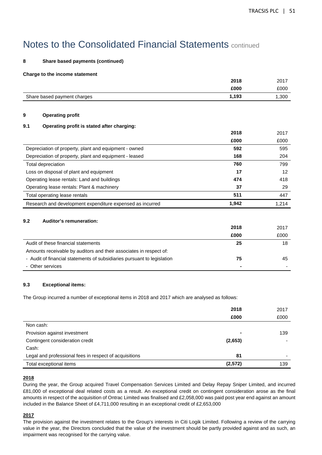## **8 Share based payments (continued)**

#### **Charge to the income statement**

|     |                                                                         | 2018  | 2017  |
|-----|-------------------------------------------------------------------------|-------|-------|
|     |                                                                         | £000  | £000  |
|     | Share based payment charges                                             | 1,193 | 1,300 |
| 9   | <b>Operating profit</b>                                                 |       |       |
| 9.1 | Operating profit is stated after charging:                              |       |       |
|     |                                                                         | 2018  | 2017  |
|     |                                                                         | £000  | £000  |
|     | Depreciation of property, plant and equipment - owned                   | 592   | 595   |
|     | Depreciation of property, plant and equipment - leased                  | 168   | 204   |
|     | Total depreciation                                                      | 760   | 799   |
|     | Loss on disposal of plant and equipment                                 | 17    | 12    |
|     | Operating lease rentals: Land and buildings                             | 474   | 418   |
|     | Operating lease rentals: Plant & machinery                              | 37    | 29    |
|     | Total operating lease rentals                                           | 511   | 447   |
|     | Research and development expenditure expensed as incurred               | 1,942 | 1,214 |
| 9.2 | Auditor's remuneration:                                                 |       |       |
|     |                                                                         | 2018  | 2017  |
|     |                                                                         | £000  | £000  |
|     | Audit of these financial statements                                     | 25    | 18    |
|     | Amounts receivable by auditors and their associates in respect of:      |       |       |
|     | - Audit of financial statements of subsidiaries pursuant to legislation | 75    | 45    |
|     | - Other services                                                        |       |       |
|     |                                                                         |       |       |

### **9.3 Exceptional items:**

The Group incurred a number of exceptional items in 2018 and 2017 which are analysed as follows:

|                                                        | 2018<br>£000   | 2017<br>£000 |
|--------------------------------------------------------|----------------|--------------|
| Non cash:                                              |                |              |
| Provision against investment                           | $\blacksquare$ | 139          |
| Contingent consideration credit                        | (2,653)        |              |
| Cash:                                                  |                |              |
| Legal and professional fees in respect of acquisitions | 81             |              |
| Total exceptional items                                | (2, 572)       | 139          |

### **2018**

During the year, the Group acquired Travel Compensation Services Limited and Delay Repay Sniper Limited, and incurred £81,000 of exceptional deal related costs as a result. An exceptional credit on contingent consideration arose as the final amounts in respect of the acquisition of Ontrac Limited was finalised and £2,058,000 was paid post year end against an amount included in the Balance Sheet of £4,711,000 resulting in an exceptional credit of £2,653,000

## **2017**

The provision against the investment relates to the Group's interests in Citi Logik Limited. Following a review of the carrying value in the year, the Directors concluded that the value of the investment should be partly provided against and as such, an impairment was recognised for the carrying value.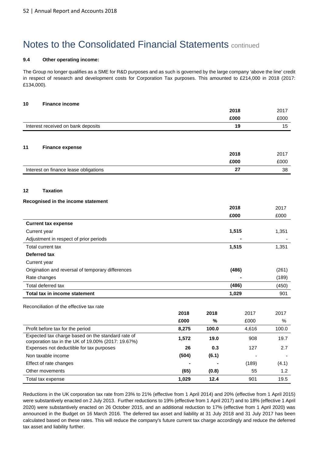#### **9.4 Other operating income:**

The Group no longer qualifies as a SME for R&D purposes and as such is governed by the large company 'above the line' credit in respect of research and development costs for Corporation Tax purposes. This amounted to £214,000 in 2018 (2017: £134,000).

## **10 Finance income**

|                                                                                                         |       |       | 2018  | 2017          |
|---------------------------------------------------------------------------------------------------------|-------|-------|-------|---------------|
|                                                                                                         |       |       | £000  | £000          |
| Interest received on bank deposits                                                                      |       |       | 19    | 15            |
|                                                                                                         |       |       |       |               |
| 11<br><b>Finance expense</b>                                                                            |       |       |       |               |
|                                                                                                         |       |       | 2018  | 2017          |
|                                                                                                         |       |       | £000  | £000          |
| Interest on finance lease obligations                                                                   |       |       | 27    | 38            |
| <b>Taxation</b><br>12                                                                                   |       |       |       |               |
| Recognised in the income statement                                                                      |       |       |       |               |
|                                                                                                         |       |       | 2018  | 2017          |
|                                                                                                         |       |       | £000  | £000          |
| <b>Current tax expense</b>                                                                              |       |       |       |               |
| Current year                                                                                            |       |       | 1,515 | 1,351         |
| Adjustment in respect of prior periods                                                                  |       |       |       |               |
| Total current tax                                                                                       |       |       | 1,515 | 1,351         |
| Deferred tax                                                                                            |       |       |       |               |
| Current year                                                                                            |       |       |       |               |
| Origination and reversal of temporary differences                                                       |       |       | (486) | (261)         |
| Rate changes                                                                                            |       |       |       | (189)         |
| Total deferred tax                                                                                      |       |       | (486) | (450)         |
| <b>Total tax in income statement</b>                                                                    |       |       | 1,029 | 901           |
| Reconciliation of the effective tax rate                                                                |       |       |       |               |
|                                                                                                         | 2018  | 2018  | 2017  | 2017          |
|                                                                                                         | £000  | %     | £000  | $\%$          |
| Profit before tax for the period                                                                        | 8,275 | 100.0 | 4,616 | 100.0         |
| Expected tax charge based on the standard rate of<br>corporation tax in the UK of 19.00% (2017: 19.67%) | 1,572 | 19.0  | 908   | 19.7          |
| Expenses not deductible for tax purposes                                                                | 26    | 0.3   | 127   | 2.7           |
| Non taxable income                                                                                      | (504) | (6.1) |       |               |
| Effect of rate changes                                                                                  |       |       | (189) | (4.1)         |
| Other movements                                                                                         | (65)  | (0.8) | 55    | $1.2^{\circ}$ |
| Total tax expense                                                                                       | 1,029 | 12.4  | 901   | 19.5          |

Reductions in the UK corporation tax rate from 23% to 21% (effective from 1 April 2014) and 20% (effective from 1 April 2015) were substantively enacted on 2 July 2013. Further reductions to 19% (effective from 1 April 2017) and to 18% (effective 1 April 2020) were substantively enacted on 26 October 2015, and an additional reduction to 17% (effective from 1 April 2020) was announced in the Budget on 16 March 2016. The deferred tax asset and liability at 31 July 2018 and 31 July 2017 has been calculated based on these rates. This will reduce the company's future current tax charge accordingly and reduce the deferred tax asset and liability further.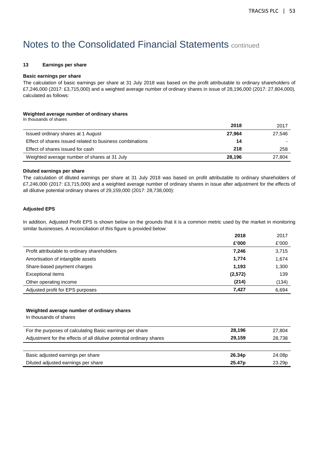#### **13 Earnings per share**

#### **Basic earnings per share**

The calculation of basic earnings per share at 31 July 2018 was based on the profit attributable to ordinary shareholders of £7,246,000 (2017: £3,715,000) and a weighted average number of ordinary shares in issue of 28,196,000 (2017: 27,804,000), calculated as follows:

### **Weighted average number of ordinary shares**

| In thousands of shares                                   |        |        |
|----------------------------------------------------------|--------|--------|
|                                                          | 2018   | 2017   |
| Issued ordinary shares at 1 August                       | 27.964 | 27.546 |
| Effect of shares issued related to business combinations | 14     |        |
| Effect of shares issued for cash                         | 218    | 258    |
| Weighted average number of shares at 31 July             | 28,196 | 27,804 |

#### **Diluted earnings per share**

The calculation of diluted earnings per share at 31 July 2018 was based on profit attributable to ordinary shareholders of £7,246,000 (2017: £3,715,000) and a weighted average number of ordinary shares in issue after adjustment for the effects of all dilutive potential ordinary shares of 29,159,000 (2017: 28,738,000):

### **Adjusted EPS**

In addition, Adjusted Profit EPS is shown below on the grounds that it is a common metric used by the market in monitoring similar businesses. A reconciliation of this figure is provided below:

|                                              | 2018     | 2017  |
|----------------------------------------------|----------|-------|
|                                              | £'000    | £'000 |
| Profit attributable to ordinary shareholders | 7,246    | 3,715 |
| Amortisation of intangible assets            | 1,774    | 1,674 |
| Share-based payment charges                  | 1,193    | 1,300 |
| Exceptional items                            | (2, 572) | 139   |
| Other operating income                       | (214)    | (134) |
| Adjusted profit for EPS purposes             | 7,427    | 6,694 |

#### **Weighted average number of ordinary shares**

In thousands of shares

| For the purposes of calculating Basic earnings per share             | 28,196             | 27,804 |
|----------------------------------------------------------------------|--------------------|--------|
| Adjustment for the effects of all dilutive potential ordinary shares | 29.159             | 28,738 |
|                                                                      |                    |        |
| Basic adjusted earnings per share                                    | 26.34 <sub>p</sub> | 24.08p |
| Diluted adjusted earnings per share                                  | 25.47 <sub>p</sub> | 23.29p |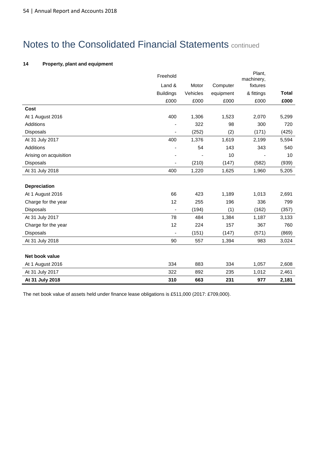## **14 Property, plant and equipment**

|                        | Freehold         |          |           | Plant,<br>machinery, |              |
|------------------------|------------------|----------|-----------|----------------------|--------------|
|                        | Land &           | Motor    | Computer  | fixtures             |              |
|                        | <b>Buildings</b> | Vehicles | equipment | & fittings           | <b>Total</b> |
|                        | £000             | £000     | £000      | £000                 | £000         |
| Cost                   |                  |          |           |                      |              |
| At 1 August 2016       | 400              | 1,306    | 1,523     | 2,070                | 5,299        |
| Additions              |                  | 322      | 98        | 300                  | 720          |
| <b>Disposals</b>       |                  | (252)    | (2)       | (171)                | (425)        |
| At 31 July 2017        | 400              | 1,376    | 1,619     | 2,199                | 5,594        |
| <b>Additions</b>       |                  | 54       | 143       | 343                  | 540          |
| Arising on acquisition |                  |          | 10        |                      | 10           |
| <b>Disposals</b>       |                  | (210)    | (147)     | (582)                | (939)        |
| At 31 July 2018        | 400              | 1,220    | 1,625     | 1,960                | 5,205        |
|                        |                  |          |           |                      |              |
| <b>Depreciation</b>    |                  |          |           |                      |              |
| At 1 August 2016       | 66               | 423      | 1,189     | 1,013                | 2,691        |
| Charge for the year    | 12               | 255      | 196       | 336                  | 799          |
| Disposals              |                  | (194)    | (1)       | (162)                | (357)        |
| At 31 July 2017        | 78               | 484      | 1,384     | 1,187                | 3,133        |
| Charge for the year    | 12               | 224      | 157       | 367                  | 760          |
| Disposals              |                  | (151)    | (147)     | (571)                | (869)        |
| At 31 July 2018        | 90               | 557      | 1,394     | 983                  | 3,024        |
|                        |                  |          |           |                      |              |
| Net book value         |                  |          |           |                      |              |
| At 1 August 2016       | 334              | 883      | 334       | 1,057                | 2,608        |
| At 31 July 2017        | 322              | 892      | 235       | 1,012                | 2,461        |
| At 31 July 2018        | 310              | 663      | 231       | 977                  | 2,181        |

The net book value of assets held under finance lease obligations is £511,000 (2017: £709,000).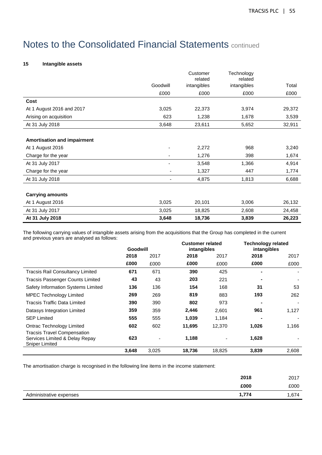## **15 Intangible assets**

|                                    |                          | Customer<br>related | Technology<br>related |        |
|------------------------------------|--------------------------|---------------------|-----------------------|--------|
|                                    | Goodwill                 | intangibles         | intangibles           | Total  |
|                                    | £000                     | £000                | £000                  | £000   |
| Cost                               |                          |                     |                       |        |
| At 1 August 2016 and 2017          | 3,025                    | 22,373              | 3,974                 | 29,372 |
| Arising on acquisition             | 623                      | 1,238               | 1,678                 | 3,539  |
| At 31 July 2018                    | 3,648                    | 23,611              | 5,652                 | 32,911 |
|                                    |                          |                     |                       |        |
| <b>Amortisation and impairment</b> |                          |                     |                       |        |
| At 1 August 2016                   |                          | 2,272               | 968                   | 3,240  |
| Charge for the year                |                          | 1,276               | 398                   | 1,674  |
| At 31 July 2017                    |                          | 3,548               | 1,366                 | 4,914  |
| Charge for the year                | -                        | 1,327               | 447                   | 1,774  |
| At 31 July 2018                    | $\overline{\phantom{a}}$ | 4,875               | 1,813                 | 6,688  |
|                                    |                          |                     |                       |        |
| <b>Carrying amounts</b>            |                          |                     |                       |        |
| At 1 August 2016                   | 3,025                    | 20,101              | 3,006                 | 26,132 |
| At 31 July 2017                    | 3,025                    | 18,825              | 2,608                 | 24,458 |
| At 31 July 2018                    | 3,648                    | 18,736              | 3,839                 | 26,223 |

The following carrying values of intangible assets arising from the acquisitions that the Group has completed in the current and previous years are analysed as follows:

|                                                                                               | Goodwill |       |        | <b>Customer related</b><br>intangibles |       | <b>Technology related</b><br>intangibles |  |
|-----------------------------------------------------------------------------------------------|----------|-------|--------|----------------------------------------|-------|------------------------------------------|--|
|                                                                                               | 2018     | 2017  | 2018   | 2017                                   | 2018  | 2017                                     |  |
|                                                                                               | £000     | £000  | £000   | £000                                   | £000  | £000                                     |  |
| <b>Tracsis Rail Consultancy Limited</b>                                                       | 671      | 671   | 390    | 425                                    |       |                                          |  |
| <b>Tracsis Passenger Counts Limited</b>                                                       | 43       | 43    | 203    | 221                                    |       |                                          |  |
| Safety Information Systems Limited                                                            | 136      | 136   | 154    | 168                                    | 31    | 53                                       |  |
| <b>MPEC Technology Limited</b>                                                                | 269      | 269   | 819    | 883                                    | 193   | 262                                      |  |
| Tracsis Traffic Data Limited                                                                  | 390      | 390   | 802    | 973                                    |       |                                          |  |
| Datasys Integration Limited                                                                   | 359      | 359   | 2,446  | 2,601                                  | 961   | 1,127                                    |  |
| <b>SEP Limited</b>                                                                            | 555      | 555   | 1,039  | 1,184                                  |       |                                          |  |
| Ontrac Technology Limited                                                                     | 602      | 602   | 11,695 | 12,370                                 | 1,026 | 1,166                                    |  |
| <b>Tracsis Travel Compensation</b><br>Services Limited & Delay Repay<br><b>Sniper Limited</b> | 623      |       | 1,188  |                                        | 1,628 |                                          |  |
|                                                                                               | 3,648    | 3,025 | 18,736 | 18,825                                 | 3,839 | 2,608                                    |  |

The amortisation charge is recognised in the following line items in the income statement:

| 2018                             | 2017  |
|----------------------------------|-------|
| £000                             | £000  |
| 1,774<br>Administrative expenses | 1,674 |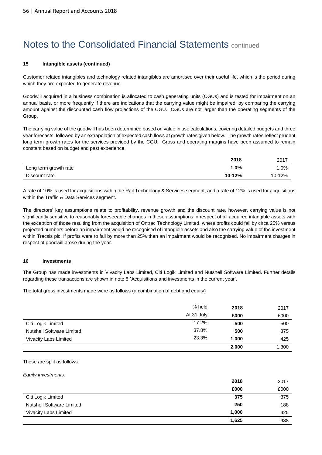### **15 Intangible assets (continued)**

Customer related intangibles and technology related intangibles are amortised over their useful life, which is the period during which they are expected to generate revenue.

Goodwill acquired in a business combination is allocated to cash generating units (CGUs) and is tested for impairment on an annual basis, or more frequently if there are indications that the carrying value might be impaired, by comparing the carrying amount against the discounted cash flow projections of the CGU. CGUs are not larger than the operating segments of the Group.

The carrying value of the goodwill has been determined based on value in use calculations, covering detailed budgets and three year forecasts, followed by an extrapolation of expected cash flows at growth rates given below. The growth rates reflect prudent long term growth rates for the services provided by the CGU. Gross and operating margins have been assumed to remain constant based on budget and past experience.

|                       | 2018   | 2017   |
|-----------------------|--------|--------|
| Long term growth rate | 0%،    | $.0\%$ |
| Discount rate         | 10-12% | 10-12% |

A rate of 10% is used for acquisitions within the Rail Technology & Services segment, and a rate of 12% is used for acquisitions within the Traffic & Data Services segment.

The directors' key assumptions relate to profitability, revenue growth and the discount rate, however, carrying value is not significantly sensitive to reasonably foreseeable changes in these assumptions in respect of all acquired intangible assets with the exception of those resulting from the acquisition of Ontrac Technology Limited, where profits could fall by circa 25% versus projected numbers before an impairment would be recognised of intangible assets and also the carrying value of the investment within Tracsis plc. If profits were to fall by more than 25% then an impairment would be recognised. No impairment charges in respect of goodwill arose during the year.

### **16 Investments**

The Group has made investments in Vivacity Labs Limited, Citi Logik Limited and Nutshell Software Limited. Further details regarding these transactions are shown in note 5 'Acquisitions and investments in the current year'.

The total gross investments made were as follows (a combination of debt and equity)

|                                  | % held     | 2018  | 2017  |
|----------------------------------|------------|-------|-------|
|                                  | At 31 July | £000  | £000  |
| Citi Logik Limited               | 17.2%      | 500   | 500   |
| <b>Nutshell Software Limited</b> | 37.8%      | 500   | 375   |
| Vivacity Labs Limited            | 23.3%      | 1.000 | 425   |
|                                  |            | 2,000 | 1,300 |

#### These are split as follows:

Equity investments:

|                                  | 2018  | 2017 |
|----------------------------------|-------|------|
|                                  | £000  | £000 |
| Citi Logik Limited               | 375   | 375  |
| <b>Nutshell Software Limited</b> | 250   | 188  |
| Vivacity Labs Limited            | 1,000 | 425  |
|                                  | 1,625 | 988  |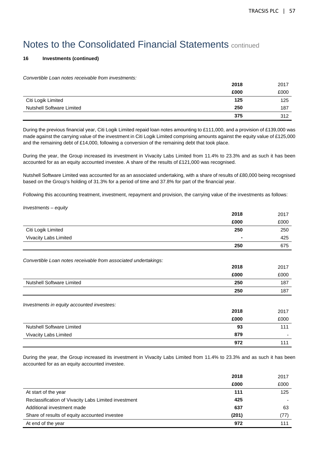**2018** 2017

## Notes to the Consolidated Financial Statements continued

### **16 Investments (continued)**

Convertible Loan notes receivable from investments:

|                                  | 2018 | 2017 |
|----------------------------------|------|------|
|                                  | £000 | £000 |
| Citi Logik Limited               | 125  | 125  |
| <b>Nutshell Software Limited</b> | 250  | 187  |
|                                  | 375  | 312  |

During the previous financial year, Citi Logik Limited repaid loan notes amounting to £111,000, and a provision of £139,000 was made against the carrying value of the investment in Citi Logik Limited comprising amounts against the equity value of £125,000 and the remaining debt of £14,000, following a conversion of the remaining debt that took place.

During the year, the Group increased its investment in Vivacity Labs Limited from 11.4% to 23.3% and as such it has been accounted for as an equity accounted investee. A share of the results of £121,000 was recognised.

Nutshell Software Limited was accounted for as an associated undertaking, with a share of results of £80,000 being recognised based on the Group's holding of 31.3% for a period of time and 37.8% for part of the financial year.

Following this accounting treatment, investment, repayment and provision, the carrying value of the investments as follows:

| Investments - equity                                    |  |
|---------------------------------------------------------|--|
|                                                         |  |
|                                                         |  |
|                                                         |  |
| $\sim$ $\sim$ $\sim$ $\sim$ $\sim$ $\sim$ $\sim$ $\sim$ |  |

|                                                                 | £000 | £000 |
|-----------------------------------------------------------------|------|------|
| Citi Logik Limited                                              | 250  | 250  |
| Vivacity Labs Limited                                           |      | 425  |
|                                                                 | 250  | 675  |
| Convertible Loan notes receivable from associated undertakings: |      |      |
|                                                                 | 2018 | 2017 |
|                                                                 | £000 | £000 |
| <b>Nutshell Software Limited</b>                                | 250  | 187  |
|                                                                 | 250  | 187  |
| Investments in equity accounted investees:                      |      |      |
|                                                                 | 2018 | 2017 |
|                                                                 | £000 | £000 |
| <b>Nutshell Software Limited</b>                                | 93   | 111  |
| Vivacity Labs Limited                                           | 879  |      |
|                                                                 | 972  | 111  |

During the year, the Group increased its investment in Vivacity Labs Limited from 11.4% to 23.3% and as such it has been accounted for as an equity accounted investee.

|                                                      | 2018  | 2017 |
|------------------------------------------------------|-------|------|
|                                                      | £000  | £000 |
| At start of the year                                 | 111   | 125  |
| Reclassification of Vivacity Labs Limited investment | 425   |      |
| Additional investment made                           | 637   | 63   |
| Share of results of equity accounted investee        | (201) | (77) |
| At end of the year                                   | 972   | 111  |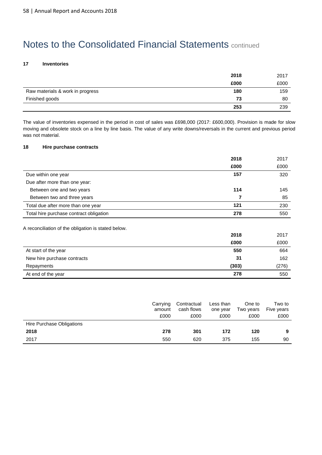### **17 Inventories**

|                                  | 2018 | 2017 |
|----------------------------------|------|------|
|                                  | £000 | £000 |
| Raw materials & work in progress | 180  | 159  |
| Finished goods                   | 73   | 80   |
|                                  | 253  | 239  |

The value of inventories expensed in the period in cost of sales was £698,000 (2017: £600,000). Provision is made for slow moving and obsolete stock on a line by line basis. The value of any write downs/reversals in the current and previous period was not material.

### **18 Hire purchase contracts**

|                                         | 2018 | 2017 |
|-----------------------------------------|------|------|
|                                         | £000 | £000 |
| Due within one year                     | 157  | 320  |
| Due after more than one year:           |      |      |
| Between one and two years               | 114  | 145  |
| Between two and three years             |      | 85   |
| Total due after more than one year      | 121  | 230  |
| Total hire purchase contract obligation | 278  | 550  |

| A reconciliation of the obligation is stated below. |       |       |
|-----------------------------------------------------|-------|-------|
|                                                     | 2018  | 2017  |
|                                                     | £000  | £000  |
| At start of the year                                | 550   | 664   |
| New hire purchase contracts                         | 31    | 162   |
| Repayments                                          | (303) | (276) |
| At end of the year                                  | 278   | 550   |

|                           | Carrying<br>amount | Contractual<br>cash flows | Less than<br>one year | One to<br>Two years | Two to<br>Five years |
|---------------------------|--------------------|---------------------------|-----------------------|---------------------|----------------------|
|                           | £000               | £000                      | £000                  | £000                | £000                 |
| Hire Purchase Obligations |                    |                           |                       |                     |                      |
| 2018                      | 278                | 301                       | 172                   | 120                 | 9                    |
| 2017                      | 550                | 620                       | 375                   | 155                 | 90                   |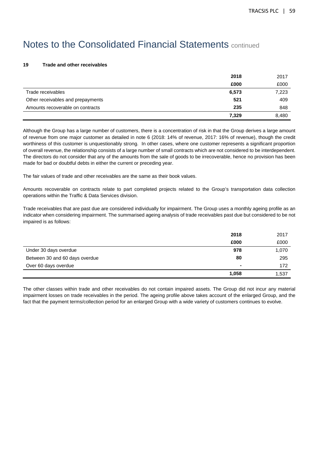#### **19 Trade and other receivables**

|                                   | 2018  | 2017  |
|-----------------------------------|-------|-------|
|                                   | £000  | £000  |
| Trade receivables                 | 6,573 | 7,223 |
| Other receivables and prepayments | 521   | 409   |
| Amounts recoverable on contracts  | 235   | 848   |
|                                   | 7,329 | 8,480 |

Although the Group has a large number of customers, there is a concentration of risk in that the Group derives a large amount of revenue from one major customer as detailed in note 6 (2018: 14% of revenue, 2017: 16% of revenue), though the credit worthiness of this customer is unquestionably strong. In other cases, where one customer represents a significant proportion of overall revenue, the relationship consists of a large number of small contracts which are not considered to be interdependent. The directors do not consider that any of the amounts from the sale of goods to be irrecoverable, hence no provision has been made for bad or doubtful debts in either the current or preceding year.

The fair values of trade and other receivables are the same as their book values.

Amounts recoverable on contracts relate to part completed projects related to the Group's transportation data collection operations within the Traffic & Data Services division.

Trade receivables that are past due are considered individually for impairment. The Group uses a monthly ageing profile as an indicator when considering impairment. The summarised ageing analysis of trade receivables past due but considered to be not impaired is as follows:

|                                | 2018           | 2017  |
|--------------------------------|----------------|-------|
|                                | £000           | £000  |
| Under 30 days overdue          | 978            | 1,070 |
| Between 30 and 60 days overdue | 80             | 295   |
| Over 60 days overdue           | $\blacksquare$ | 172   |
|                                | 1,058          | 1,537 |

The other classes within trade and other receivables do not contain impaired assets. The Group did not incur any material impairment losses on trade receivables in the period. The ageing profile above takes account of the enlarged Group, and the fact that the payment terms/collection period for an enlarged Group with a wide variety of customers continues to evolve.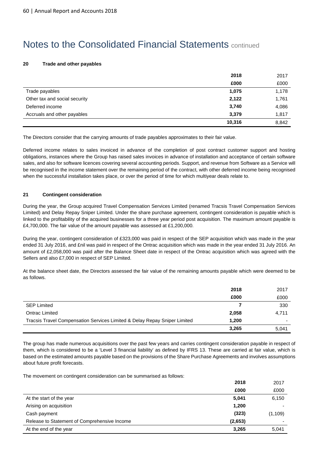### **20 Trade and other payables**

|                               | 2018   | 2017  |
|-------------------------------|--------|-------|
|                               | £000   | £000  |
| Trade payables                | 1,075  | 1,178 |
| Other tax and social security | 2,122  | 1,761 |
| Deferred income               | 3,740  | 4,086 |
| Accruals and other payables   | 3,379  | 1,817 |
|                               | 10,316 | 8,842 |

The Directors consider that the carrying amounts of trade payables approximates to their fair value.

Deferred income relates to sales invoiced in advance of the completion of post contract customer support and hosting obligations, instances where the Group has raised sales invoices in advance of installation and acceptance of certain software sales, and also for software licences covering several accounting periods. Support, and revenue from Software as a Service will be recognised in the income statement over the remaining period of the contract, with other deferred income being recognised when the successful installation takes place, or over the period of time for which multiyear deals relate to.

#### **21 Contingent consideration**

During the year, the Group acquired Travel Compensation Services Limited (renamed Tracsis Travel Compensation Services Limited) and Delay Repay Sniper Limited. Under the share purchase agreement, contingent consideration is payable which is linked to the profitability of the acquired businesses for a three year period post acquisition. The maximum amount payable is £4,700,000. The fair value of the amount payable was assessed at £1,200,000.

During the year, contingent consideration of £323,000 was paid in respect of the SEP acquisition which was made in the year ended 31 July 2016, and £nil was paid in respect of the Ontrac acquisition which was made in the year ended 31 July 2016. An amount of £2,058,000 was paid after the Balance Sheet date in respect of the Ontrac acquisition which was agreed with the Sellers and also £7,000 in respect of SEP Limited.

At the balance sheet date, the Directors assessed the fair value of the remaining amounts payable which were deemed to be as follows.

|                                                                           | 2018  | 2017  |
|---------------------------------------------------------------------------|-------|-------|
|                                                                           | £000  | £000  |
| <b>SEP Limited</b>                                                        |       | 330   |
| Ontrac Limited                                                            | 2,058 | 4,711 |
| Tracsis Travel Compensation Services Limited & Delay Repay Sniper Limited | 1,200 |       |
|                                                                           | 3,265 | 5,041 |

The group has made numerous acquisitions over the past few years and carries contingent consideration payable in respect of them, which is considered to be a 'Level 3 financial liability' as defined by IFRS 13. These are carried at fair value, which is based on the estimated amounts payable based on the provisions of the Share Purchase Agreements and involves assumptions about future profit forecasts.

The movement on contingent consideration can be summarised as follows:

| 2018                                                    | 2017     |
|---------------------------------------------------------|----------|
| £000                                                    | £000     |
| At the start of the year<br>5,041                       | 6,150    |
| 1,200<br>Arising on acquisition                         | -        |
| (323)<br>Cash payment                                   | (1, 109) |
| (2,653)<br>Release to Statement of Comprehensive Income | ٠        |
| At the end of the year<br>3,265                         | 5,041    |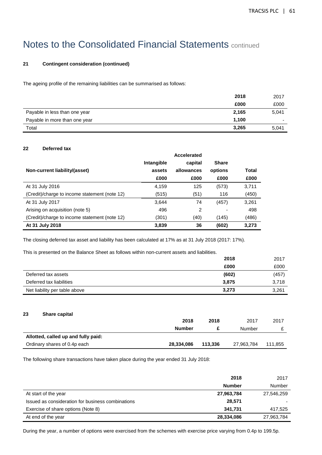## **21 Contingent consideration (continued)**

The ageing profile of the remaining liabilities can be summarised as follows:

|                               | 2018  | 2017                     |
|-------------------------------|-------|--------------------------|
|                               | £000  | £000                     |
| Payable in less than one year | 2,165 | 5,041                    |
| Payable in more than one year | 1,100 | $\overline{\phantom{0}}$ |
| Total                         | 3,265 | 5,041                    |

#### **22 Deferred tax**

|                                               |            | Accelerated |              |       |
|-----------------------------------------------|------------|-------------|--------------|-------|
|                                               | Intangible | capital     | <b>Share</b> |       |
| Non-current liability/(asset)                 | assets     | allowances  | options      | Total |
|                                               | £000       | £000        | £000         | £000  |
| At 31 July 2016                               | 4,159      | 125         | (573)        | 3,711 |
| (Credit)/charge to income statement (note 12) | (515)      | (51)        | 116          | (450) |
| At 31 July 2017                               | 3,644      | 74          | (457)        | 3,261 |
| Arising on acquisition (note 5)               | 496        | 2           |              | 498   |
| (Credit)/charge to income statement (note 12) | (301)      | (40)        | (145)        | (486) |
| At 31 July 2018                               | 3,839      | 36          | (602)        | 3,273 |

The closing deferred tax asset and liability has been calculated at 17% as at 31 July 2018 (2017: 17%).

This is presented on the Balance Sheet as follows within non-current assets and liabilities.

|                               | 2018  | 2017  |
|-------------------------------|-------|-------|
|                               | £000  | £000  |
| Deferred tax assets           | (602) | (457) |
| Deferred tax liabilities      | 3,875 | 3,718 |
| Net liability per table above | 3,273 | 3,261 |

### **23 Share capital**

|                                     | 2018       | 2018    | 2017       | 2017    |
|-------------------------------------|------------|---------|------------|---------|
|                                     | Number     |         | Number     |         |
| Allotted, called up and fully paid: |            |         |            |         |
| Ordinary shares of 0.4p each        | 28,334,086 | 113.336 | 27,963,784 | 111,855 |

The following share transactions have taken place during the year ended 31 July 2018:

|                                                   | 2018          | 2017       |
|---------------------------------------------------|---------------|------------|
|                                                   | <b>Number</b> | Number     |
| At start of the year                              | 27,963,784    | 27,546,259 |
| Issued as consideration for business combinations | 28,571        |            |
| Exercise of share options (Note 8)                | 341.731       | 417,525    |
| At end of the year                                | 28,334,086    | 27,963,784 |

During the year, a number of options were exercised from the schemes with exercise price varying from 0.4p to 199.5p.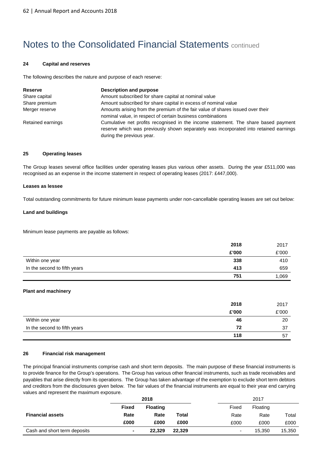### **24 Capital and reserves**

The following describes the nature and purpose of each reserve:

| <b>Reserve</b>    | Description and purpose                                                                                                                                                                                  |
|-------------------|----------------------------------------------------------------------------------------------------------------------------------------------------------------------------------------------------------|
| Share capital     | Amount subscribed for share capital at nominal value                                                                                                                                                     |
| Share premium     | Amount subscribed for share capital in excess of nominal value                                                                                                                                           |
| Merger reserve    | Amounts arising from the premium of the fair value of shares issued over their<br>nominal value, in respect of certain business combinations                                                             |
| Retained earnings | Cumulative net profits recognised in the income statement. The share based payment<br>reserve which was previously shown separately was incorporated into retained earnings<br>during the previous year. |

### **25 Operating leases**

The Group leases several office facilities under operating leases plus various other assets. During the year £511,000 was recognised as an expense in the income statement in respect of operating leases (2017: £447,000).

#### **Leases as lessee**

Total outstanding commitments for future minimum lease payments under non-cancellable operating leases are set out below:

#### **Land and buildings**

Minimum lease payments are payable as follows:

|                              | 2018  | 2017  |
|------------------------------|-------|-------|
|                              | £'000 | £'000 |
| Within one year              | 338   | 410   |
| In the second to fifth years | 413   | 659   |
|                              | 751   | 1,069 |

#### **Plant and machinery**

|                              | 2018  | 2017  |
|------------------------------|-------|-------|
|                              | £'000 | £'000 |
| Within one year              | 46    | 20    |
| In the second to fifth years | 72    | 37    |
|                              | 118   | -57   |

## **26 Financial risk management**

The principal financial instruments comprise cash and short term deposits. The main purpose of these financial instruments is to provide finance for the Group's operations. The Group has various other financial instruments, such as trade receivables and payables that arise directly from its operations. The Group has taken advantage of the exemption to exclude short term debtors and creditors from the disclosures given below. The fair values of the financial instruments are equal to their year end carrying values and represent the maximum exposure.

|                              |              | 2018            |              |       | 2017     |        |
|------------------------------|--------------|-----------------|--------------|-------|----------|--------|
|                              | <b>Fixed</b> | <b>Floating</b> |              | Fixed | Floating |        |
| <b>Financial assets</b>      | Rate         | Rate            | <b>Total</b> | Rate  | Rate     | Total  |
|                              | £000         | £000            | £000         | £000  | £000     | £000   |
| Cash and short term deposits | ۰            | 22.329          | 22,329       |       | 15,350   | 15,350 |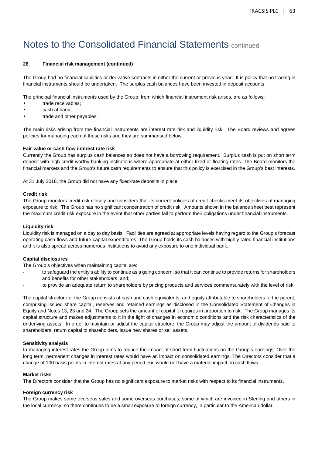### **26 Financial risk management (continued)**

The Group had no financial liabilities or derivative contracts in either the current or previous year. It is policy that no trading in financial instruments should be undertaken. The surplus cash balances have been invested in deposit accounts.

The principal financial instruments used by the Group, from which financial instrument risk arises, are as follows:

- trade receivables;
- cash at bank:
- trade and other payables.

The main risks arising from the financial instruments are interest rate risk and liquidity risk. The Board reviews and agrees policies for managing each of these risks and they are summarised below.

#### **Fair value or cash flow interest rate risk**

Currently the Group has surplus cash balances so does not have a borrowing requirement. Surplus cash is put on short term deposit with high credit worthy banking institutions where appropriate at either fixed or floating rates. The Board monitors the financial markets and the Group's future cash requirements to ensure that this policy is exercised in the Group's best interests.

At 31 July 2018, the Group did not have any fixed-rate deposits in place.

#### **Credit risk**

The Group monitors credit risk closely and considers that its current policies of credit checks meet its objectives of managing exposure to risk. The Group has no significant concentration of credit risk. Amounts shown in the balance sheet best represent the maximum credit risk exposure in the event that other parties fail to perform their obligations under financial instruments.

#### **Liquidity risk**

Liquidity risk is managed on a day to day basis. Facilities are agreed at appropriate levels having regard to the Group's forecast operating cash flows and future capital expenditures. The Group holds its cash balances with highly rated financial institutions and it is also spread across numerous institutions to avoid any exposure to one individual bank.

### **Capital disclosures**

The Group's objectives when maintaining capital are:

- to safeguard the entity's ability to continue as a going concern, so that it can continue to provide returns for shareholders and benefits for other stakeholders, and;
- to provide an adequate return to shareholders by pricing products and services commensurately with the level of risk.

The capital structure of the Group consists of cash and cash equivalents, and equity attributable to shareholders of the parent, comprising issued share capital, reserves and retained earnings as disclosed in the Consolidated Statement of Changes in Equity and Notes 13, 23 and 24. The Group sets the amount of capital it requires in proportion to risk. The Group manages its capital structure and makes adjustments to it in the light of changes in economic conditions and the risk characteristics of the underlying assets. In order to maintain or adjust the capital structure, the Group may adjust the amount of dividends paid to shareholders, return capital to shareholders, issue new shares or sell assets.

#### **Sensitivity analysis**

In managing interest rates the Group aims to reduce the impact of short term fluctuations on the Group's earnings. Over the long term, permanent changes in interest rates would have an impact on consolidated earnings. The Directors consider that a change of 100 basis points in interest rates at any period end would not have a material impact on cash flows.

#### **Market risks**

The Directors consider that the Group has no significant exposure to market risks with respect to its financial instruments.

#### **Foreign currency risk**

The Group makes some overseas sales and some overseas purchases, some of which are invoiced in Sterling and others in the local currency, so there continues to be a small exposure to foreign currency, in particular to the American dollar.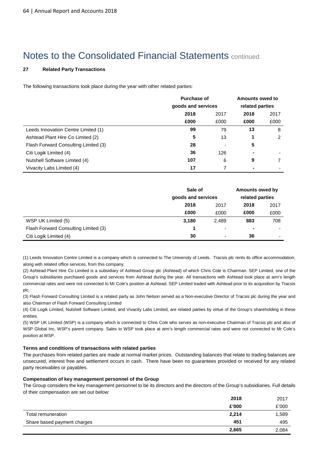## **27 Related Party Transactions**

The following transactions took place during the year with other related parties:

|                                      | <b>Purchase of</b> | <b>Amounts owed to</b> |                |      |  |  |  |  |      |      |
|--------------------------------------|--------------------|------------------------|----------------|------|--|--|--|--|------|------|
|                                      | goods and services | related parties        |                |      |  |  |  |  |      |      |
|                                      | 2018<br>2017       |                        |                |      |  |  |  |  | 2018 | 2017 |
|                                      | £000               | £000                   | £000           | £000 |  |  |  |  |      |      |
| Leeds Innovation Centre Limited (1)  | 99                 | 79                     | 13             | 8    |  |  |  |  |      |      |
| Ashtead Plant Hire Co Limited (2)    | 5                  | 13                     |                | 2    |  |  |  |  |      |      |
| Flash Forward Consulting Limited (3) | 28                 |                        | 5              |      |  |  |  |  |      |      |
| Citi Logik Limited (4)               | 36                 | 126                    | $\blacksquare$ |      |  |  |  |  |      |      |
| Nutshell Software Limited (4)        | 107                | 6                      | 9              |      |  |  |  |  |      |      |
| Vivacity Labs Limited (4)            | 17                 | 7                      |                |      |  |  |  |  |      |      |

|                                      | Sale of            |       | Amounts owed by |                          |      |
|--------------------------------------|--------------------|-------|-----------------|--------------------------|------|
|                                      | goods and services |       | related parties |                          |      |
|                                      | 2018               | 2017  |                 | 2018                     | 2017 |
|                                      | £000               | £000  | £000            | £000                     |      |
| WSP UK Limited (5)                   | 3,180              | 2,489 | 883             | 708                      |      |
| Flash Forward Consulting Limited (3) | 4                  | ۰     |                 | ۰                        |      |
| Citi Logik Limited (4)               | 30                 | ٠     | 36              | $\overline{\phantom{a}}$ |      |

(1) Leeds Innovation Centre Limited is a company which is connected to The University of Leeds. Tracsis plc rents its office accommodation, along with related office services, from this company.

(2) Ashtead Plant Hire Co Limited is a subsidiary of Ashtead Group plc (Ashtead) of which Chris Cole is Chairman. SEP Limited, one of the Group's subsidiaries purchased goods and services from Ashtead during the year. All transactions with Ashtead took place at arm's length commercial rates and were not connected to Mr Cole's position at Ashtead. SEP Limited traded with Ashtead prior to its acquisition by Tracsis plc.

(3) Flash Forward Consulting Limited is a related party as John Nelson served as a Non-executive Director of Tracsis plc during the year and also Chairman of Flash Forward Consulting Limited

(4) Citi Logik Limited, Nutshell Software Limited, and Vivacity Labs Limited, are related parties by virtue of the Group's shareholding in these entities.

(5) WSP UK Limited (WSP) is a company which is connected to Chris Cole who serves as non-executive Chairman of Tracsis plc and also of WSP Global Inc, WSP's parent company. Sales to WSP took place at arm's length commercial rates and were not connected to Mr Cole's position at WSP.

### **Terms and conditions of transactions with related parties**

The purchases from related parties are made at normal market prices. Outstanding balances that relate to trading balances are unsecured, interest free and settlement occurs in cash. There have been no guarantees provided or received for any related party receivables or payables.

#### **Compensation of key management personnel of the Group**

The Group considers the key management personnel to be its directors and the directors of the Group's subsidiaries. Full details of their compensation are set out below:

|                             | 2018  | 2017  |
|-----------------------------|-------|-------|
|                             | £'000 | £'000 |
| Total remuneration          | 2,214 | 1,589 |
| Share based payment charges | 451   | 495   |
|                             | 2,665 | 2,084 |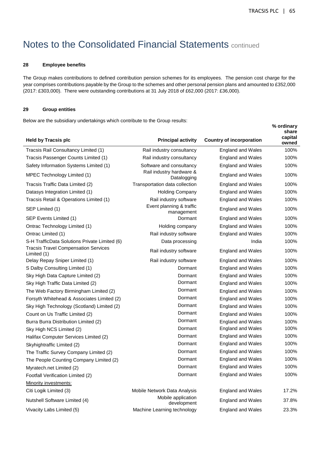**% ordinary** 

## Notes to the Consolidated Financial Statements continued

#### **28 Employee benefits**

The Group makes contributions to defined contribution pension schemes for its employees. The pension cost charge for the year comprises contributions payable by the Group to the schemes and other personal pension plans and amounted to £352,000 (2017: £303,000). There were outstanding contributions at 31 July 2018 of £62,000 (2017: £36,000).

### **29 Group entities**

Below are the subsidiary undertakings which contribute to the Group results:

| <b>Held by Tracsis plc</b>                                 | <b>Principal activity</b>               | <b>Country of incorporation</b> | share<br>capital<br>owned |
|------------------------------------------------------------|-----------------------------------------|---------------------------------|---------------------------|
| Tracsis Rail Consultancy Limited (1)                       | Rail industry consultancy               | <b>England and Wales</b>        | 100%                      |
| Tracsis Passenger Counts Limited (1)                       | Rail industry consultancy               | <b>England and Wales</b>        | 100%                      |
| Safety Information Systems Limited (1)                     | Software and consultancy                | <b>England and Wales</b>        | 100%                      |
| MPEC Technology Limited (1)                                | Rail industry hardware &<br>Datalogging | <b>England and Wales</b>        | 100%                      |
| Tracsis Traffic Data Limited (2)                           | Transportation data collection          | <b>England and Wales</b>        | 100%                      |
| Datasys Integration Limited (1)                            | <b>Holding Company</b>                  | <b>England and Wales</b>        | 100%                      |
| Tracsis Retail & Operations Limited (1)                    | Rail industry software                  | <b>England and Wales</b>        | 100%                      |
| SEP Limited (1)                                            | Event planning & traffic<br>management  | <b>England and Wales</b>        | 100%                      |
| SEP Events Limited (1)                                     | Dormant                                 | England and Wales               | 100%                      |
| Ontrac Technology Limited (1)                              | Holding company                         | <b>England and Wales</b>        | 100%                      |
| Ontrac Limited (1)                                         | Rail industry software                  | <b>England and Wales</b>        | 100%                      |
| S-H TrafficData Solutions Private Limited (6)              | Data processing                         | India                           | 100%                      |
| <b>Tracsis Travel Compensation Services</b><br>Limited (1) | Rail industry software                  | <b>England and Wales</b>        | 100%                      |
| Delay Repay Sniper Limited (1)                             | Rail industry software                  | <b>England and Wales</b>        | 100%                      |
| S Dalby Consulting Limited (1)                             | Dormant                                 | <b>England and Wales</b>        | 100%                      |
| Sky High Data Capture Limited (2)                          | Dormant                                 | <b>England and Wales</b>        | 100%                      |
| Sky High Traffic Data Limited (2)                          | Dormant                                 | <b>England and Wales</b>        | 100%                      |
| The Web Factory Birmingham Limited (2)                     | Dormant                                 | <b>England and Wales</b>        | 100%                      |
| Forsyth Whitehead & Associates Limited (2)                 | Dormant                                 | <b>England and Wales</b>        | 100%                      |
| Sky High Technology (Scotland) Limited (2)                 | Dormant                                 | <b>England and Wales</b>        | 100%                      |
| Count on Us Traffic Limited (2)                            | Dormant                                 | <b>England and Wales</b>        | 100%                      |
| Burra Burra Distribution Limited (2)                       | Dormant                                 | <b>England and Wales</b>        | 100%                      |
| Sky High NCS Limited (2)                                   | Dormant                                 | <b>England and Wales</b>        | 100%                      |
| Halifax Computer Services Limited (2)                      | Dormant                                 | <b>England and Wales</b>        | 100%                      |
| Skyhightraffic Limited (2)                                 | Dormant                                 | <b>England and Wales</b>        | 100%                      |
| The Traffic Survey Company Limited (2)                     | Dormant                                 | <b>England and Wales</b>        | 100%                      |
| The People Counting Company Limited (2)                    | Dormant                                 | <b>England and Wales</b>        | 100%                      |
| Myratech.net Limited (2)                                   | Dormant                                 | <b>England and Wales</b>        | 100%                      |
| Footfall Verification Limited (2)                          | Dormant                                 | <b>England and Wales</b>        | 100%                      |
| Minority investments:                                      |                                         |                                 |                           |
| Citi Logik Limited (3)                                     | Mobile Network Data Analysis            | <b>England and Wales</b>        | 17.2%                     |
| Nutshell Software Limited (4)                              | Mobile application<br>development       | <b>England and Wales</b>        | 37.8%                     |
| Vivacity Labs Limited (5)                                  | Machine Learning technology             | <b>England and Wales</b>        | 23.3%                     |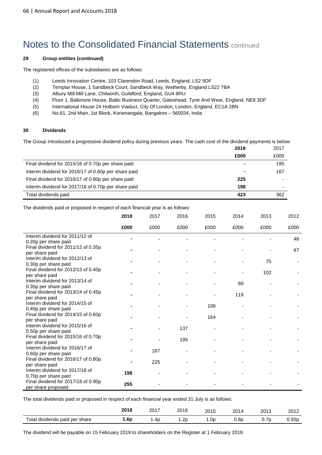### **29 Group entities (continued)**

The registered offices of the subsidiaries are as follows:

- (1) Leeds Innovation Centre, 103 Clarendon Road, Leeds, England, LS2 9DF
- (2) Templar House, 1 Sandbeck Court, Sandbeck Way, Wetherby, England LS22 7BA
- (3) Albury Mill Mill Lane, Chilworth, Guildford, England, GU4 8RU
- (4) Floor 1, Baltimore House, Baltic Business Quarter, Gateshead, Tyne And Wear, England, NE8 3DF
- (5) International House 24 Holborn Viaduct, City Of London, London, England, EC1A 2BN
- (6) No.61, 2nd Main, 1st Block, Koramangala, Bangalore 560034, India

#### **30 Dividends**

The Group introduced a progressive dividend policy during previous years. The cash cost of the dividend payments is below:

|                                                      | 2018 | 2017                     |
|------------------------------------------------------|------|--------------------------|
|                                                      | £000 | £000                     |
| Final dividend for 2015/16 of 0.70p per share paid   | ۰    | 195                      |
| Interim dividend for 2016/17 of 0.60p per share paid |      | 167                      |
| Final dividend for 2016/17 of 0.80p per share paid   | 225  |                          |
| Interim dividend for 2017/18 of 0.70p per share paid | 198  | $\overline{\phantom{0}}$ |
| Total dividends paid                                 | 423  | 362                      |

The dividends paid or proposed in respect of each financial year is as follows:

|                                                                               | 2018 | 2017 | 2016 | 2015 | 2014 | 2013 | 2012 |
|-------------------------------------------------------------------------------|------|------|------|------|------|------|------|
|                                                                               | £000 | £000 | £000 | £000 | £000 | £000 | £000 |
| Interim dividend for 2011/12 of                                               |      |      |      |      |      |      | 48   |
| 0.20p per share paid<br>Final dividend for 2011/12 of 0.35p<br>per share paid |      |      |      |      |      |      | 87   |
| Interim dividend for 2012/13 of<br>0.30p per share paid                       |      |      |      |      |      | 75   |      |
| Final dividend for 2012/13 of 0.40p<br>per share paid                         |      |      |      |      |      | 102  |      |
| Interim dividend for 2013/14 of<br>0.35p per share paid                       |      |      |      |      | 89   |      |      |
| Final dividend for 2013/14 of 0.45p<br>per share paid                         |      |      |      |      | 119  |      |      |
| Interim dividend for 2014/15 of<br>0.40p per share paid                       |      |      |      | 106  |      |      |      |
| Final dividend for 2014/15 of 0.60p<br>per share paid                         |      |      |      | 164  |      |      |      |
| Interim dividend for 2015/16 of<br>0.50p per share paid                       |      |      | 137  |      |      |      |      |
| Final dividend for 2015/16 of 0.70p<br>per share paid                         |      |      | 195  |      |      |      |      |
| Interim dividend for 2016/17 of<br>0.60p per share paid                       |      | 167  |      |      |      |      |      |
| Final dividend for 2016/17 of 0.80p<br>per share paid                         |      | 225  |      |      |      |      |      |
| Interim dividend for 2017/18 of<br>0.70p per share paid                       | 198  |      |      |      |      |      |      |
| Final dividend for 2017/18 of 0.90p<br>per share proposed                     | 255  |      |      |      |      |      |      |

The total dividends paid or proposed in respect of each financial year ended 31 July is as follows:

|                                     | 2019<br>ZU I O | 2017<br>____ | 2016       | 2015 | 201  | 2013  | 2011<br>20 I Z |
|-------------------------------------|----------------|--------------|------------|------|------|-------|----------------|
| ctal<br>dividends paid<br>per share | . 6p           | .4c          | ,,<br>…∠ P | l.Oc | 0.8r | ັບ. . | 0.55p          |

The dividend will be payable on 15 February 2019 to shareholders on the Register at 1 February 2019.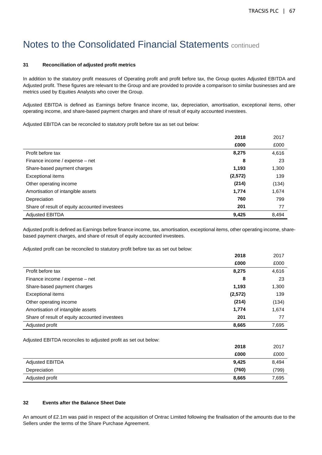### **31 Reconciliation of adjusted profit metrics**

In addition to the statutory profit measures of Operating profit and profit before tax, the Group quotes Adjusted EBITDA and Adjusted profit. These figures are relevant to the Group and are provided to provide a comparison to similar businesses and are metrics used by Equities Analysts who cover the Group.

Adjusted EBITDA is defined as Earnings before finance income, tax, depreciation, amortisation, exceptional items, other operating income, and share-based payment charges and share of result of equity accounted investees.

Adjusted EBITDA can be reconciled to statutory profit before tax as set out below:

|                                               | 2018    | 2017  |
|-----------------------------------------------|---------|-------|
|                                               | £000    | £000  |
| Profit before tax                             | 8,275   | 4,616 |
| Finance income / expense - net                | 8       | 23    |
| Share-based payment charges                   | 1,193   | 1,300 |
| Exceptional items                             | (2,572) | 139   |
| Other operating income                        | (214)   | (134) |
| Amortisation of intangible assets             | 1,774   | 1,674 |
| Depreciation                                  | 760     | 799   |
| Share of result of equity accounted investees | 201     | 77    |
| <b>Adjusted EBITDA</b>                        | 9.425   | 8.494 |

Adjusted profit is defined as Earnings before finance income, tax, amortisation, exceptional items, other operating income, sharebased payment charges, and share of result of equity accounted investees.

Adjusted profit can be reconciled to statutory profit before tax as set out below:

|                                               | 2018     | 2017  |
|-----------------------------------------------|----------|-------|
|                                               | £000     | £000  |
| Profit before tax                             | 8,275    | 4,616 |
| Finance income / expense - net                | 8        | 23    |
| Share-based payment charges                   | 1,193    | 1,300 |
| Exceptional items                             | (2, 572) | 139   |
| Other operating income                        | (214)    | (134) |
| Amortisation of intangible assets             | 1,774    | 1,674 |
| Share of result of equity accounted investees | 201      | 77    |
| Adjusted profit                               | 8,665    | 7,695 |

Adjusted EBITDA reconciles to adjusted profit as set out below:

|                 | 2018  | 2017  |
|-----------------|-------|-------|
|                 | £000  | £000  |
| Adjusted EBITDA | 9,425 | 8,494 |
| Depreciation    | (760) | (799) |
| Adjusted profit | 8,665 | 7,695 |

### **32 Events after the Balance Sheet Date**

An amount of £2.1m was paid in respect of the acquisition of Ontrac Limited following the finalisation of the amounts due to the Sellers under the terms of the Share Purchase Agreement.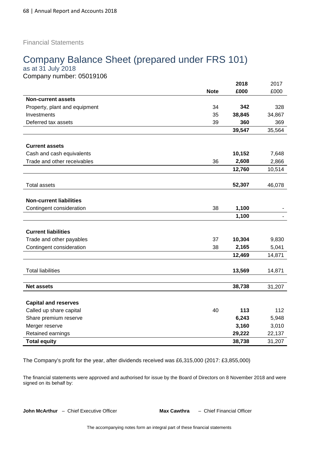Financial Statements

# Company Balance Sheet (prepared under FRS 101)

as at 31 July 2018 Company number: 05019106

|                                |             | 2018   | 2017   |
|--------------------------------|-------------|--------|--------|
|                                | <b>Note</b> | £000   | £000   |
| <b>Non-current assets</b>      |             |        |        |
| Property, plant and equipment  | 34          | 342    | 328    |
| Investments                    | 35          | 38,845 | 34,867 |
| Deferred tax assets            | 39          | 360    | 369    |
|                                |             | 39,547 | 35,564 |
|                                |             |        |        |
| <b>Current assets</b>          |             |        |        |
| Cash and cash equivalents      |             | 10,152 | 7,648  |
| Trade and other receivables    | 36          | 2,608  | 2,866  |
|                                |             | 12,760 | 10,514 |
|                                |             |        |        |
| <b>Total assets</b>            |             | 52,307 | 46,078 |
|                                |             |        |        |
| <b>Non-current liabilities</b> |             |        |        |
| Contingent consideration       | 38          | 1,100  |        |
|                                |             | 1,100  |        |
|                                |             |        |        |
| <b>Current liabilities</b>     |             |        |        |
| Trade and other payables       | 37          | 10,304 | 9,830  |
| Contingent consideration       | 38          | 2,165  | 5,041  |
|                                |             | 12,469 | 14,871 |
|                                |             |        |        |
| <b>Total liabilities</b>       |             | 13,569 | 14,871 |
|                                |             |        |        |
| <b>Net assets</b>              |             | 38,738 | 31,207 |
|                                |             |        |        |
| <b>Capital and reserves</b>    |             |        |        |
| Called up share capital        | 40          | 113    | 112    |
| Share premium reserve          |             | 6,243  | 5,948  |
| Merger reserve                 |             | 3,160  | 3,010  |
| Retained earnings              |             | 29,222 | 22,137 |
| <b>Total equity</b>            |             | 38,738 | 31,207 |

The Company's profit for the year, after dividends received was £6,315,000 (2017: £3,855,000)

The financial statements were approved and authorised for issue by the Board of Directors on 8 November 2018 and were signed on its behalf by:

**John McArthur** – Chief Executive Officer **Max Cawthra** – Chief Financial Officer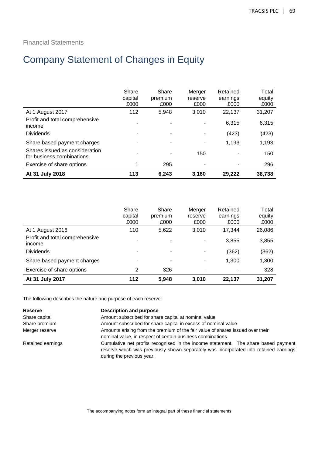## Financial Statements

# Company Statement of Changes in Equity

| At 31 July 2018                                             | 113                      | 6.243                    | 3.160                     | 29.222                       | 38,738                  |
|-------------------------------------------------------------|--------------------------|--------------------------|---------------------------|------------------------------|-------------------------|
| Exercise of share options                                   |                          | 295                      |                           |                              | 296                     |
| Shares issued as consideration<br>for business combinations |                          |                          | 150                       |                              | 150                     |
| Share based payment charges                                 |                          |                          |                           | 1,193                        | 1,193                   |
| <b>Dividends</b>                                            |                          |                          |                           | (423)                        | (423)                   |
| Profit and total comprehensive<br>income                    |                          |                          |                           | 6,315                        | 6,315                   |
| At 1 August 2017                                            | 112                      | 5,948                    | 3,010                     | 22,137                       | 31,207                  |
|                                                             | Share<br>capital<br>£000 | Share<br>premium<br>£000 | Merger<br>reserve<br>£000 | Retained<br>earnings<br>£000 | Total<br>equity<br>£000 |

|                                          | Share<br>capital<br>£000 | Share<br>premium<br>£000 | Merger<br>reserve<br>£000 | Retained<br>earnings<br>£000 | Total<br>equity<br>£000 |
|------------------------------------------|--------------------------|--------------------------|---------------------------|------------------------------|-------------------------|
| At 1 August 2016                         | 110                      | 5,622                    | 3,010                     | 17.344                       | 26,086                  |
| Profit and total comprehensive<br>income |                          | -                        | $\overline{\phantom{0}}$  | 3,855                        | 3,855                   |
| <b>Dividends</b>                         | ۰                        | ۰                        | ٠                         | (362)                        | (362)                   |
| Share based payment charges              |                          |                          | ٠                         | 1,300                        | 1,300                   |
| Exercise of share options                | 2                        | 326                      |                           |                              | 328                     |
| At 31 July 2017                          | 112                      | 5,948                    | 3,010                     | 22.137                       | 31,207                  |

The following describes the nature and purpose of each reserve:

| <b>Reserve</b>    | Description and purpose                                                                                                                                                     |  |  |
|-------------------|-----------------------------------------------------------------------------------------------------------------------------------------------------------------------------|--|--|
| Share capital     | Amount subscribed for share capital at nominal value                                                                                                                        |  |  |
| Share premium     | Amount subscribed for share capital in excess of nominal value                                                                                                              |  |  |
| Merger reserve    | Amounts arising from the premium of the fair value of shares issued over their<br>nominal value, in respect of certain business combinations                                |  |  |
| Retained earnings | Cumulative net profits recognised in the income statement. The share based payment<br>reserve which was previously shown separately was incorporated into retained earnings |  |  |

during the previous year.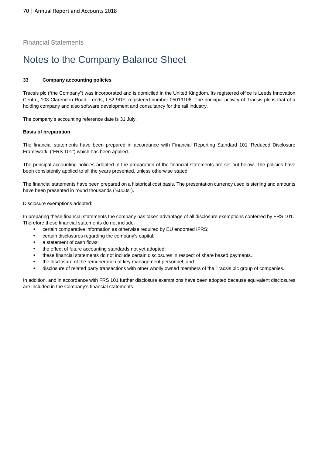Financial Statements

# Notes to the Company Balance Sheet

### **33 Company accounting policies**

Tracsis plc ("the Company") was incorporated and is domiciled in the United Kingdom. Its registered office is Leeds Innovation Centre, 103 Clarendon Road, Leeds, LS2 9DF, registered number 05019106. The principal activity of Tracsis plc is that of a holding company and also software development and consultancy for the rail industry.

The company's accounting reference date is 31 July.

### **Basis of preparation**

The financial statements have been prepared in accordance with Financial Reporting Standard 101 'Reduced Disclosure Framework' ("FRS 101") which has been applied.

The principal accounting policies adopted in the preparation of the financial statements are set out below. The policies have been consistently applied to all the years presented, unless otherwise stated.

The financial statements have been prepared on a historical cost basis. The presentation currency used is sterling and amounts have been presented in round thousands ("£000s").

Disclosure exemptions adopted:

In preparing these financial statements the company has taken advantage of all disclosure exemptions conferred by FRS 101. Therefore these financial statements do not include:

- certain comparative information as otherwise required by EU endorsed IFRS;
- certain disclosures regarding the company's capital;
- a statement of cash flows;
- the effect of future accounting standards not yet adopted;
- these financial statements do not include certain disclosures in respect of share based payments.
- the disclosure of the remuneration of key management personnel; and
- disclosure of related party transactions with other wholly owned members of the Tracsis plc group of companies.

In addition, and in accordance with FRS 101 further disclosure exemptions have been adopted because equivalent disclosures are included in the Company's financial statements.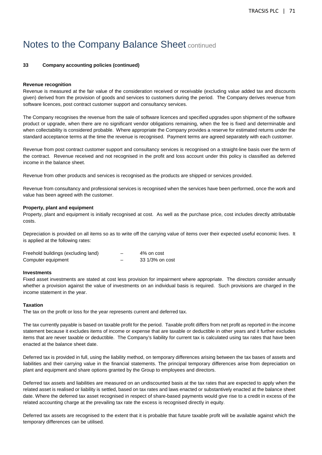# Notes to the Company Balance Sheet continued

### **33 Company accounting policies (continued)**

#### **Revenue recognition**

Revenue is measured at the fair value of the consideration received or receivable (excluding value added tax and discounts given) derived from the provision of goods and services to customers during the period. The Company derives revenue from software licences, post contract customer support and consultancy services.

The Company recognises the revenue from the sale of software licences and specified upgrades upon shipment of the software product or upgrade, when there are no significant vendor obligations remaining, when the fee is fixed and determinable and when collectability is considered probable. Where appropriate the Company provides a reserve for estimated returns under the standard acceptance terms at the time the revenue is recognised. Payment terms are agreed separately with each customer.

Revenue from post contract customer support and consultancy services is recognised on a straight-line basis over the term of the contract. Revenue received and not recognised in the profit and loss account under this policy is classified as deferred income in the balance sheet.

Revenue from other products and services is recognised as the products are shipped or services provided.

Revenue from consultancy and professional services is recognised when the services have been performed, once the work and value has been agreed with the customer.

#### **Property, plant and equipment**

Property, plant and equipment is initially recognised at cost. As well as the purchase price, cost includes directly attributable costs.

Depreciation is provided on all items so as to write off the carrying value of items over their expected useful economic lives. It is applied at the following rates:

| Freehold buildings (excluding land) |   | 4% on cost      |
|-------------------------------------|---|-----------------|
| Computer equipment                  | - | 33 1/3% on cost |

#### **Investments**

Fixed asset investments are stated at cost less provision for impairment where appropriate. The directors consider annually whether a provision against the value of investments on an individual basis is required. Such provisions are charged in the income statement in the year.

#### **Taxation**

The tax on the profit or loss for the year represents current and deferred tax.

The tax currently payable is based on taxable profit for the period. Taxable profit differs from net profit as reported in the income statement because it excludes items of income or expense that are taxable or deductible in other years and it further excludes items that are never taxable or deductible. The Company's liability for current tax is calculated using tax rates that have been enacted at the balance sheet date.

Deferred tax is provided in full, using the liability method, on temporary differences arising between the tax bases of assets and liabilities and their carrying value in the financial statements. The principal temporary differences arise from depreciation on plant and equipment and share options granted by the Group to employees and directors.

Deferred tax assets and liabilities are measured on an undiscounted basis at the tax rates that are expected to apply when the related asset is realised or liability is settled, based on tax rates and laws enacted or substantively enacted at the balance sheet date. Where the deferred tax asset recognised in respect of share-based payments would give rise to a credit in excess of the related accounting charge at the prevailing tax rate the excess is recognised directly in equity.

Deferred tax assets are recognised to the extent that it is probable that future taxable profit will be available against which the temporary differences can be utilised.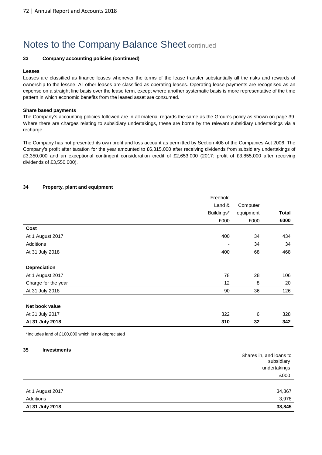### **33 Company accounting policies (continued)**

#### **Leases**

Leases are classified as finance leases whenever the terms of the lease transfer substantially all the risks and rewards of ownership to the lessee. All other leases are classified as operating leases. Operating lease payments are recognised as an expense on a straight line basis over the lease term, except where another systematic basis is more representative of the time pattern in which economic benefits from the leased asset are consumed.

#### **Share based payments**

The Company's accounting policies followed are in all material regards the same as the Group's policy as shown on page 39. Where there are charges relating to subsidiary undertakings, these are borne by the relevant subsidiary undertakings via a recharge.

The Company has not presented its own profit and loss account as permitted by Section 408 of the Companies Act 2006. The Company's profit after taxation for the year amounted to £6,315,000 after receiving dividends from subsidiary undertakings of £3,350,000 and an exceptional contingent consideration credit of £2,653,000 (2017: profit of £3,855,000 after receiving dividends of £3,550,000).

### **34 Property, plant and equipment**

|                     | Freehold                 |           |              |
|---------------------|--------------------------|-----------|--------------|
|                     | Land &                   | Computer  |              |
|                     | Buildings*               | equipment | <b>Total</b> |
|                     | £000                     | £000      | £000         |
| Cost                |                          |           |              |
| At 1 August 2017    | 400                      | 34        | 434          |
| Additions           | $\overline{\phantom{a}}$ | 34        | 34           |
| At 31 July 2018     | 400                      | 68        | 468          |
|                     |                          |           |              |
| Depreciation        |                          |           |              |
| At 1 August 2017    | 78                       | 28        | 106          |
| Charge for the year | 12                       | 8         | 20           |
| At 31 July 2018     | 90                       | 36        | 126          |
|                     |                          |           |              |
| Net book value      |                          |           |              |
| At 31 July 2017     | 322                      | 6         | 328          |
| At 31 July 2018     | 310                      | 32        | 342          |

\*Includes land of £100,000 which is not depreciated

#### **35 Investments**

|                  | Shares in, and loans to<br>subsidiary<br>undertakings |
|------------------|-------------------------------------------------------|
|                  | £000                                                  |
|                  |                                                       |
| At 1 August 2017 | 34,867                                                |
| Additions        | 3,978                                                 |
| At 31 July 2018  | 38,845                                                |
|                  |                                                       |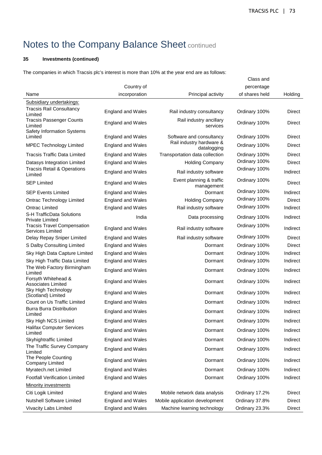## **35 Investments (continued)**

The companies in which Tracsis plc's interest is more than 10% at the year end are as follows:

|                                                               |                          |                                         | Class and      |               |
|---------------------------------------------------------------|--------------------------|-----------------------------------------|----------------|---------------|
|                                                               | Country of               |                                         | percentage     |               |
| Name                                                          | incorporation            | Principal activity                      | of shares held | Holding       |
| Subsidiary undertakings:                                      |                          |                                         |                |               |
| <b>Tracsis Rail Consultancy</b><br>Limited                    | <b>England and Wales</b> | Rail industry consultancy               | Ordinary 100%  | <b>Direct</b> |
| <b>Tracsis Passenger Counts</b><br>Limited                    | <b>England and Wales</b> | Rail industry ancillary<br>services     | Ordinary 100%  | Direct        |
| Safety Information Systems<br>Limited                         | <b>England and Wales</b> | Software and consultancy                | Ordinary 100%  | Direct        |
| <b>MPEC Technology Limited</b>                                | <b>England and Wales</b> | Rail industry hardware &<br>datalogging | Ordinary 100%  | Direct        |
| <b>Tracsis Traffic Data Limited</b>                           | <b>England and Wales</b> | Transportation data collection          | Ordinary 100%  | Direct        |
| Datasys Integration Limited                                   | <b>England and Wales</b> | <b>Holding Company</b>                  | Ordinary 100%  | Direct        |
| <b>Tracsis Retail &amp; Operations</b><br>Limited             | <b>England and Wales</b> | Rail industry software                  | Ordinary 100%  | Indirect      |
| <b>SEP Limited</b>                                            | <b>England and Wales</b> | Event planning & traffic<br>management  | Ordinary 100%  | <b>Direct</b> |
| <b>SEP Events Limited</b>                                     | <b>England and Wales</b> | Dormant                                 | Ordinary 100%  | Indirect      |
| <b>Ontrac Technology Limited</b>                              | <b>England and Wales</b> | <b>Holding Company</b>                  | Ordinary 100%  | <b>Direct</b> |
| <b>Ontrac Limited</b>                                         | <b>England and Wales</b> | Rail industry software                  | Ordinary 100%  | Indirect      |
| <b>S-H TrafficData Solutions</b><br><b>Private Limited</b>    | India                    | Data processing                         | Ordinary 100%  | Indirect      |
| <b>Tracsis Travel Compensation</b><br><b>Services Limited</b> | <b>England and Wales</b> | Rail industry software                  | Ordinary 100%  | Indirect      |
| Delay Repay Sniper Limited                                    | <b>England and Wales</b> | Rail industry software                  | Ordinary 100%  | Direct        |
| S Dalby Consulting Limited                                    | <b>England and Wales</b> | Dormant                                 | Ordinary 100%  | Direct        |
| Sky High Data Capture Limited                                 | <b>England and Wales</b> | Dormant                                 | Ordinary 100%  | Indirect      |
| Sky High Traffic Data Limited                                 | <b>England and Wales</b> | Dormant                                 | Ordinary 100%  | Indirect      |
| The Web Factory Birmingham<br>Limited                         | <b>England and Wales</b> | Dormant                                 | Ordinary 100%  | Indirect      |
| Forsyth Whitehead &<br><b>Associates Limited</b>              | <b>England and Wales</b> | Dormant                                 | Ordinary 100%  | Indirect      |
| Sky High Technology<br>(Scotland) Limited                     | <b>England and Wales</b> | Dormant                                 | Ordinary 100%  | Indirect      |
| Count on Us Traffic Limited                                   | <b>England and Wales</b> | Dormant                                 | Ordinary 100%  | Indirect      |
| <b>Burra Burra Distribution</b><br>Limited                    | <b>England and Wales</b> | Dormant                                 | Ordinary 100%  | Indirect      |
| Sky High NCS Limited                                          | <b>England and Wales</b> | Dormant                                 | Ordinary 100%  | Indirect      |
| <b>Halifax Computer Services</b><br>Limited                   | <b>England and Wales</b> | Dormant                                 | Ordinary 100%  | Indirect      |
| Skyhightraffic Limited                                        | <b>England and Wales</b> | Dormant                                 | Ordinary 100%  | Indirect      |
| The Traffic Survey Company<br>Limited                         | <b>England and Wales</b> | Dormant                                 | Ordinary 100%  | Indirect      |
| The People Counting<br><b>Company Limited</b>                 | <b>England and Wales</b> | Dormant                                 | Ordinary 100%  | Indirect      |
| Myratech.net Limited                                          | <b>England and Wales</b> | Dormant                                 | Ordinary 100%  | Indirect      |
| <b>Footfall Verification Limited</b>                          | <b>England and Wales</b> | Dormant                                 | Ordinary 100%  | Indirect      |
| <b>Minority investments</b>                                   |                          |                                         |                |               |
| Citi Logik Limited                                            | <b>England and Wales</b> | Mobile network data analysis            | Ordinary 17.2% | Direct        |
| <b>Nutshell Software Limited</b>                              | <b>England and Wales</b> | Mobile application development          | Ordinary 37.8% | Direct        |
| Vivacity Labs Limited                                         | <b>England and Wales</b> | Machine learning technology             | Ordinary 23.3% | <b>Direct</b> |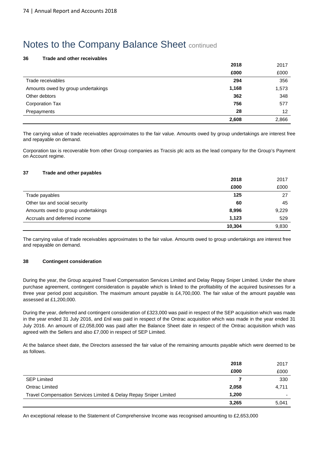#### **36 Trade and other receivables**

|                                    | 2018  | 2017  |
|------------------------------------|-------|-------|
|                                    | £000  | £000  |
| Trade receivables                  | 294   | 356   |
| Amounts owed by group undertakings | 1,168 | 1,573 |
| Other debtors                      | 362   | 348   |
| <b>Corporation Tax</b>             | 756   | 577   |
| Prepayments                        | 28    | 12    |
|                                    | 2,608 | 2,866 |

The carrying value of trade receivables approximates to the fair value. Amounts owed by group undertakings are interest free and repayable on demand.

Corporation tax is recoverable from other Group companies as Tracsis plc acts as the lead company for the Group's Payment on Account regime.

#### **37 Trade and other payables**

|                                    | 2018   | 2017  |
|------------------------------------|--------|-------|
|                                    | £000   | £000  |
| Trade payables                     | 125    | 27    |
| Other tax and social security      | 60     | 45    |
| Amounts owed to group undertakings | 8,996  | 9,229 |
| Accruals and deferred income       | 1.123  | 529   |
|                                    | 10,304 | 9,830 |

The carrying value of trade receivables approximates to the fair value. Amounts owed to group undertakings are interest free and repayable on demand.

### **38 Contingent consideration**

During the year, the Group acquired Travel Compensation Services Limited and Delay Repay Sniper Limited. Under the share purchase agreement, contingent consideration is payable which is linked to the profitability of the acquired businesses for a three year period post acquisition. The maximum amount payable is £4,700,000. The fair value of the amount payable was assessed at £1,200,000.

During the year, deferred and contingent consideration of £323,000 was paid in respect of the SEP acquisition which was made in the year ended 31 July 2016, and £nil was paid in respect of the Ontrac acquisition which was made in the year ended 31 July 2016. An amount of £2,058,000 was paid after the Balance Sheet date in respect of the Ontrac acquisition which was agreed with the Sellers and also £7,000 in respect of SEP Limited.

At the balance sheet date, the Directors assessed the fair value of the remaining amounts payable which were deemed to be as follows.

|                                                                   | 2018  | 2017                     |
|-------------------------------------------------------------------|-------|--------------------------|
|                                                                   | £000  | £000                     |
| <b>SEP Limited</b>                                                |       | 330                      |
| Ontrac Limited                                                    | 2,058 | 4,711                    |
| Travel Compensation Services Limited & Delay Repay Sniper Limited | 1,200 | $\overline{\phantom{0}}$ |
|                                                                   | 3,265 | 5,041                    |

An exceptional release to the Statement of Comprehensive Income was recognised amounting to £2,653,000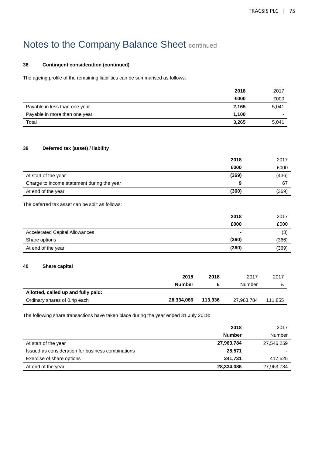### **38 Contingent consideration (continued)**

The ageing profile of the remaining liabilities can be summarised as follows:

|                               | 2018  | 2017                     |
|-------------------------------|-------|--------------------------|
|                               | £000  | £000                     |
| Payable in less than one year | 2,165 | 5,041                    |
| Payable in more than one year | 1,100 | $\overline{\phantom{0}}$ |
| Total                         | 3,265 | 5,041                    |

### **39 Deferred tax (asset) / liability**

|                                            | 2018  | 2017  |
|--------------------------------------------|-------|-------|
|                                            | £000  | £000  |
| At start of the year                       | (369) | (436) |
| Charge to income statement during the year | 9     | 67    |
| At end of the year                         | (360) | (369) |

The deferred tax asset can be split as follows:

|                                       | 2018  | 2017  |
|---------------------------------------|-------|-------|
|                                       | £000  | £000  |
| <b>Accelerated Capital Allowances</b> | ٠     | (3)   |
| Share options                         | (360) | (366) |
| At end of the year                    | (360) | (369) |

#### **40 Share capital**

|                                     | 2018          | 2018    | 2017       | 2017    |
|-------------------------------------|---------------|---------|------------|---------|
|                                     | <b>Number</b> |         | Number     |         |
| Allotted, called up and fully paid: |               |         |            |         |
| Ordinary shares of 0.4p each        | 28.334.086    | 113.336 | 27,963,784 | 111.855 |

The following share transactions have taken place during the year ended 31 July 2018:

|                                                   | 2018          | 2017       |
|---------------------------------------------------|---------------|------------|
|                                                   | <b>Number</b> | Number     |
| At start of the year                              | 27,963,784    | 27,546,259 |
| Issued as consideration for business combinations | 28,571        |            |
| Exercise of share options                         | 341.731       | 417,525    |
| At end of the year                                | 28,334,086    | 27,963,784 |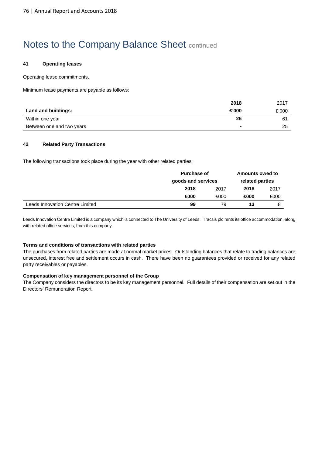### **41 Operating leases**

Operating lease commitments.

Minimum lease payments are payable as follows:

|                           | 2018   | 2017  |
|---------------------------|--------|-------|
| Land and buildings:       | £'000  | £'000 |
| Within one year           | 26     | 61    |
| Between one and two years | $\sim$ | 25    |

### **42 Related Party Transactions**

The following transactions took place during the year with other related parties:

|                                 | <b>Purchase of</b><br>goods and services |      | <b>Amounts owed to</b><br>related parties |      |
|---------------------------------|------------------------------------------|------|-------------------------------------------|------|
|                                 |                                          |      |                                           |      |
|                                 | 2018                                     | 2017 | 2018                                      | 2017 |
|                                 | £000                                     | £000 | £000                                      | £000 |
| Leeds Innovation Centre Limited | 99                                       | 79   | 13                                        |      |

Leeds Innovation Centre Limited is a company which is connected to The University of Leeds. Tracsis plc rents its office accommodation, along with related office services, from this company.

#### **Terms and conditions of transactions with related parties**

The purchases from related parties are made at normal market prices. Outstanding balances that relate to trading balances are unsecured, interest free and settlement occurs in cash. There have been no guarantees provided or received for any related party receivables or payables.

#### **Compensation of key management personnel of the Group**

The Company considers the directors to be its key management personnel. Full details of their compensation are set out in the Directors' Remuneration Report.